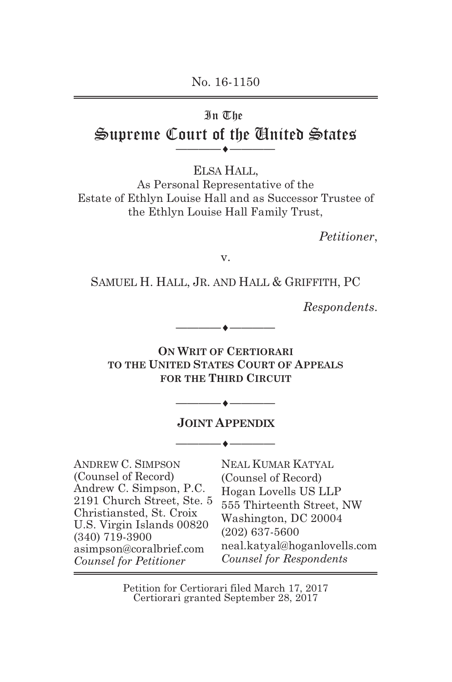No. 16-1150

#### In The

#### Supreme Court of the United States **————**-**————**

ELSA HALL,

As Personal Representative of the Estate of Ethlyn Louise Hall and as Successor Trustee of the Ethlyn Louise Hall Family Trust,

*Petitioner*,

v.

SAMUEL H. HALL, JR. AND HALL & GRIFFITH, PC

*Respondents*.

**ON WRIT OF CERTIORARI TO THE UNITED STATES COURT OF APPEALS FOR THE THIRD CIRCUIT**

**————**

**————**

**————**

**————**-

**————**-

**————**-

#### **JOINT APPENDIX**

ANDREW C. SIMPSON (Counsel of Record) Andrew C. Simpson, P.C. 2191 Church Street, Ste. 5 Christiansted, St. Croix U.S. Virgin Islands 00820 (340) 719-3900 asimpson@coralbrief.com *Counsel for Petitioner*

NEAL KUMAR KATYAL (Counsel of Record) Hogan Lovells US LLP 555 Thirteenth Street, NW Washington, DC 20004 (202) 637-5600 neal.katyal@hoganlovells.com *Counsel for Respondents*

Petition for Certiorari filed March 17, 2017 Certiorari granted September 28, 2017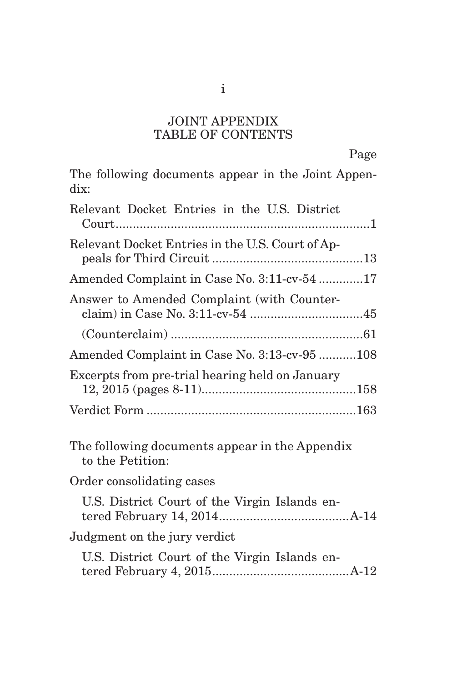#### JOINT APPENDIX TABLE OF CONTENTS

| The following documents appear in the Joint Appen-<br>dix:         |
|--------------------------------------------------------------------|
| Relevant Docket Entries in the U.S. District                       |
| Relevant Docket Entries in the U.S. Court of Ap-                   |
| Amended Complaint in Case No. 3:11-cv-54 17                        |
| Answer to Amended Complaint (with Counter-                         |
|                                                                    |
| Amended Complaint in Case No. 3:13-cv-95 108                       |
| Excerpts from pre-trial hearing held on January                    |
|                                                                    |
| The following documents appear in the Appendix<br>to the Petition: |
| Order consolidating cases                                          |
| U.S. District Court of the Virgin Islands en-                      |
| Judgment on the jury verdict                                       |
| U.S. District Court of the Virgin Islands en-                      |
|                                                                    |

i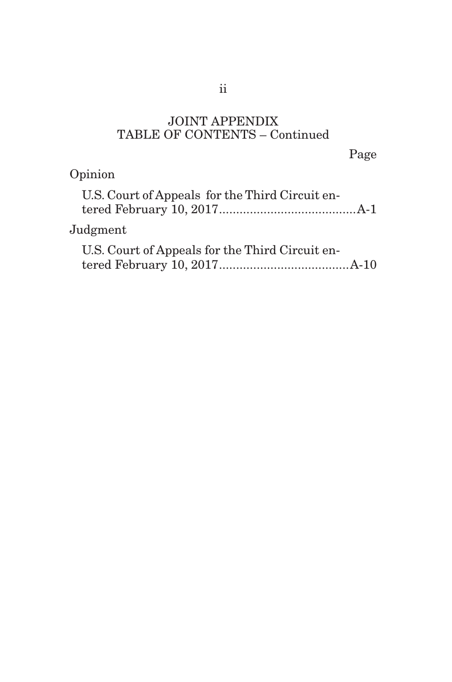# JOINT APPENDIX TABLE OF CONTENTS – Continued

Page

# Opinion

| U.S. Court of Appeals for the Third Circuit en- |  |
|-------------------------------------------------|--|
| $J$ udgment                                     |  |
| U.S. Court of Appeals for the Third Circuit en- |  |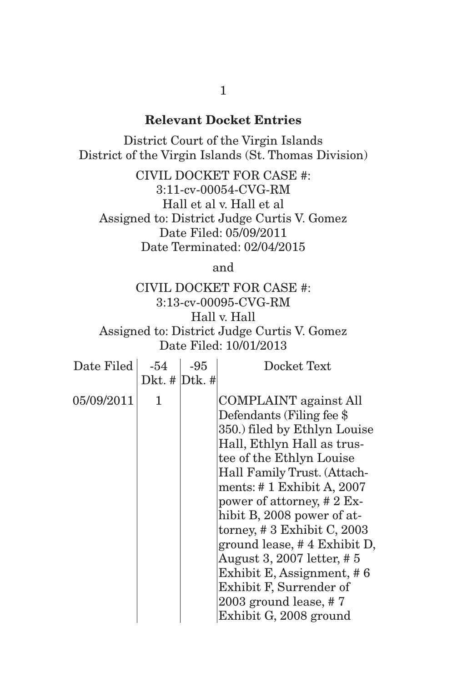# **Relevant Docket Entries**

District Court of the Virgin Islands District of the Virgin Islands (St. Thomas Division)

CIVIL DOCKET FOR CASE #: 3:11-cv-00054-CVG-RM Hall et al v. Hall et al Assigned to: District Judge Curtis V. Gomez Date Filed: 05/09/2011 Date Terminated: 02/04/2015

and

# CIVIL DOCKET FOR CASE #: 3:13-cv-00095-CVG-RM Hall v. Hall Assigned to: District Judge Curtis V. Gomez Date Filed: 10/01/2013

| Date Filed | $-54$               | $-95$ | Docket Text                                                                                                                                                                                                                                                                                                                                                                                                                                                                                   |
|------------|---------------------|-------|-----------------------------------------------------------------------------------------------------------------------------------------------------------------------------------------------------------------------------------------------------------------------------------------------------------------------------------------------------------------------------------------------------------------------------------------------------------------------------------------------|
|            | Dkt. $\#$ Dtk. $\#$ |       |                                                                                                                                                                                                                                                                                                                                                                                                                                                                                               |
| 05/09/2011 | 1                   |       | <b>COMPLAINT</b> against All<br>Defendants (Filing fee \$<br>350.) filed by Ethlyn Louise<br>Hall, Ethlyn Hall as trus-<br>tee of the Ethlyn Louise<br>Hall Family Trust. (Attach-<br>ments: $\#$ 1 Exhibit A, 2007<br>power of attorney, $# 2 Ex-$<br>hibit B, 2008 power of at-<br>torney, $\# 3$ Exhibit C, 2003<br>ground lease, #4 Exhibit D,<br>August 3, 2007 letter, #5<br>Exhibit E, Assignment, #6<br>Exhibit F, Surrender of<br>2003 ground lease, $# 7$<br>Exhibit G, 2008 ground |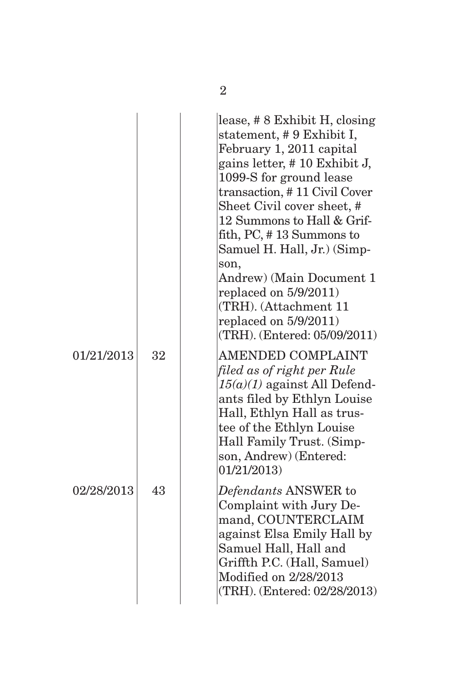|            |    | lease, #8 Exhibit H, closing<br>statement, #9 Exhibit I,<br>February 1, 2011 capital<br>gains letter, #10 Exhibit J,<br>1099-S for ground lease<br>transaction, #11 Civil Cover<br>Sheet Civil cover sheet, #<br>12 Summons to Hall & Grif-<br>fith, PC, #13 Summons to<br>Samuel H. Hall, Jr.) (Simp-<br>son,<br>Andrew) (Main Document 1<br>replaced on $5/9/2011$ )<br>(TRH). (Attachment 11<br>replaced on $5/9/2011$ )<br>(TRH). (Entered: 05/09/2011) |
|------------|----|-------------------------------------------------------------------------------------------------------------------------------------------------------------------------------------------------------------------------------------------------------------------------------------------------------------------------------------------------------------------------------------------------------------------------------------------------------------|
| 01/21/2013 | 32 | AMENDED COMPLAINT<br>filed as of right per Rule<br>$15(a)(1)$ against All Defend-<br>ants filed by Ethlyn Louise<br>Hall, Ethlyn Hall as trus-<br>tee of the Ethlyn Louise<br>Hall Family Trust. (Simp-<br>son, Andrew) (Entered:<br>01/21/2013                                                                                                                                                                                                             |
| 02/28/2013 | 43 | Defendants ANSWER to<br>Complaint with Jury De-<br>mand, COUNTERCLAIM<br>against Elsa Emily Hall by<br>Samuel Hall, Hall and<br>Griffth P.C. (Hall, Samuel)<br>Modified on 2/28/2013<br>(TRH). (Entered: 02/28/2013)                                                                                                                                                                                                                                        |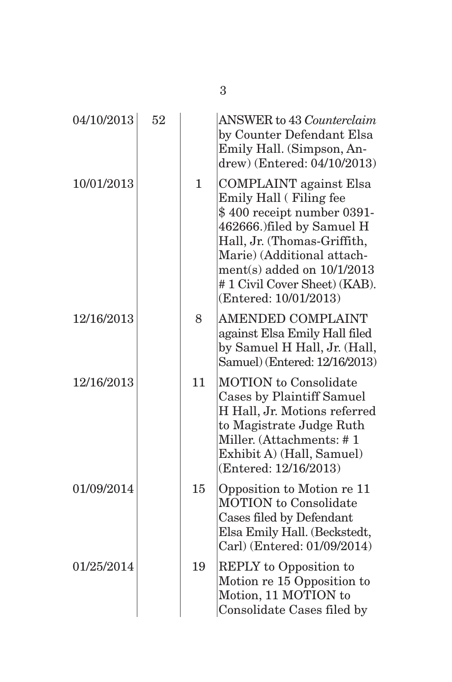| 04/10/2013 | 52 |              | <b>ANSWER</b> to 43 <i>Counterclaim</i><br>by Counter Defendant Elsa<br>Emily Hall. (Simpson, An-<br>drew) (Entered: 04/10/2013)                                                                                                                                          |
|------------|----|--------------|---------------------------------------------------------------------------------------------------------------------------------------------------------------------------------------------------------------------------------------------------------------------------|
| 10/01/2013 |    | $\mathbf{1}$ | <b>COMPLAINT</b> against Elsa<br>Emily Hall (Filing fee<br>\$400 receipt number 0391-<br>462666.) filed by Samuel H<br>Hall, Jr. (Thomas-Griffith,<br>Marie) (Additional attach-<br>ment(s) added on $10/1/2013$<br>#1 Civil Cover Sheet) (KAB).<br>(Entered: 10/01/2013) |
| 12/16/2013 |    | 8            | <b>AMENDED COMPLAINT</b><br>against Elsa Emily Hall filed<br>by Samuel H Hall, Jr. (Hall,<br>Samuel) (Entered: 12/16/2013)                                                                                                                                                |
| 12/16/2013 |    | 11           | <b>MOTION</b> to Consolidate<br>Cases by Plaintiff Samuel<br>H Hall, Jr. Motions referred<br>to Magistrate Judge Ruth<br>Miller. (Attachments: #1<br>Exhibit A) (Hall, Samuel)<br>(Entered: 12/16/2013)                                                                   |
| 01/09/2014 |    | 15           | Opposition to Motion re 11<br><b>MOTION</b> to Consolidate<br>Cases filed by Defendant<br>Elsa Emily Hall. (Beckstedt,<br>Carl) (Entered: 01/09/2014)                                                                                                                     |
| 01/25/2014 |    | 19           | <b>REPLY</b> to Opposition to<br>Motion re 15 Opposition to<br>Motion, 11 MOTION to<br>Consolidate Cases filed by                                                                                                                                                         |

3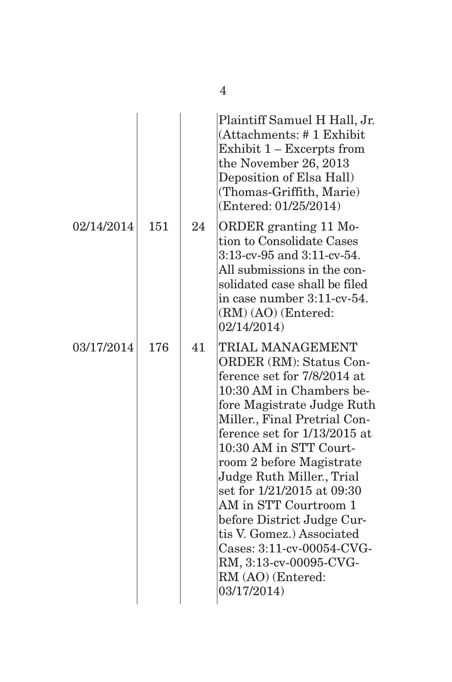|            |     |    | Plaintiff Samuel H Hall, Jr.<br>(Attachments: #1 Exhibit<br>Exhibit 1 - Excerpts from<br>the November 26, 2013<br>Deposition of Elsa Hall)<br>(Thomas-Griffith, Marie)<br>(Entered: 01/25/2014)                                                                                                                                                                                                                                                                                                      |
|------------|-----|----|------------------------------------------------------------------------------------------------------------------------------------------------------------------------------------------------------------------------------------------------------------------------------------------------------------------------------------------------------------------------------------------------------------------------------------------------------------------------------------------------------|
| 02/14/2014 | 151 | 24 | ORDER granting 11 Mo-<br>tion to Consolidate Cases<br>3:13-cv-95 and 3:11-cv-54.<br>All submissions in the con-<br>solidated case shall be filed<br>in case number 3:11-cv-54.<br>(RM) (AO) (Entered:<br>02/14/2014                                                                                                                                                                                                                                                                                  |
| 03/17/2014 | 176 | 41 | TRIAL MANAGEMENT<br>ORDER (RM): Status Con-<br>ference set for 7/8/2014 at<br>10:30 AM in Chambers be-<br>fore Magistrate Judge Ruth<br>Miller., Final Pretrial Con-<br>ference set for 1/13/2015 at<br>10:30 AM in STT Court-<br>room 2 before Magistrate<br>Judge Ruth Miller., Trial<br>set for 1/21/2015 at 09:30<br>AM in STT Courtroom 1<br>before District Judge Cur-<br>tis V. Gomez.) Associated<br>Cases: 3:11-cv-00054-CVG-<br>RM, 3:13-cv-00095-CVG-<br>RM (AO) (Entered:<br>03/17/2014) |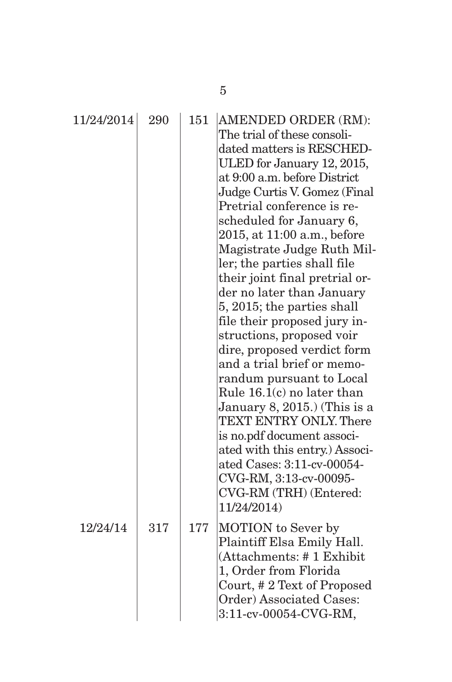| 11/24/2014 | 290 | 151 | AMENDED ORDER (RM):<br>The trial of these consoli-<br>dated matters is RESCHED-<br>ULED for January 12, 2015,<br>at 9:00 a.m. before District<br>Judge Curtis V. Gomez (Final<br>Pretrial conference is re-<br>scheduled for January 6,<br>2015, at 11:00 a.m., before<br>Magistrate Judge Ruth Mil-<br>ler; the parties shall file<br>their joint final pretrial or-<br>der no later than January<br>5, 2015; the parties shall<br>file their proposed jury in-<br>structions, proposed voir<br>dire, proposed verdict form<br>and a trial brief or memo-<br>randum pursuant to Local<br>Rule 16.1(c) no later than<br>January 8, 2015.) (This is a<br><b>TEXT ENTRY ONLY. There</b><br>is no.pdf document associ-<br>ated with this entry.) Associ-<br>ated Cases: 3:11-cv-00054-<br>CVG-RM, 3:13-cv-00095-<br>CVG-RM (TRH) (Entered:<br>11/24/2014) |
|------------|-----|-----|--------------------------------------------------------------------------------------------------------------------------------------------------------------------------------------------------------------------------------------------------------------------------------------------------------------------------------------------------------------------------------------------------------------------------------------------------------------------------------------------------------------------------------------------------------------------------------------------------------------------------------------------------------------------------------------------------------------------------------------------------------------------------------------------------------------------------------------------------------|
| 12/24/14   | 317 | 177 | <b>MOTION</b> to Sever by<br>Plaintiff Elsa Emily Hall.<br>(Attachments: #1 Exhibit<br>1, Order from Florida<br>Court, #2 Text of Proposed<br>Order) Associated Cases:<br>3:11-cv-00054-CVG-RM,                                                                                                                                                                                                                                                                                                                                                                                                                                                                                                                                                                                                                                                        |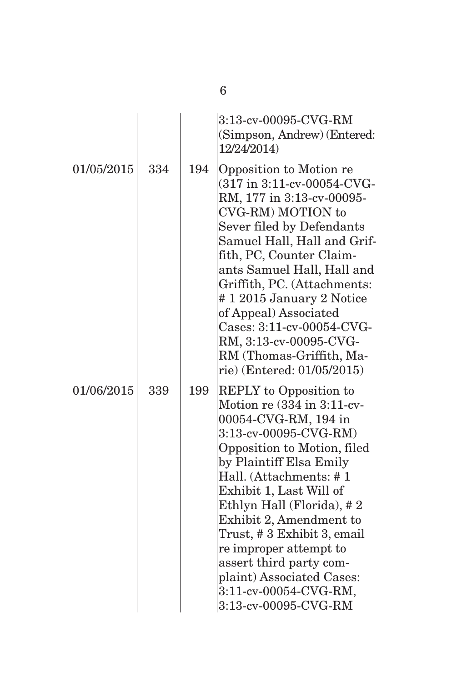|            |     |     | 3:13-cv-00095-CVG-RM<br>(Simpson, Andrew) (Entered:<br>12/24/2014)                                                                                                                                                                                                                                                                                                                                                                                     |
|------------|-----|-----|--------------------------------------------------------------------------------------------------------------------------------------------------------------------------------------------------------------------------------------------------------------------------------------------------------------------------------------------------------------------------------------------------------------------------------------------------------|
| 01/05/2015 | 334 | 194 | Opposition to Motion re<br>(317 in 3:11-cv-00054-CVG-<br>RM, 177 in 3:13-cv-00095-<br>CVG-RM) MOTION to<br>Sever filed by Defendants<br>Samuel Hall, Hall and Grif-<br>fith, PC, Counter Claim-<br>ants Samuel Hall, Hall and<br>Griffith, PC. (Attachments:<br>#12015 January 2 Notice<br>of Appeal) Associated<br>Cases: 3:11-cv-00054-CVG-<br>RM, 3:13-cv-00095-CVG-<br>RM (Thomas-Griffith, Ma-<br>rie) (Entered: 01/05/2015)                      |
| 01/06/2015 | 339 | 199 | <b>REPLY</b> to Opposition to<br>Motion re $(334$ in 3:11-cv-<br>00054-CVG-RM, 194 in<br>3:13-cv-00095-CVG-RM)<br>Opposition to Motion, filed<br>by Plaintiff Elsa Emily<br>Hall. (Attachments: #1<br>Exhibit 1, Last Will of<br>Ethlyn Hall (Florida), #2<br>Exhibit 2, Amendment to<br>Trust, #3 Exhibit 3, email<br>re improper attempt to<br>assert third party com-<br>plaint) Associated Cases:<br>3:11-cv-00054-CVG-RM,<br>3:13-cv-00095-CVG-RM |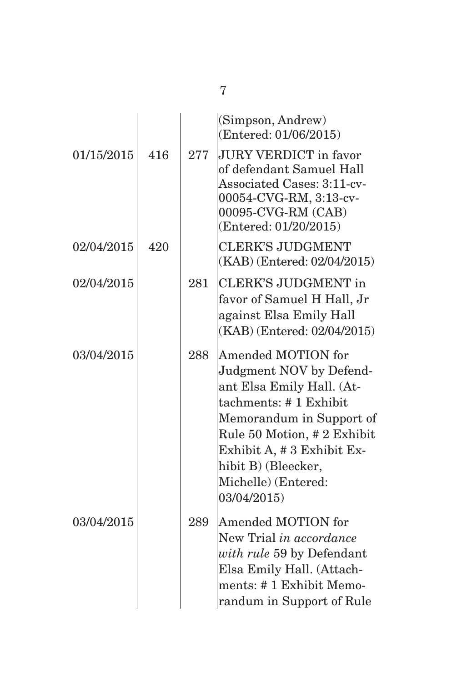|            |     |     | (Simpson, Andrew)<br>(Entered: 01/06/2015)                                                                                                                                                                                                                      |
|------------|-----|-----|-----------------------------------------------------------------------------------------------------------------------------------------------------------------------------------------------------------------------------------------------------------------|
| 01/15/2015 | 416 | 277 | <b>JURY VERDICT</b> in favor<br>of defendant Samuel Hall<br>Associated Cases: 3:11-cv-<br>00054-CVG-RM, 3:13-cv-<br>00095-CVG-RM (CAB)<br>(Entered: 01/20/2015)                                                                                                 |
| 02/04/2015 | 420 |     | <b>CLERK'S JUDGMENT</b><br>(KAB) (Entered: 02/04/2015)                                                                                                                                                                                                          |
| 02/04/2015 |     | 281 | <b>CLERK'S JUDGMENT</b> in<br>favor of Samuel H Hall, Jr<br>against Elsa Emily Hall<br>(KAB) (Entered: 02/04/2015)                                                                                                                                              |
| 03/04/2015 |     | 288 | <b>Amended MOTION for</b><br>Judgment NOV by Defend-<br>ant Elsa Emily Hall. (At-<br>tachments: #1 Exhibit<br>Memorandum in Support of<br>Rule 50 Motion, #2 Exhibit<br>Exhibit A, # 3 Exhibit Ex-<br>hibit B) (Bleecker,<br>Michelle) (Entered:<br>03/04/2015) |
| 03/04/2015 |     | 289 | Amended MOTION for<br>New Trial in accordance<br>with rule 59 by Defendant<br>Elsa Emily Hall. (Attach-<br>ments: #1 Exhibit Memo-<br>randum in Support of Rule                                                                                                 |

7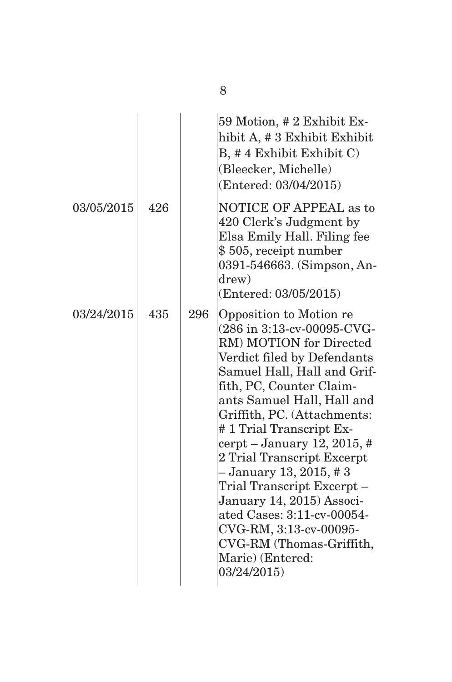|            |     |     | 59 Motion, # 2 Exhibit Ex-<br>hibit A, # 3 Exhibit Exhibit<br>$B, #4$ Exhibit Exhibit $C$ )<br>(Bleecker, Michelle)<br>(Entered: 03/04/2015)                                                                                                                                                                                                                                                                                                                                                                                                |
|------------|-----|-----|---------------------------------------------------------------------------------------------------------------------------------------------------------------------------------------------------------------------------------------------------------------------------------------------------------------------------------------------------------------------------------------------------------------------------------------------------------------------------------------------------------------------------------------------|
| 03/05/2015 | 426 |     | <b>NOTICE OF APPEAL as to</b><br>420 Clerk's Judgment by<br>Elsa Emily Hall. Filing fee<br>\$505, receipt number<br>0391-546663. (Simpson, An-<br>drew)<br>(Entered: 03/05/2015)                                                                                                                                                                                                                                                                                                                                                            |
| 03/24/2015 | 435 | 296 | Opposition to Motion re<br>(286 in 3:13-cv-00095-CVG-<br>RM) MOTION for Directed<br>Verdict filed by Defendants<br>Samuel Hall, Hall and Grif-<br>fith, PC, Counter Claim-<br>ants Samuel Hall, Hall and<br>Griffith, PC. (Attachments:<br>#1 Trial Transcript Ex-<br>cerpt – January 12, 2015, #<br>2 Trial Transcript Excerpt<br>- January 13, 2015, #3<br>Trial Transcript Excerpt -<br>January 14, 2015) Associ-<br>ated Cases: 3:11-cv-00054-<br>CVG-RM, 3:13-cv-00095-<br>CVG-RM (Thomas-Griffith,<br>Marie) (Entered:<br>03/24/2015) |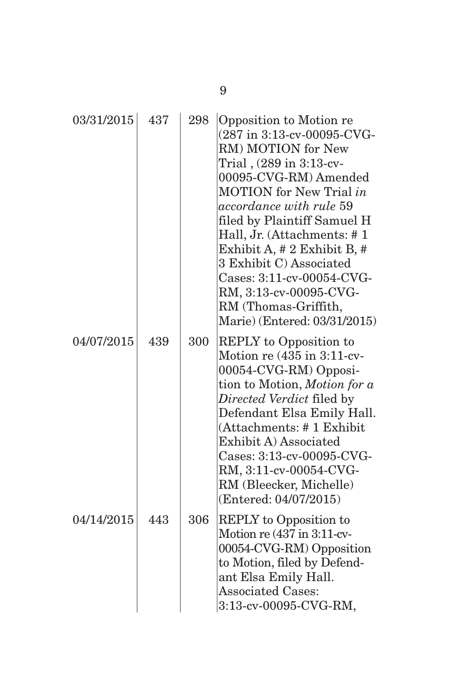| 03/31/2015 | 437 | 298 | Opposition to Motion re<br>(287 in 3:13-cv-00095-CVG-<br>RM) MOTION for New<br>Trial, (289 in 3:13-cv-<br>00095-CVG-RM) Amended<br><b>MOTION</b> for New Trial in<br>accordance with rule 59<br>filed by Plaintiff Samuel H<br>Hall, Jr. (Attachments: #1<br>Exhibit A, # 2 Exhibit B, #<br>3 Exhibit C) Associated<br>Cases: 3:11-cv-00054-CVG-<br>RM, 3:13-cv-00095-CVG-<br>RM (Thomas-Griffith,<br>Marie) (Entered: 03/31/2015) |
|------------|-----|-----|------------------------------------------------------------------------------------------------------------------------------------------------------------------------------------------------------------------------------------------------------------------------------------------------------------------------------------------------------------------------------------------------------------------------------------|
| 04/07/2015 | 439 | 300 | <b>REPLY</b> to Opposition to<br>Motion re (435 in 3:11-cv-<br>00054-CVG-RM) Opposi-<br>tion to Motion, Motion for a<br>Directed Verdict filed by<br>Defendant Elsa Emily Hall.<br>(Attachments: #1 Exhibit<br>Exhibit A) Associated<br>Cases: 3:13-cv-00095-CVG-<br>RM, 3:11-cv-00054-CVG-<br>RM (Bleecker, Michelle)<br>(Entered: 04/07/2015)                                                                                    |
| 04/14/2015 | 443 | 306 | REPLY to Opposition to<br>Motion re $(437 \text{ in } 3:11 \text{-cv-}$<br>00054-CVG-RM) Opposition<br>to Motion, filed by Defend-<br>ant Elsa Emily Hall.<br><b>Associated Cases:</b><br>3:13-cv-00095-CVG-RM,                                                                                                                                                                                                                    |

9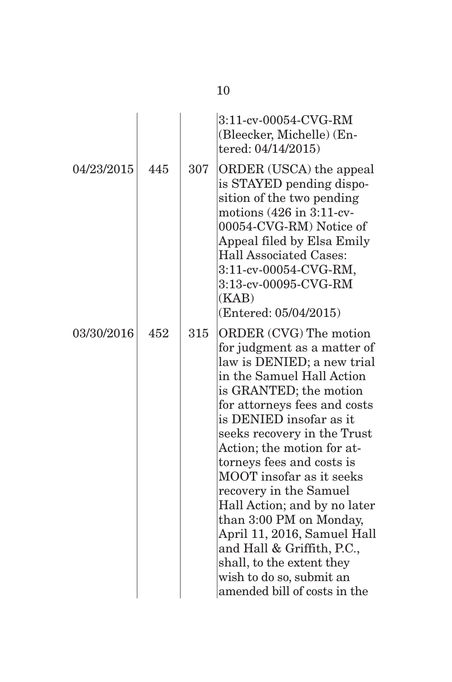| 04/23/2015 | 445 | 307 | 3:11-cv-00054-CVG-RM<br>(Bleecker, Michelle) (En-<br>tered: 04/14/2015)<br>ORDER (USCA) the appeal<br>is STAYED pending dispo-<br>sition of the two pending<br>motions $(426 \text{ in } 3:11$ -cv-<br>00054-CVG-RM) Notice of<br>Appeal filed by Elsa Emily<br><b>Hall Associated Cases:</b><br>3:11-cv-00054-CVG-RM,<br>3:13-cv-00095-CVG-RM<br>(KAB)<br>(Entered: 05/04/2015)                                                                                                                                                                                              |
|------------|-----|-----|-------------------------------------------------------------------------------------------------------------------------------------------------------------------------------------------------------------------------------------------------------------------------------------------------------------------------------------------------------------------------------------------------------------------------------------------------------------------------------------------------------------------------------------------------------------------------------|
| 03/30/2016 | 452 | 315 | <b>ORDER (CVG)</b> The motion<br>for judgment as a matter of<br>law is DENIED; a new trial<br>in the Samuel Hall Action<br>is GRANTED; the motion<br>for attorneys fees and costs<br>is DENIED insofar as it<br>seeks recovery in the Trust<br>Action; the motion for at-<br>torneys fees and costs is<br>MOOT insofar as it seeks<br>recovery in the Samuel<br>Hall Action; and by no later<br>than 3:00 PM on Monday,<br>April 11, 2016, Samuel Hall<br>and Hall & Griffith, P.C.,<br>shall, to the extent they<br>wish to do so, submit an<br>amended bill of costs in the |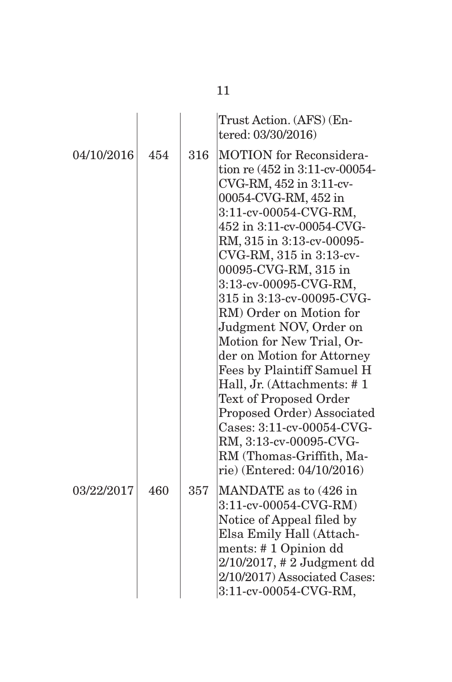|            |     |     | Trust Action. (AFS) (En-<br>tered: 03/30/2016)                                                                                                                                                                                                                                                                                                                                                                                                                                                                                                                                                                                                                              |
|------------|-----|-----|-----------------------------------------------------------------------------------------------------------------------------------------------------------------------------------------------------------------------------------------------------------------------------------------------------------------------------------------------------------------------------------------------------------------------------------------------------------------------------------------------------------------------------------------------------------------------------------------------------------------------------------------------------------------------------|
| 04/10/2016 | 454 | 316 | <b>MOTION</b> for Reconsidera-<br>tion re (452 in 3:11-cv-00054-<br>CVG-RM, 452 in 3:11-cv-<br>00054-CVG-RM, 452 in<br>3:11-cv-00054-CVG-RM,<br>452 in 3:11-cv-00054-CVG-<br>RM, 315 in 3:13-cv-00095-<br>CVG-RM, 315 in 3:13-cv-<br>00095-CVG-RM, 315 in<br>3:13-cv-00095-CVG-RM,<br>315 in 3:13-cv-00095-CVG-<br>RM) Order on Motion for<br>Judgment NOV, Order on<br>Motion for New Trial, Or-<br>der on Motion for Attorney<br>Fees by Plaintiff Samuel H<br>Hall, Jr. (Attachments: #1<br><b>Text of Proposed Order</b><br>Proposed Order) Associated<br>Cases: 3:11-cv-00054-CVG-<br>RM, 3:13-cv-00095-CVG-<br>RM (Thomas-Griffith, Ma-<br>rie) (Entered: 04/10/2016) |
| 03/22/2017 | 460 | 357 | MANDATE as to (426 in<br>3:11-cv-00054-CVG-RM)<br>Notice of Appeal filed by<br>Elsa Emily Hall (Attach-<br>ments: #1 Opinion dd<br>$2/10/2017$ , # 2 Judgment dd<br>2/10/2017) Associated Cases:<br>3:11-cv-00054-CVG-RM,                                                                                                                                                                                                                                                                                                                                                                                                                                                   |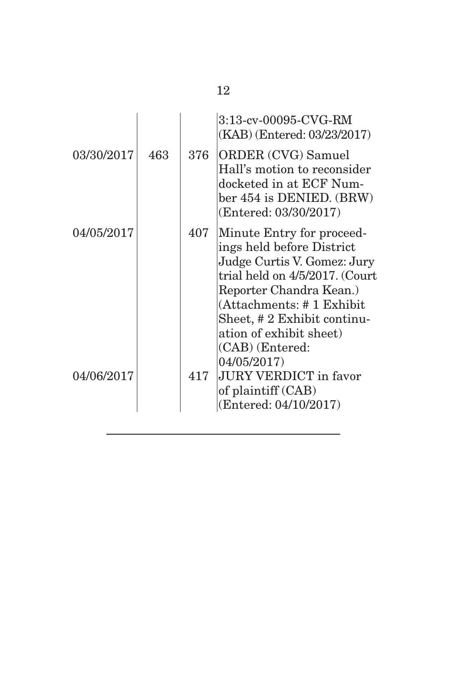|            |     |     | 3:13-cv-00095-CVG-RM<br>(KAB) (Entered: 03/23/2017)                                                                                                                                                                                                                        |
|------------|-----|-----|----------------------------------------------------------------------------------------------------------------------------------------------------------------------------------------------------------------------------------------------------------------------------|
| 03/30/2017 | 463 | 376 | <b>ORDER (CVG) Samuel</b><br>Hall's motion to reconsider<br>docketed in at ECF Num-<br>ber 454 is DENIED. (BRW)<br>(Entered: 03/30/2017)                                                                                                                                   |
| 04/05/2017 |     | 407 | Minute Entry for proceed-<br>ings held before District<br>Judge Curtis V. Gomez: Jury<br>trial held on 4/5/2017. (Court<br>Reporter Chandra Kean.)<br>(Attachments: #1 Exhibit<br>Sheet, # 2 Exhibit continu-<br>ation of exhibit sheet)<br>(CAB) (Entered:<br>04/05/2017) |
| 04/06/2017 |     | 417 | <b>JURY VERDICT</b> in favor<br>of plaintiff (CAB)<br>(Entered: 04/10/2017)                                                                                                                                                                                                |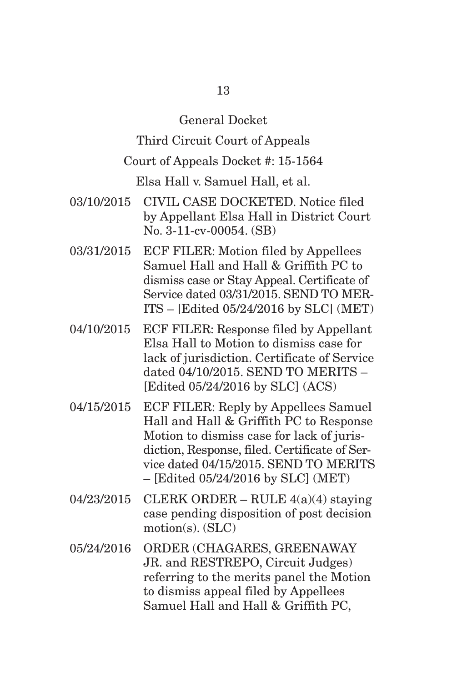# General Docket

Third Circuit Court of Appeals

### Court of Appeals Docket #: 15-1564

Elsa Hall v. Samuel Hall, et al.

- 03/10/2015 CIVIL CASE DOCKETED. Notice filed by Appellant Elsa Hall in District Court No. 3-11-cv-00054. (SB)
- 03/31/2015 ECF FILER: Motion filed by Appellees Samuel Hall and Hall & Griffith PC to dismiss case or Stay Appeal. Certificate of Service dated 03/31/2015. SEND TO MER-ITS – [Edited 05/24/2016 by SLC] (MET)
- 04/10/2015 ECF FILER: Response filed by Appellant Elsa Hall to Motion to dismiss case for lack of jurisdiction. Certificate of Service dated 04/10/2015. SEND TO MERITS – [Edited 05/24/2016 by SLC] (ACS)
- 04/15/2015 ECF FILER: Reply by Appellees Samuel Hall and Hall & Griffith PC to Response Motion to dismiss case for lack of jurisdiction, Response, filed. Certificate of Service dated 04/15/2015. SEND TO MERITS – [Edited 05/24/2016 by SLC] (MET)
- $04/23/2015$  CLERK ORDER RULE  $4(a)(4)$  staving case pending disposition of post decision motion(s). (SLC)
- 05/24/2016 ORDER (CHAGARES, GREENAWAY JR. and RESTREPO, Circuit Judges) referring to the merits panel the Motion to dismiss appeal filed by Appellees Samuel Hall and Hall & Griffith PC,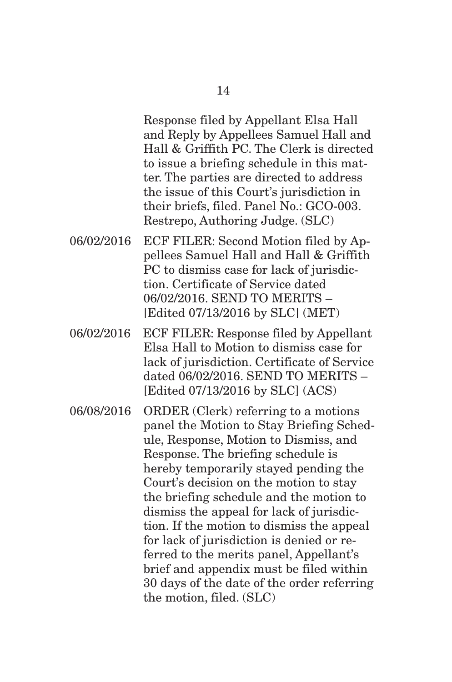Response filed by Appellant Elsa Hall and Reply by Appellees Samuel Hall and Hall & Griffith PC. The Clerk is directed to issue a briefing schedule in this matter. The parties are directed to address the issue of this Court's jurisdiction in their briefs, filed. Panel No.: GCO-003. Restrepo, Authoring Judge. (SLC)

- 06/02/2016 ECF FILER: Second Motion filed by Appellees Samuel Hall and Hall & Griffith PC to dismiss case for lack of jurisdiction. Certificate of Service dated 06/02/2016. SEND TO MERITS – [Edited 07/13/2016 by SLC] (MET)
- 06/02/2016 ECF FILER: Response filed by Appellant Elsa Hall to Motion to dismiss case for lack of jurisdiction. Certificate of Service dated 06/02/2016. SEND TO MERITS – [Edited 07/13/2016 by SLC] (ACS)

06/08/2016 ORDER (Clerk) referring to a motions panel the Motion to Stay Briefing Schedule, Response, Motion to Dismiss, and Response. The briefing schedule is hereby temporarily stayed pending the Court's decision on the motion to stay the briefing schedule and the motion to dismiss the appeal for lack of jurisdiction. If the motion to dismiss the appeal for lack of jurisdiction is denied or referred to the merits panel, Appellant's brief and appendix must be filed within 30 days of the date of the order referring the motion, filed. (SLC)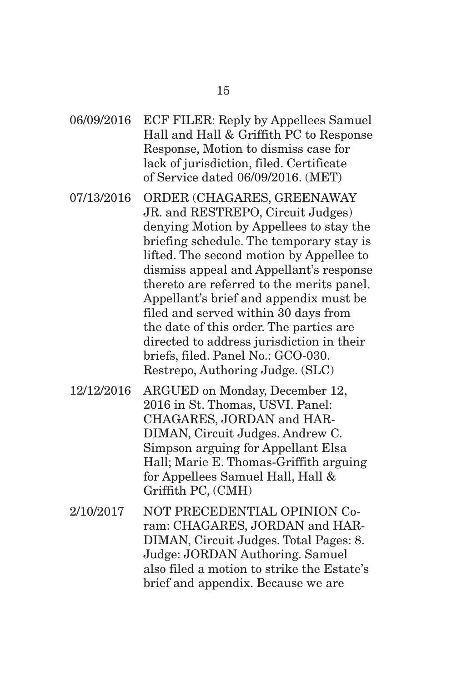- 06/09/2016 ECF FILER: Reply by Appellees Samuel Hall and Hall & Griffith PC to Response Response, Motion to dismiss case for lack of jurisdiction, filed. Certificate of Service dated 06/09/2016. (MET)
- 07/13/2016 ORDER (CHAGARES, GREENAWAY JR. and RESTREPO, Circuit Judges) denying Motion by Appellees to stay the briefing schedule. The temporary stay is lifted. The second motion by Appellee to dismiss appeal and Appellant's response thereto are referred to the merits panel. Appellant's brief and appendix must be filed and served within 30 days from the date of this order. The parties are directed to address jurisdiction in their briefs, filed. Panel No.: GCO-030. Restrepo, Authoring Judge. (SLC)
- 12/12/2016 ARGUED on Monday, December 12, 2016 in St. Thomas, USVI. Panel: CHAGARES, JORDAN and HAR-DIMAN, Circuit Judges. Andrew C. Simpson arguing for Appellant Elsa Hall; Marie E. Thomas-Griffith arguing for Appellees Samuel Hall, Hall & Griffith PC, (CMH)
- 2/10/2017 NOT PRECEDENTIAL OPINION Coram: CHAGARES, JORDAN and HAR-DIMAN, Circuit Judges. Total Pages: 8. Judge: JORDAN Authoring. Samuel also filed a motion to strike the Estate's brief and appendix. Because we are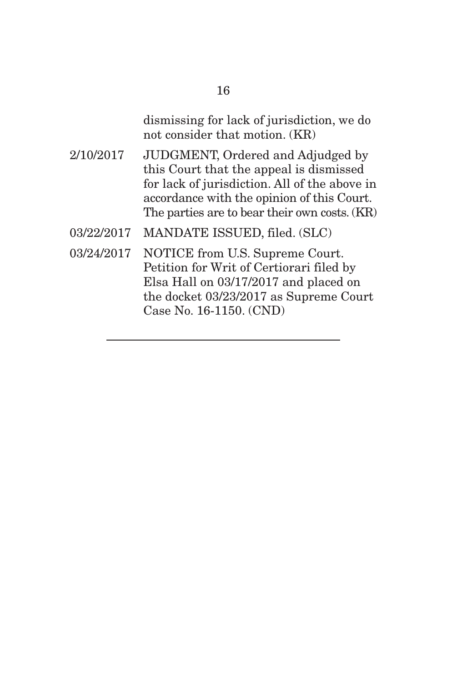dismissing for lack of jurisdiction, we do not consider that motion. (KR)

- 2/10/2017 JUDGMENT, Ordered and Adjudged by this Court that the appeal is dismissed for lack of jurisdiction. All of the above in accordance with the opinion of this Court. The parties are to bear their own costs. (KR)
- 03/22/2017 MANDATE ISSUED, filed. (SLC)
- 03/24/2017 NOTICE from U.S. Supreme Court. Petition for Writ of Certiorari filed by Elsa Hall on 03/17/2017 and placed on the docket 03/23/2017 as Supreme Court Case No. 16-1150. (CND)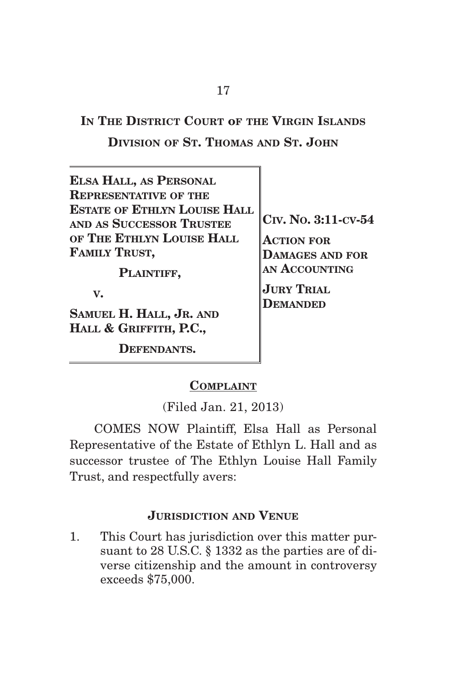**IN THE DISTRICT COURT oF THE VIRGIN ISLANDS DIVISION OF ST. THOMAS AND ST. JOHN**

| <b>ELSA HALL, AS PERSONAL</b><br><b>REPRESENTATIVE OF THE</b>   |                                             |
|-----------------------------------------------------------------|---------------------------------------------|
| <b>ESTATE OF ETHLYN LOUISE HALL</b><br>AND AS SUCCESSOR TRUSTEE | $ {\rm C\scriptstyle IV}$ . No. 3:11-cv-54  |
| OF THE ETHLYN LOUISE HALL<br><b>FAMILY TRUST,</b>               | <b>ACTION FOR</b><br><b>DAMAGES AND FOR</b> |
| PLAINTIFF,                                                      | AN ACCOUNTING                               |
| $\mathbf{V}_{\bullet}$                                          | <b>JURY TRIAL</b><br><b>DEMANDED</b>        |
| SAMUEL H. HALL, JR. AND<br>HALL & GRIFFITH, P.C.,               |                                             |
| EFENDANTS.                                                      |                                             |

#### **COMPLAINT**

(Filed Jan. 21, 2013)

 COMES NOW Plaintiff, Elsa Hall as Personal Representative of the Estate of Ethlyn L. Hall and as successor trustee of The Ethlyn Louise Hall Family Trust, and respectfully avers:

#### **JURISDICTION AND VENUE**

1. This Court has jurisdiction over this matter pursuant to 28 U.S.C. § 1332 as the parties are of diverse citizenship and the amount in controversy exceeds \$75,000.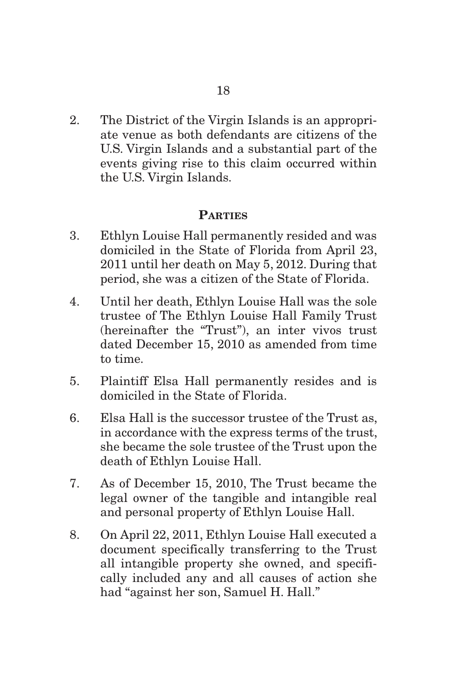2. The District of the Virgin Islands is an appropriate venue as both defendants are citizens of the U.S. Virgin Islands and a substantial part of the events giving rise to this claim occurred within the U.S. Virgin Islands.

#### **PARTIES**

- 3. Ethlyn Louise Hall permanently resided and was domiciled in the State of Florida from April 23, 2011 until her death on May 5, 2012. During that period, she was a citizen of the State of Florida.
- 4. Until her death, Ethlyn Louise Hall was the sole trustee of The Ethlyn Louise Hall Family Trust (hereinafter the "Trust"), an inter vivos trust dated December 15, 2010 as amended from time to time.
- 5. Plaintiff Elsa Hall permanently resides and is domiciled in the State of Florida.
- 6. Elsa Hall is the successor trustee of the Trust as, in accordance with the express terms of the trust, she became the sole trustee of the Trust upon the death of Ethlyn Louise Hall.
- 7. As of December 15, 2010, The Trust became the legal owner of the tangible and intangible real and personal property of Ethlyn Louise Hall.
- 8. On April 22, 2011, Ethlyn Louise Hall executed a document specifically transferring to the Trust all intangible property she owned, and specifically included any and all causes of action she had "against her son, Samuel H. Hall."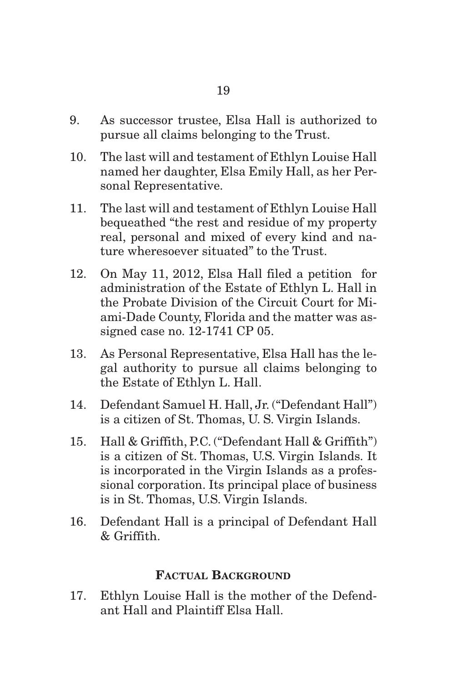- 9. As successor trustee, Elsa Hall is authorized to pursue all claims belonging to the Trust.
- 10. The last will and testament of Ethlyn Louise Hall named her daughter, Elsa Emily Hall, as her Personal Representative.
- 11. The last will and testament of Ethlyn Louise Hall bequeathed "the rest and residue of my property real, personal and mixed of every kind and nature wheresoever situated" to the Trust.
- 12. On May 11, 2012, Elsa Hall filed a petition for administration of the Estate of Ethlyn L. Hall in the Probate Division of the Circuit Court for Miami-Dade County, Florida and the matter was assigned case no. 12-1741 CP 05.
- 13. As Personal Representative, Elsa Hall has the legal authority to pursue all claims belonging to the Estate of Ethlyn L. Hall.
- 14. Defendant Samuel H. Hall, Jr. ("Defendant Hall") is a citizen of St. Thomas, U. S. Virgin Islands.
- 15. Hall & Griffith, P.C. ("Defendant Hall & Griffith") is a citizen of St. Thomas, U.S. Virgin Islands. It is incorporated in the Virgin Islands as a professional corporation. Its principal place of business is in St. Thomas, U.S. Virgin Islands.
- 16. Defendant Hall is a principal of Defendant Hall & Griffith.

#### **FACTUAL BACKGROUND**

17. Ethlyn Louise Hall is the mother of the Defendant Hall and Plaintiff Elsa Hall.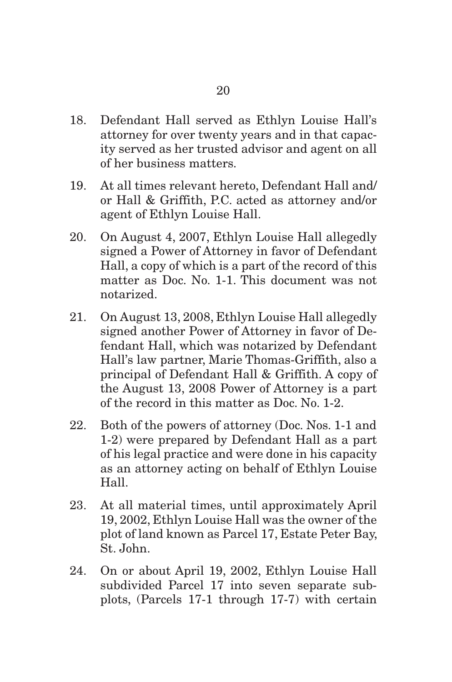- 18. Defendant Hall served as Ethlyn Louise Hall's attorney for over twenty years and in that capacity served as her trusted advisor and agent on all of her business matters.
- 19. At all times relevant hereto, Defendant Hall and/ or Hall & Griffith, P.C. acted as attorney and/or agent of Ethlyn Louise Hall.
- 20. On August 4, 2007, Ethlyn Louise Hall allegedly signed a Power of Attorney in favor of Defendant Hall, a copy of which is a part of the record of this matter as Doc. No. 1-1. This document was not notarized.
- 21. On August 13, 2008, Ethlyn Louise Hall allegedly signed another Power of Attorney in favor of Defendant Hall, which was notarized by Defendant Hall's law partner, Marie Thomas-Griffith, also a principal of Defendant Hall & Griffith. A copy of the August 13, 2008 Power of Attorney is a part of the record in this matter as Doc. No. 1-2.
- 22. Both of the powers of attorney (Doc. Nos. 1-1 and 1-2) were prepared by Defendant Hall as a part of his legal practice and were done in his capacity as an attorney acting on behalf of Ethlyn Louise Hall.
- 23. At all material times, until approximately April 19, 2002, Ethlyn Louise Hall was the owner of the plot of land known as Parcel 17, Estate Peter Bay, St. John.
- 24. On or about April 19, 2002, Ethlyn Louise Hall subdivided Parcel 17 into seven separate subplots, (Parcels 17-1 through 17-7) with certain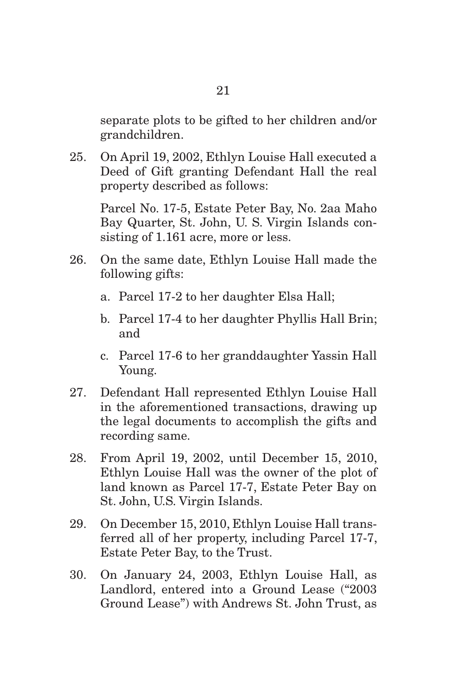25. On April 19, 2002, Ethlyn Louise Hall executed a Deed of Gift granting Defendant Hall the real property described as follows:

grandchildren.

Parcel No. 17-5, Estate Peter Bay, No. 2aa Maho Bay Quarter, St. John, U. S. Virgin Islands consisting of 1.161 acre, more or less.

- 26. On the same date, Ethlyn Louise Hall made the following gifts:
	- a. Parcel 17-2 to her daughter Elsa Hall;
	- b. Parcel 17-4 to her daughter Phyllis Hall Brin; and
	- c. Parcel 17-6 to her granddaughter Yassin Hall Young.
- 27. Defendant Hall represented Ethlyn Louise Hall in the aforementioned transactions, drawing up the legal documents to accomplish the gifts and recording same.
- 28. From April 19, 2002, until December 15, 2010, Ethlyn Louise Hall was the owner of the plot of land known as Parcel 17-7, Estate Peter Bay on St. John, U.S. Virgin Islands.
- 29. On December 15, 2010, Ethlyn Louise Hall transferred all of her property, including Parcel 17-7, Estate Peter Bay, to the Trust.
- 30. On January 24, 2003, Ethlyn Louise Hall, as Landlord, entered into a Ground Lease ("2003 Ground Lease") with Andrews St. John Trust, as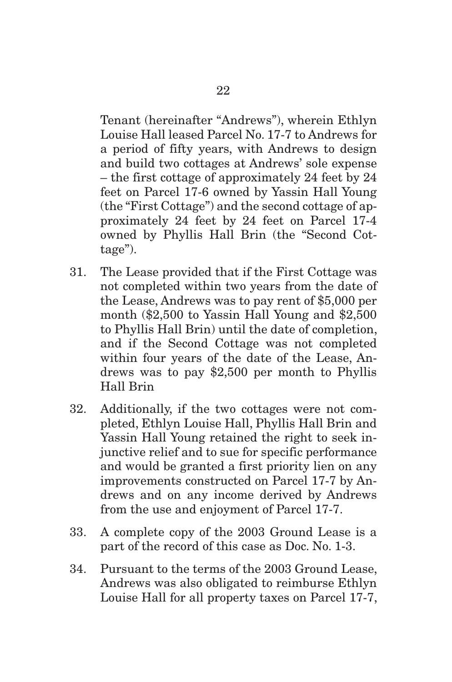Tenant (hereinafter "Andrews"), wherein Ethlyn Louise Hall leased Parcel No. 17-7 to Andrews for a period of fifty years, with Andrews to design and build two cottages at Andrews' sole expense – the first cottage of approximately 24 feet by 24 feet on Parcel 17-6 owned by Yassin Hall Young (the "First Cottage") and the second cottage of approximately 24 feet by 24 feet on Parcel 17-4 owned by Phyllis Hall Brin (the "Second Cottage").

- 31. The Lease provided that if the First Cottage was not completed within two years from the date of the Lease, Andrews was to pay rent of \$5,000 per month (\$2,500 to Yassin Hall Young and \$2,500 to Phyllis Hall Brin) until the date of completion, and if the Second Cottage was not completed within four years of the date of the Lease, Andrews was to pay \$2,500 per month to Phyllis Hall Brin
- 32. Additionally, if the two cottages were not completed, Ethlyn Louise Hall, Phyllis Hall Brin and Yassin Hall Young retained the right to seek injunctive relief and to sue for specific performance and would be granted a first priority lien on any improvements constructed on Parcel 17-7 by Andrews and on any income derived by Andrews from the use and enjoyment of Parcel 17-7.
- 33. A complete copy of the 2003 Ground Lease is a part of the record of this case as Doc. No. 1-3.
- 34. Pursuant to the terms of the 2003 Ground Lease, Andrews was also obligated to reimburse Ethlyn Louise Hall for all property taxes on Parcel 17-7,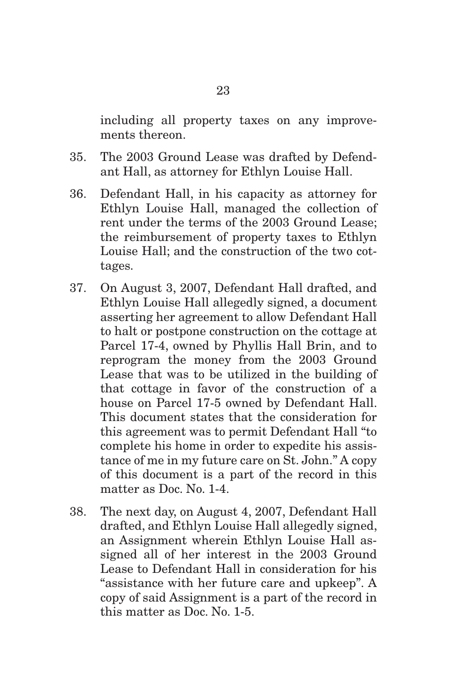including all property taxes on any improvements thereon.

- 35. The 2003 Ground Lease was drafted by Defendant Hall, as attorney for Ethlyn Louise Hall.
- 36. Defendant Hall, in his capacity as attorney for Ethlyn Louise Hall, managed the collection of rent under the terms of the 2003 Ground Lease; the reimbursement of property taxes to Ethlyn Louise Hall; and the construction of the two cottages.
- 37. On August 3, 2007, Defendant Hall drafted, and Ethlyn Louise Hall allegedly signed, a document asserting her agreement to allow Defendant Hall to halt or postpone construction on the cottage at Parcel 17-4, owned by Phyllis Hall Brin, and to reprogram the money from the 2003 Ground Lease that was to be utilized in the building of that cottage in favor of the construction of a house on Parcel 17-5 owned by Defendant Hall. This document states that the consideration for this agreement was to permit Defendant Hall "to complete his home in order to expedite his assistance of me in my future care on St. John." A copy of this document is a part of the record in this matter as Doc. No. 1-4.
- 38. The next day, on August 4, 2007, Defendant Hall drafted, and Ethlyn Louise Hall allegedly signed, an Assignment wherein Ethlyn Louise Hall assigned all of her interest in the 2003 Ground Lease to Defendant Hall in consideration for his "assistance with her future care and upkeep". A copy of said Assignment is a part of the record in this matter as Doc. No. 1-5.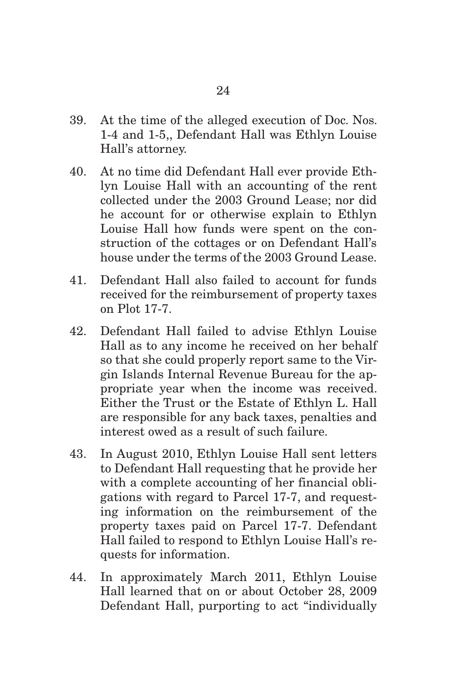- 39. At the time of the alleged execution of Doc. Nos. 1-4 and 1-5,, Defendant Hall was Ethlyn Louise Hall's attorney.
- 40. At no time did Defendant Hall ever provide Ethlyn Louise Hall with an accounting of the rent collected under the 2003 Ground Lease; nor did he account for or otherwise explain to Ethlyn Louise Hall how funds were spent on the construction of the cottages or on Defendant Hall's house under the terms of the 2003 Ground Lease.
- 41. Defendant Hall also failed to account for funds received for the reimbursement of property taxes on Plot 17-7.
- 42. Defendant Hall failed to advise Ethlyn Louise Hall as to any income he received on her behalf so that she could properly report same to the Virgin Islands Internal Revenue Bureau for the appropriate year when the income was received. Either the Trust or the Estate of Ethlyn L. Hall are responsible for any back taxes, penalties and interest owed as a result of such failure.
- 43. In August 2010, Ethlyn Louise Hall sent letters to Defendant Hall requesting that he provide her with a complete accounting of her financial obligations with regard to Parcel 17-7, and requesting information on the reimbursement of the property taxes paid on Parcel 17-7. Defendant Hall failed to respond to Ethlyn Louise Hall's requests for information.
- 44. In approximately March 2011, Ethlyn Louise Hall learned that on or about October 28, 2009 Defendant Hall, purporting to act "individually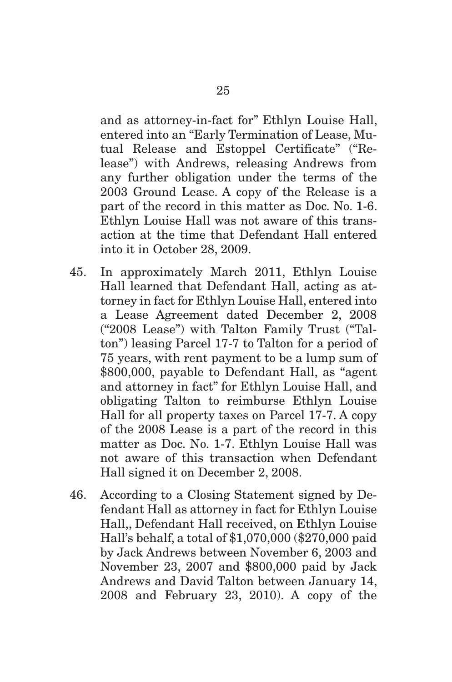and as attorney-in-fact for" Ethlyn Louise Hall, entered into an "Early Termination of Lease, Mutual Release and Estoppel Certificate" ("Release") with Andrews, releasing Andrews from any further obligation under the terms of the 2003 Ground Lease. A copy of the Release is a part of the record in this matter as Doc. No. 1-6. Ethlyn Louise Hall was not aware of this transaction at the time that Defendant Hall entered into it in October 28, 2009.

- 45. In approximately March 2011, Ethlyn Louise Hall learned that Defendant Hall, acting as attorney in fact for Ethlyn Louise Hall, entered into a Lease Agreement dated December 2, 2008 ("2008 Lease") with Talton Family Trust ("Talton") leasing Parcel 17-7 to Talton for a period of 75 years, with rent payment to be a lump sum of \$800,000, payable to Defendant Hall, as "agent and attorney in fact" for Ethlyn Louise Hall, and obligating Talton to reimburse Ethlyn Louise Hall for all property taxes on Parcel 17-7. A copy of the 2008 Lease is a part of the record in this matter as Doc. No. 1-7. Ethlyn Louise Hall was not aware of this transaction when Defendant Hall signed it on December 2, 2008.
- 46. According to a Closing Statement signed by Defendant Hall as attorney in fact for Ethlyn Louise Hall,, Defendant Hall received, on Ethlyn Louise Hall's behalf, a total of \$1,070,000 (\$270,000 paid by Jack Andrews between November 6, 2003 and November 23, 2007 and \$800,000 paid by Jack Andrews and David Talton between January 14, 2008 and February 23, 2010). A copy of the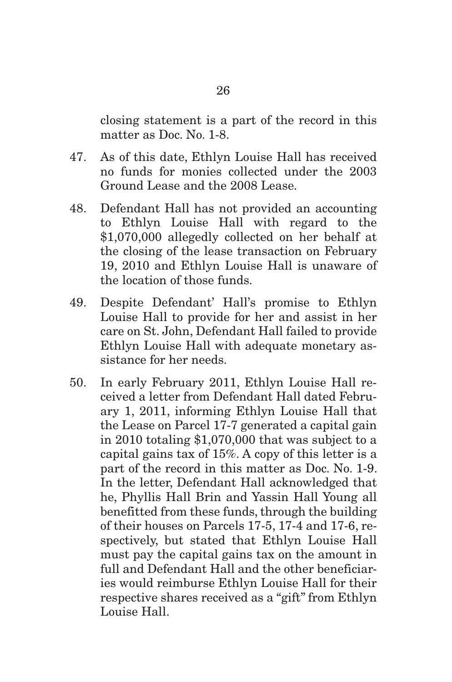closing statement is a part of the record in this matter as Doc. No. 1-8.

- 47. As of this date, Ethlyn Louise Hall has received no funds for monies collected under the 2003 Ground Lease and the 2008 Lease.
- 48. Defendant Hall has not provided an accounting to Ethlyn Louise Hall with regard to the \$1,070,000 allegedly collected on her behalf at the closing of the lease transaction on February 19, 2010 and Ethlyn Louise Hall is unaware of the location of those funds.
- 49. Despite Defendant' Hall's promise to Ethlyn Louise Hall to provide for her and assist in her care on St. John, Defendant Hall failed to provide Ethlyn Louise Hall with adequate monetary assistance for her needs.
- 50. In early February 2011, Ethlyn Louise Hall received a letter from Defendant Hall dated February 1, 2011, informing Ethlyn Louise Hall that the Lease on Parcel 17-7 generated a capital gain in 2010 totaling \$1,070,000 that was subject to a capital gains tax of 15%. A copy of this letter is a part of the record in this matter as Doc. No. 1-9. In the letter, Defendant Hall acknowledged that he, Phyllis Hall Brin and Yassin Hall Young all benefitted from these funds, through the building of their houses on Parcels 17-5, 17-4 and 17-6, respectively, but stated that Ethlyn Louise Hall must pay the capital gains tax on the amount in full and Defendant Hall and the other beneficiaries would reimburse Ethlyn Louise Hall for their respective shares received as a "gift" from Ethlyn Louise Hall.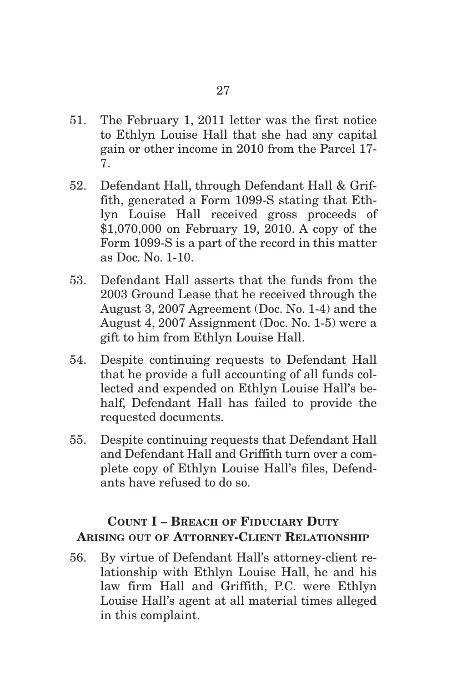- 51. The February 1, 2011 letter was the first notice to Ethlyn Louise Hall that she had any capital gain or other income in 2010 from the Parcel 17- 7.
- 52. Defendant Hall, through Defendant Hall & Griffith, generated a Form 1099-S stating that Ethlyn Louise Hall received gross proceeds of \$1,070,000 on February 19, 2010. A copy of the Form 1099-S is a part of the record in this matter as Doc. No. 1-10.
- 53. Defendant Hall asserts that the funds from the 2003 Ground Lease that he received through the August 3, 2007 Agreement (Doc. No. 1-4) and the August 4, 2007 Assignment (Doc. No. 1-5) were a gift to him from Ethlyn Louise Hall.
- 54. Despite continuing requests to Defendant Hall that he provide a full accounting of all funds collected and expended on Ethlyn Louise Hall's behalf, Defendant Hall has failed to provide the requested documents.
- 55. Despite continuing requests that Defendant Hall and Defendant Hall and Griffith turn over a complete copy of Ethlyn Louise Hall's files, Defendants have refused to do so.

# **COUNT I – BREACH OF FIDUCIARY DUTY ARISING OUT OF ATTORNEY-CLIENT RELATIONSHIP**

56. By virtue of Defendant Hall's attorney-client relationship with Ethlyn Louise Hall, he and his law firm Hall and Griffith, P.C. were Ethlyn Louise Hall's agent at all material times alleged in this complaint.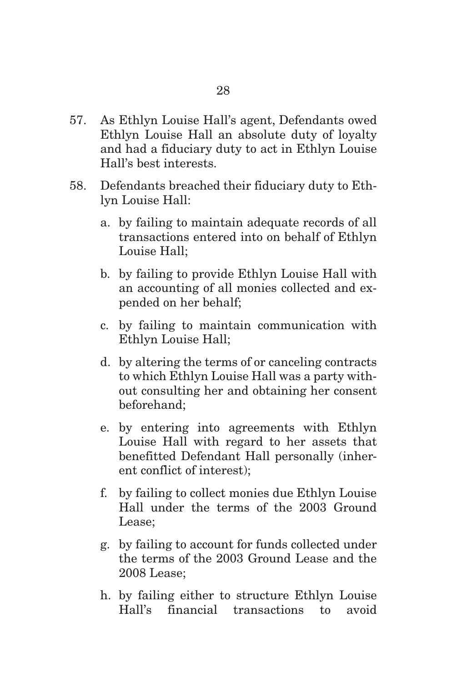- 57. As Ethlyn Louise Hall's agent, Defendants owed Ethlyn Louise Hall an absolute duty of loyalty and had a fiduciary duty to act in Ethlyn Louise Hall's best interests.
- 58. Defendants breached their fiduciary duty to Ethlyn Louise Hall:
	- a. by failing to maintain adequate records of all transactions entered into on behalf of Ethlyn Louise Hall;
	- b. by failing to provide Ethlyn Louise Hall with an accounting of all monies collected and expended on her behalf;
	- c. by failing to maintain communication with Ethlyn Louise Hall;
	- d. by altering the terms of or canceling contracts to which Ethlyn Louise Hall was a party without consulting her and obtaining her consent beforehand;
	- e. by entering into agreements with Ethlyn Louise Hall with regard to her assets that benefitted Defendant Hall personally (inherent conflict of interest);
	- f. by failing to collect monies due Ethlyn Louise Hall under the terms of the 2003 Ground Lease;
	- g. by failing to account for funds collected under the terms of the 2003 Ground Lease and the 2008 Lease;
	- h. by failing either to structure Ethlyn Louise Hall's financial transactions to avoid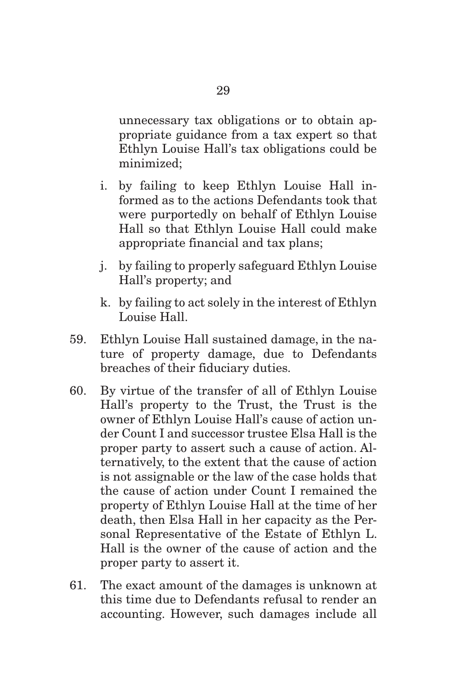unnecessary tax obligations or to obtain appropriate guidance from a tax expert so that Ethlyn Louise Hall's tax obligations could be minimized;

- i. by failing to keep Ethlyn Louise Hall informed as to the actions Defendants took that were purportedly on behalf of Ethlyn Louise Hall so that Ethlyn Louise Hall could make appropriate financial and tax plans;
- j. by failing to properly safeguard Ethlyn Louise Hall's property; and
- k. by failing to act solely in the interest of Ethlyn Louise Hall.
- 59. Ethlyn Louise Hall sustained damage, in the nature of property damage, due to Defendants breaches of their fiduciary duties.
- 60. By virtue of the transfer of all of Ethlyn Louise Hall's property to the Trust, the Trust is the owner of Ethlyn Louise Hall's cause of action under Count I and successor trustee Elsa Hall is the proper party to assert such a cause of action. Alternatively, to the extent that the cause of action is not assignable or the law of the case holds that the cause of action under Count I remained the property of Ethlyn Louise Hall at the time of her death, then Elsa Hall in her capacity as the Personal Representative of the Estate of Ethlyn L. Hall is the owner of the cause of action and the proper party to assert it.
- 61. The exact amount of the damages is unknown at this time due to Defendants refusal to render an accounting. However, such damages include all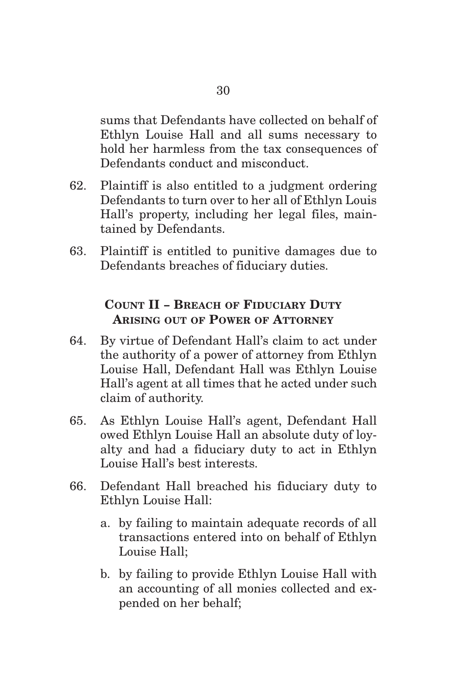sums that Defendants have collected on behalf of Ethlyn Louise Hall and all sums necessary to hold her harmless from the tax consequences of Defendants conduct and misconduct.

- 62. Plaintiff is also entitled to a judgment ordering Defendants to turn over to her all of Ethlyn Louis Hall's property, including her legal files, maintained by Defendants.
- 63. Plaintiff is entitled to punitive damages due to Defendants breaches of fiduciary duties.

# **COUNT II - BREACH OF FIDUCIARY DUTY ARISING OUT OF POWER OF ATTORNEY**

- 64. By virtue of Defendant Hall's claim to act under the authority of a power of attorney from Ethlyn Louise Hall, Defendant Hall was Ethlyn Louise Hall's agent at all times that he acted under such claim of authority.
- 65. As Ethlyn Louise Hall's agent, Defendant Hall owed Ethlyn Louise Hall an absolute duty of loyalty and had a fiduciary duty to act in Ethlyn Louise Hall's best interests.
- 66. Defendant Hall breached his fiduciary duty to Ethlyn Louise Hall:
	- a. by failing to maintain adequate records of all transactions entered into on behalf of Ethlyn Louise Hall;
	- b. by failing to provide Ethlyn Louise Hall with an accounting of all monies collected and expended on her behalf;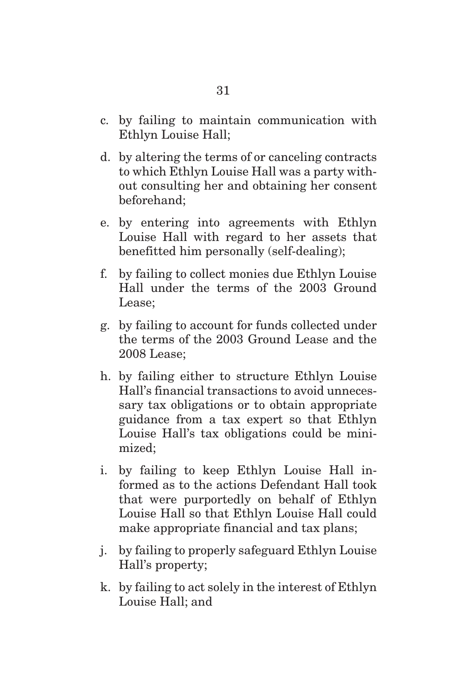- c. by failing to maintain communication with Ethlyn Louise Hall;
- d. by altering the terms of or canceling contracts to which Ethlyn Louise Hall was a party without consulting her and obtaining her consent beforehand;
- e. by entering into agreements with Ethlyn Louise Hall with regard to her assets that benefitted him personally (self-dealing);
- f. by failing to collect monies due Ethlyn Louise Hall under the terms of the 2003 Ground Lease;
- g. by failing to account for funds collected under the terms of the 2003 Ground Lease and the 2008 Lease;
- h. by failing either to structure Ethlyn Louise Hall's financial transactions to avoid unnecessary tax obligations or to obtain appropriate guidance from a tax expert so that Ethlyn Louise Hall's tax obligations could be minimized;
- i. by failing to keep Ethlyn Louise Hall informed as to the actions Defendant Hall took that were purportedly on behalf of Ethlyn Louise Hall so that Ethlyn Louise Hall could make appropriate financial and tax plans;
- j. by failing to properly safeguard Ethlyn Louise Hall's property;
- k. by failing to act solely in the interest of Ethlyn Louise Hall; and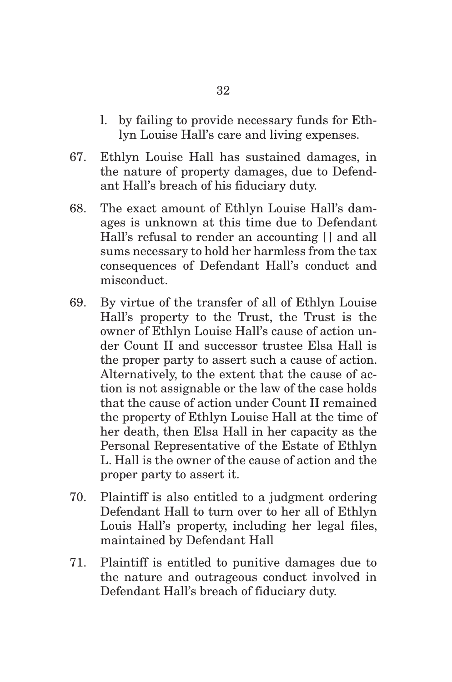- l. by failing to provide necessary funds for Ethlyn Louise Hall's care and living expenses.
- 67. Ethlyn Louise Hall has sustained damages, in the nature of property damages, due to Defendant Hall's breach of his fiduciary duty.
- 68. The exact amount of Ethlyn Louise Hall's damages is unknown at this time due to Defendant Hall's refusal to render an accounting  $\lfloor \cdot \rfloor$  and all sums necessary to hold her harmless from the tax consequences of Defendant Hall's conduct and misconduct.
- 69. By virtue of the transfer of all of Ethlyn Louise Hall's property to the Trust, the Trust is the owner of Ethlyn Louise Hall's cause of action under Count II and successor trustee Elsa Hall is the proper party to assert such a cause of action. Alternatively, to the extent that the cause of action is not assignable or the law of the case holds that the cause of action under Count II remained the property of Ethlyn Louise Hall at the time of her death, then Elsa Hall in her capacity as the Personal Representative of the Estate of Ethlyn L. Hall is the owner of the cause of action and the proper party to assert it.
- 70. Plaintiff is also entitled to a judgment ordering Defendant Hall to turn over to her all of Ethlyn Louis Hall's property, including her legal files, maintained by Defendant Hall
- 71. Plaintiff is entitled to punitive damages due to the nature and outrageous conduct involved in Defendant Hall's breach of fiduciary duty.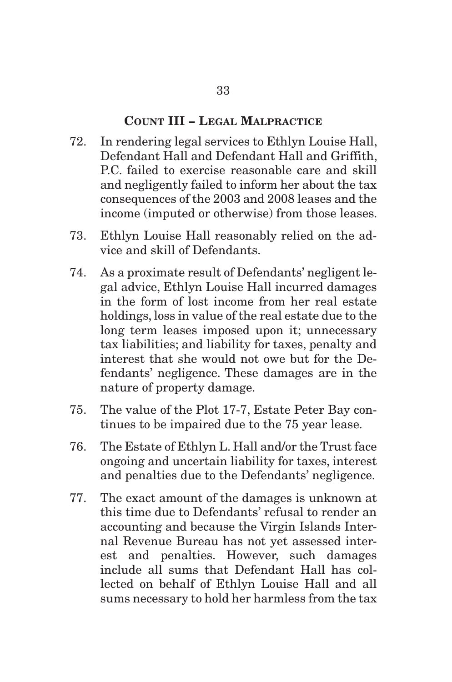#### **COUNT III – LEGAL MALPRACTICE**

- 72. In rendering legal services to Ethlyn Louise Hall, Defendant Hall and Defendant Hall and Griffith, P.C. failed to exercise reasonable care and skill and negligently failed to inform her about the tax consequences of the 2003 and 2008 leases and the income (imputed or otherwise) from those leases.
- 73. Ethlyn Louise Hall reasonably relied on the advice and skill of Defendants.
- 74. As a proximate result of Defendants' negligent legal advice, Ethlyn Louise Hall incurred damages in the form of lost income from her real estate holdings, loss in value of the real estate due to the long term leases imposed upon it; unnecessary tax liabilities; and liability for taxes, penalty and interest that she would not owe but for the Defendants' negligence. These damages are in the nature of property damage.
- 75. The value of the Plot 17-7, Estate Peter Bay continues to be impaired due to the 75 year lease.
- 76. The Estate of Ethlyn L. Hall and/or the Trust face ongoing and uncertain liability for taxes, interest and penalties due to the Defendants' negligence.
- 77. The exact amount of the damages is unknown at this time due to Defendants' refusal to render an accounting and because the Virgin Islands Internal Revenue Bureau has not yet assessed interest and penalties. However, such damages include all sums that Defendant Hall has collected on behalf of Ethlyn Louise Hall and all sums necessary to hold her harmless from the tax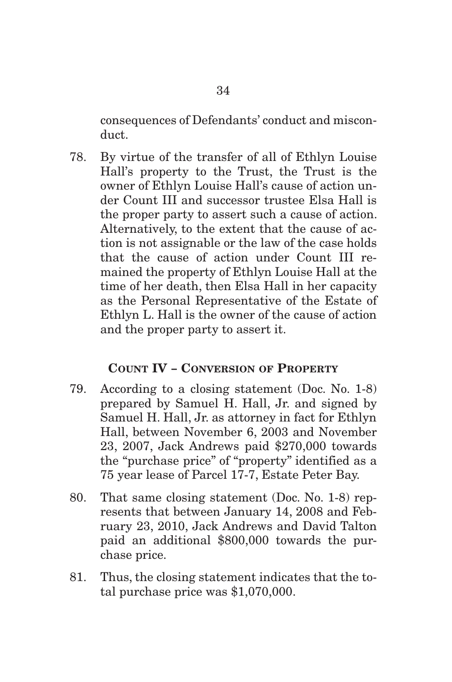consequences of Defendants' conduct and misconduct.

78. By virtue of the transfer of all of Ethlyn Louise Hall's property to the Trust, the Trust is the owner of Ethlyn Louise Hall's cause of action under Count III and successor trustee Elsa Hall is the proper party to assert such a cause of action. Alternatively, to the extent that the cause of action is not assignable or the law of the case holds that the cause of action under Count III remained the property of Ethlyn Louise Hall at the time of her death, then Elsa Hall in her capacity as the Personal Representative of the Estate of Ethlyn L. Hall is the owner of the cause of action and the proper party to assert it.

### **COUNT IV - CONVERSION OF PROPERTY**

- 79. According to a closing statement (Doc. No. 1-8) prepared by Samuel H. Hall, Jr. and signed by Samuel H. Hall, Jr. as attorney in fact for Ethlyn Hall, between November 6, 2003 and November 23, 2007, Jack Andrews paid \$270,000 towards the "purchase price" of "property" identified as a 75 year lease of Parcel 17-7, Estate Peter Bay.
- 80. That same closing statement (Doc. No. 1-8) represents that between January 14, 2008 and February 23, 2010, Jack Andrews and David Talton paid an additional \$800,000 towards the purchase price.
- 81. Thus, the closing statement indicates that the total purchase price was \$1,070,000.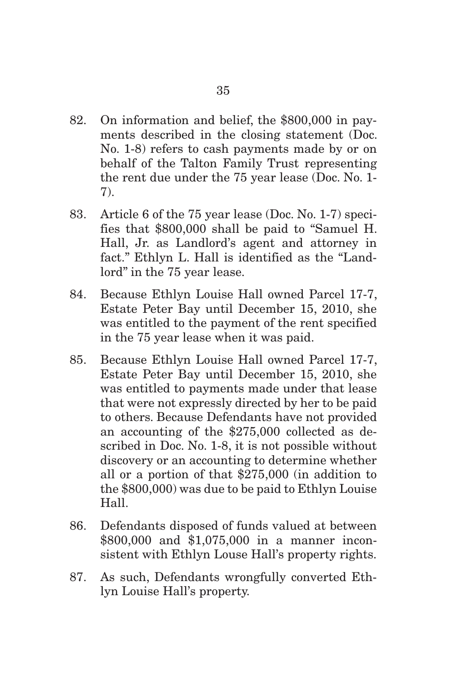- 82. On information and belief, the \$800,000 in payments described in the closing statement (Doc. No. 1-8) refers to cash payments made by or on behalf of the Talton Family Trust representing the rent due under the 75 year lease (Doc. No. 1- 7).
- 83. Article 6 of the 75 year lease (Doc. No. 1-7) specifies that \$800,000 shall be paid to "Samuel H. Hall, Jr. as Landlord's agent and attorney in fact." Ethlyn L. Hall is identified as the "Landlord" in the 75 year lease.
- 84. Because Ethlyn Louise Hall owned Parcel 17-7, Estate Peter Bay until December 15, 2010, she was entitled to the payment of the rent specified in the 75 year lease when it was paid.
- 85. Because Ethlyn Louise Hall owned Parcel 17-7, Estate Peter Bay until December 15, 2010, she was entitled to payments made under that lease that were not expressly directed by her to be paid to others. Because Defendants have not provided an accounting of the \$275,000 collected as described in Doc. No. 1-8, it is not possible without discovery or an accounting to determine whether all or a portion of that \$275,000 (in addition to the \$800,000) was due to be paid to Ethlyn Louise Hall.
- 86. Defendants disposed of funds valued at between \$800,000 and \$1,075,000 in a manner inconsistent with Ethlyn Louse Hall's property rights.
- 87. As such, Defendants wrongfully converted Ethlyn Louise Hall's property.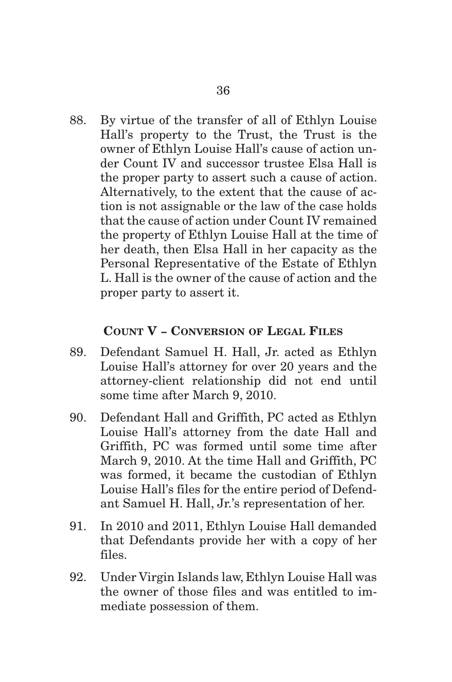88. By virtue of the transfer of all of Ethlyn Louise Hall's property to the Trust, the Trust is the owner of Ethlyn Louise Hall's cause of action under Count IV and successor trustee Elsa Hall is the proper party to assert such a cause of action. Alternatively, to the extent that the cause of action is not assignable or the law of the case holds that the cause of action under Count IV remained the property of Ethlyn Louise Hall at the time of her death, then Elsa Hall in her capacity as the Personal Representative of the Estate of Ethlyn L. Hall is the owner of the cause of action and the proper party to assert it.

### **COUNT V - CONVERSION OF LEGAL FILES**

- 89. Defendant Samuel H. Hall, Jr. acted as Ethlyn Louise Hall's attorney for over 20 years and the attorney-client relationship did not end until some time after March 9, 2010.
- 90. Defendant Hall and Griffith, PC acted as Ethlyn Louise Hall's attorney from the date Hall and Griffith, PC was formed until some time after March 9, 2010. At the time Hall and Griffith, PC was formed, it became the custodian of Ethlyn Louise Hall's files for the entire period of Defendant Samuel H. Hall, Jr.'s representation of her.
- 91. In 2010 and 2011, Ethlyn Louise Hall demanded that Defendants provide her with a copy of her files.
- 92. Under Virgin Islands law, Ethlyn Louise Hall was the owner of those files and was entitled to immediate possession of them.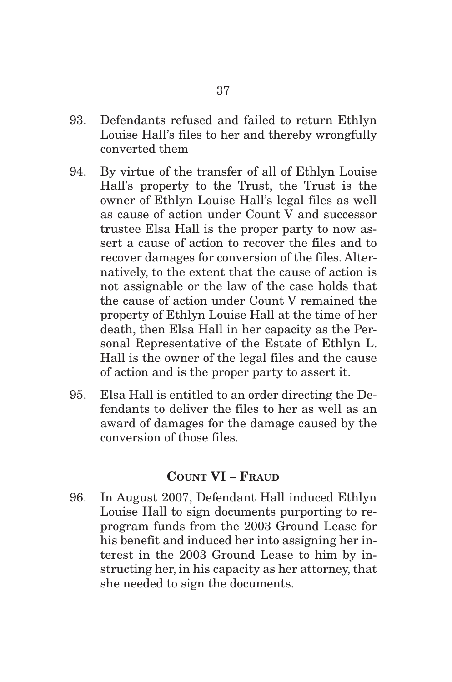- 93. Defendants refused and failed to return Ethlyn Louise Hall's files to her and thereby wrongfully converted them
- 94. By virtue of the transfer of all of Ethlyn Louise Hall's property to the Trust, the Trust is the owner of Ethlyn Louise Hall's legal files as well as cause of action under Count V and successor trustee Elsa Hall is the proper party to now assert a cause of action to recover the files and to recover damages for conversion of the files. Alternatively, to the extent that the cause of action is not assignable or the law of the case holds that the cause of action under Count V remained the property of Ethlyn Louise Hall at the time of her death, then Elsa Hall in her capacity as the Personal Representative of the Estate of Ethlyn L. Hall is the owner of the legal files and the cause of action and is the proper party to assert it.
- 95. Elsa Hall is entitled to an order directing the Defendants to deliver the files to her as well as an award of damages for the damage caused by the conversion of those files.

#### **COUNT VI – FRAUD**

96. In August 2007, Defendant Hall induced Ethlyn Louise Hall to sign documents purporting to reprogram funds from the 2003 Ground Lease for his benefit and induced her into assigning her interest in the 2003 Ground Lease to him by instructing her, in his capacity as her attorney, that she needed to sign the documents.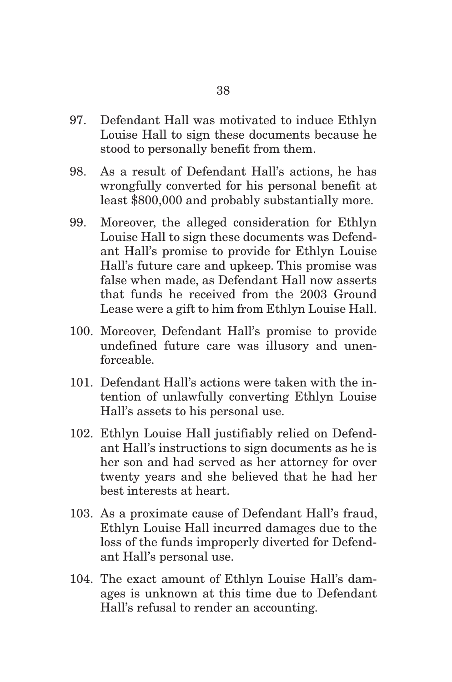- 97. Defendant Hall was motivated to induce Ethlyn Louise Hall to sign these documents because he stood to personally benefit from them.
- 98. As a result of Defendant Hall's actions, he has wrongfully converted for his personal benefit at least \$800,000 and probably substantially more.
- 99. Moreover, the alleged consideration for Ethlyn Louise Hall to sign these documents was Defendant Hall's promise to provide for Ethlyn Louise Hall's future care and upkeep. This promise was false when made, as Defendant Hall now asserts that funds he received from the 2003 Ground Lease were a gift to him from Ethlyn Louise Hall.
- 100. Moreover, Defendant Hall's promise to provide undefined future care was illusory and unenforceable.
- 101. Defendant Hall's actions were taken with the intention of unlawfully converting Ethlyn Louise Hall's assets to his personal use.
- 102. Ethlyn Louise Hall justifiably relied on Defendant Hall's instructions to sign documents as he is her son and had served as her attorney for over twenty years and she believed that he had her best interests at heart.
- 103. As a proximate cause of Defendant Hall's fraud, Ethlyn Louise Hall incurred damages due to the loss of the funds improperly diverted for Defendant Hall's personal use.
- 104. The exact amount of Ethlyn Louise Hall's damages is unknown at this time due to Defendant Hall's refusal to render an accounting.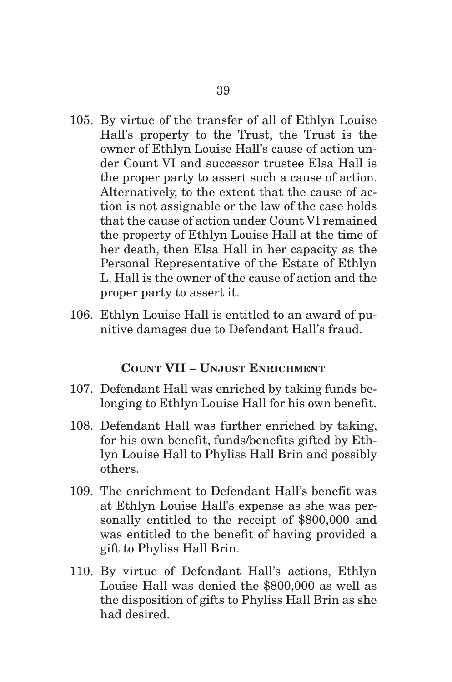- 105. By virtue of the transfer of all of Ethlyn Louise Hall's property to the Trust, the Trust is the owner of Ethlyn Louise Hall's cause of action under Count VI and successor trustee Elsa Hall is the proper party to assert such a cause of action. Alternatively, to the extent that the cause of action is not assignable or the law of the case holds that the cause of action under Count VI remained the property of Ethlyn Louise Hall at the time of her death, then Elsa Hall in her capacity as the Personal Representative of the Estate of Ethlyn L. Hall is the owner of the cause of action and the proper party to assert it.
- 106. Ethlyn Louise Hall is entitled to an award of punitive damages due to Defendant Hall's fraud.

#### **COUNT VII - UNJUST ENRICHMENT**

- 107. Defendant Hall was enriched by taking funds belonging to Ethlyn Louise Hall for his own benefit.
- 108. Defendant Hall was further enriched by taking, for his own benefit, funds/benefits gifted by Ethlyn Louise Hall to Phyliss Hall Brin and possibly others.
- 109. The enrichment to Defendant Hall's benefit was at Ethlyn Louise Hall's expense as she was personally entitled to the receipt of \$800,000 and was entitled to the benefit of having provided a gift to Phyliss Hall Brin.
- 110. By virtue of Defendant Hall's actions, Ethlyn Louise Hall was denied the \$800,000 as well as the disposition of gifts to Phyliss Hall Brin as she had desired.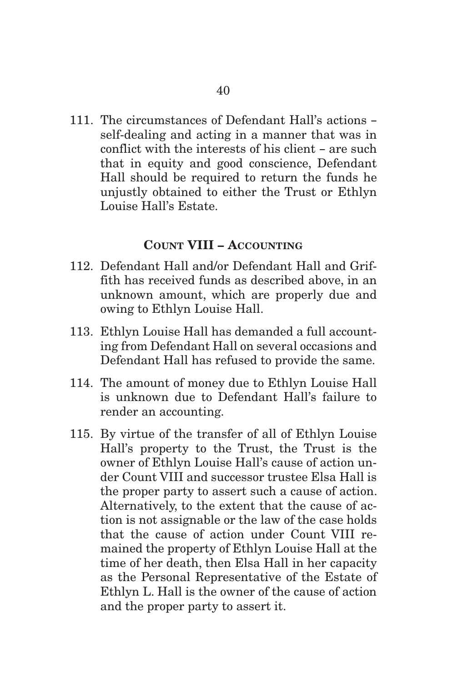111. The circumstances of Defendant Hall's actions self-dealing and acting in a manner that was in conflict with the interests of his client – are such that in equity and good conscience, Defendant Hall should be required to return the funds he unjustly obtained to either the Trust or Ethlyn Louise Hall's Estate.

## **COUNT VIII – ACCOUNTING**

- 112. Defendant Hall and/or Defendant Hall and Griffith has received funds as described above, in an unknown amount, which are properly due and owing to Ethlyn Louise Hall.
- 113. Ethlyn Louise Hall has demanded a full accounting from Defendant Hall on several occasions and Defendant Hall has refused to provide the same.
- 114. The amount of money due to Ethlyn Louise Hall is unknown due to Defendant Hall's failure to render an accounting.
- 115. By virtue of the transfer of all of Ethlyn Louise Hall's property to the Trust, the Trust is the owner of Ethlyn Louise Hall's cause of action under Count VIII and successor trustee Elsa Hall is the proper party to assert such a cause of action. Alternatively, to the extent that the cause of action is not assignable or the law of the case holds that the cause of action under Count VIII remained the property of Ethlyn Louise Hall at the time of her death, then Elsa Hall in her capacity as the Personal Representative of the Estate of Ethlyn L. Hall is the owner of the cause of action and the proper party to assert it.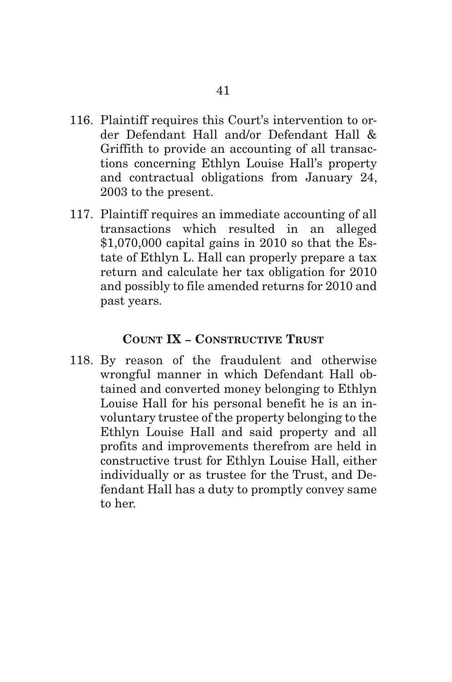- 116. Plaintiff requires this Court's intervention to order Defendant Hall and/or Defendant Hall & Griffith to provide an accounting of all transactions concerning Ethlyn Louise Hall's property and contractual obligations from January 24, 2003 to the present.
- 117. Plaintiff requires an immediate accounting of all transactions which resulted in an alleged \$1,070,000 capital gains in 2010 so that the Estate of Ethlyn L. Hall can properly prepare a tax return and calculate her tax obligation for 2010 and possibly to file amended returns for 2010 and past years.

## **COUNT IX - CONSTRUCTIVE TRUST**

118. By reason of the fraudulent and otherwise wrongful manner in which Defendant Hall obtained and converted money belonging to Ethlyn Louise Hall for his personal benefit he is an involuntary trustee of the property belonging to the Ethlyn Louise Hall and said property and all profits and improvements therefrom are held in constructive trust for Ethlyn Louise Hall, either individually or as trustee for the Trust, and Defendant Hall has a duty to promptly convey same to her.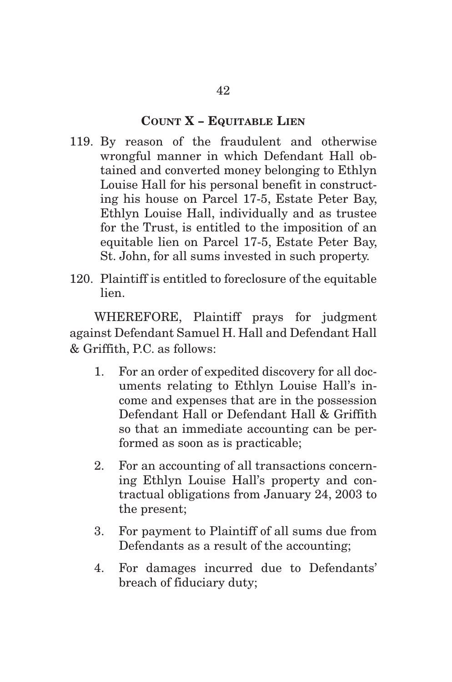### **COUNT X - EQUITABLE LIEN**

- 119. By reason of the fraudulent and otherwise wrongful manner in which Defendant Hall obtained and converted money belonging to Ethlyn Louise Hall for his personal benefit in constructing his house on Parcel 17-5, Estate Peter Bay, Ethlyn Louise Hall, individually and as trustee for the Trust, is entitled to the imposition of an equitable lien on Parcel 17-5, Estate Peter Bay, St. John, for all sums invested in such property.
- 120. Plaintiff is entitled to foreclosure of the equitable lien.

 WHEREFORE, Plaintiff prays for judgment against Defendant Samuel H. Hall and Defendant Hall & Griffith, P.C. as follows:

- 1. For an order of expedited discovery for all documents relating to Ethlyn Louise Hall's income and expenses that are in the possession Defendant Hall or Defendant Hall & Griffith so that an immediate accounting can be performed as soon as is practicable;
- 2. For an accounting of all transactions concerning Ethlyn Louise Hall's property and contractual obligations from January 24, 2003 to the present;
- 3. For payment to Plaintiff of all sums due from Defendants as a result of the accounting;
- 4. For damages incurred due to Defendants' breach of fiduciary duty;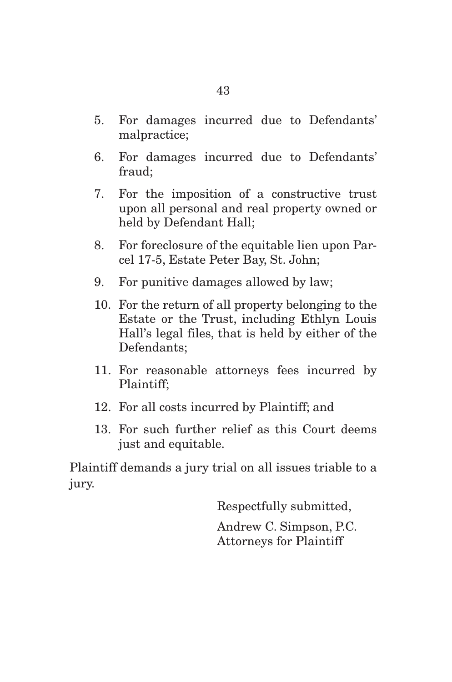- 5. For damages incurred due to Defendants' malpractice;
- 6. For damages incurred due to Defendants' fraud;
- 7. For the imposition of a constructive trust upon all personal and real property owned or held by Defendant Hall;
- 8. For foreclosure of the equitable lien upon Parcel 17-5, Estate Peter Bay, St. John;
- 9. For punitive damages allowed by law;
- 10. For the return of all property belonging to the Estate or the Trust, including Ethlyn Louis Hall's legal files, that is held by either of the Defendants;
- 11. For reasonable attorneys fees incurred by Plaintiff;
- 12. For all costs incurred by Plaintiff; and
- 13. For such further relief as this Court deems just and equitable.

Plaintiff demands a jury trial on all issues triable to a jury.

Respectfully submitted,

Andrew C. Simpson, P.C. Attorneys for Plaintiff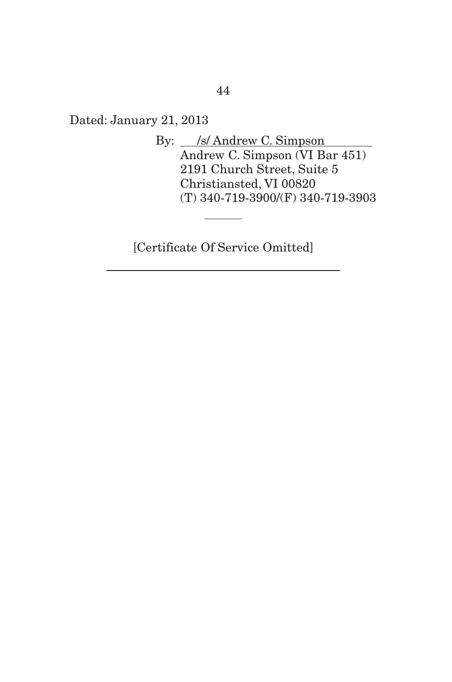Dated: January 21, 2013

By: S/ Andrew C. Simpson Andrew C. Simpson (VI Bar 451) 2191 Church Street, Suite 5 Christiansted, VI 00820 (T) 340-719-3900/(F) 340-719-3903

[Certificate Of Service Omitted]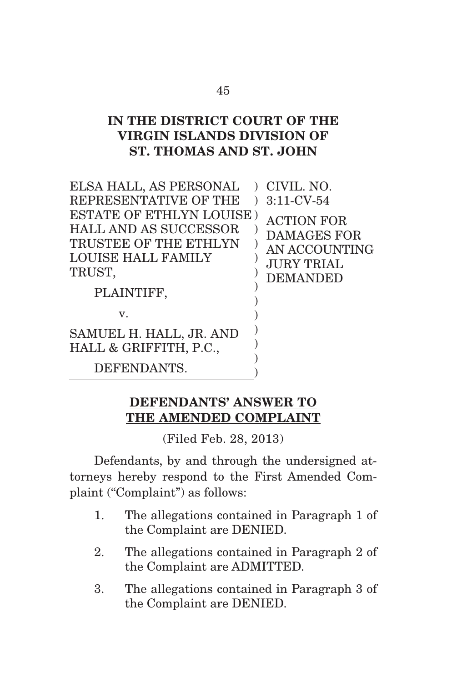# **IN THE DISTRICT COURT OF THE VIRGIN ISLANDS DIVISION OF ST. THOMAS AND ST. JOHN**

| ELSA HALL, AS PERSONAL<br>$\lambda$                                                                                                           | CIVIL. NO.                                                                                       |
|-----------------------------------------------------------------------------------------------------------------------------------------------|--------------------------------------------------------------------------------------------------|
| REPRESENTATIVE OF THE                                                                                                                         | $3:11$ -CV-54                                                                                    |
| <b>ESTATE OF ETHLYN LOUISE)</b><br><b>HALL AND AS SUCCESSOR</b><br>TRUSTEE OF THE ETHLYN<br><b>LOUISE HALL FAMILY</b><br>TRUST,<br>PLAINTIFF, | <b>ACTION FOR</b><br><b>DAMAGES FOR</b><br>AN ACCOUNTING<br><b>JURY TRIAL</b><br><b>DEMANDED</b> |
| $\mathbf v$ .                                                                                                                                 |                                                                                                  |
| SAMUEL H. HALL, JR. AND<br>HALL & GRIFFITH, P.C.,                                                                                             |                                                                                                  |
| DEFENDANTS.                                                                                                                                   |                                                                                                  |

## **DEFENDANTS' ANSWER TO THE AMENDED COMPLAINT**

(Filed Feb. 28, 2013)

 Defendants, by and through the undersigned attorneys hereby respond to the First Amended Complaint ("Complaint") as follows:

- 1. The allegations contained in Paragraph 1 of the Complaint are DENIED.
- 2. The allegations contained in Paragraph 2 of the Complaint are ADMITTED.
- 3. The allegations contained in Paragraph 3 of the Complaint are DENIED.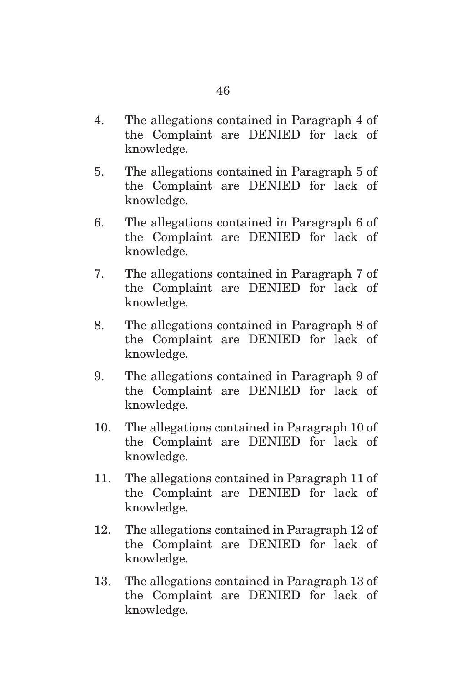- 4. The allegations contained in Paragraph 4 of the Complaint are DENIED for lack of knowledge.
- 5. The allegations contained in Paragraph 5 of the Complaint are DENIED for lack of knowledge.
- 6. The allegations contained in Paragraph 6 of the Complaint are DENIED for lack of knowledge.
- 7. The allegations contained in Paragraph 7 of the Complaint are DENIED for lack of knowledge.
- 8. The allegations contained in Paragraph 8 of the Complaint are DENIED for lack of knowledge.
- 9. The allegations contained in Paragraph 9 of the Complaint are DENIED for lack of knowledge.
- 10. The allegations contained in Paragraph 10 of the Complaint are DENIED for lack of knowledge.
- 11. The allegations contained in Paragraph 11 of the Complaint are DENIED for lack of knowledge.
- 12. The allegations contained in Paragraph 12 of the Complaint are DENIED for lack of knowledge.
- 13. The allegations contained in Paragraph 13 of the Complaint are DENIED for lack of knowledge.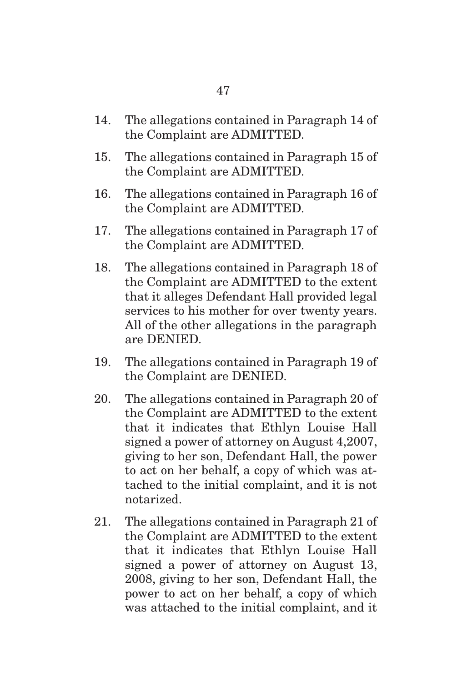- 14. The allegations contained in Paragraph 14 of the Complaint are ADMITTED.
- 15. The allegations contained in Paragraph 15 of the Complaint are ADMITTED.
- 16. The allegations contained in Paragraph 16 of the Complaint are ADMITTED.
- 17. The allegations contained in Paragraph 17 of the Complaint are ADMITTED.
- 18. The allegations contained in Paragraph 18 of the Complaint are ADMITTED to the extent that it alleges Defendant Hall provided legal services to his mother for over twenty years. All of the other allegations in the paragraph are DENIED.
- 19. The allegations contained in Paragraph 19 of the Complaint are DENIED.
- 20. The allegations contained in Paragraph 20 of the Complaint are ADMITTED to the extent that it indicates that Ethlyn Louise Hall signed a power of attorney on August 4,2007, giving to her son, Defendant Hall, the power to act on her behalf, a copy of which was attached to the initial complaint, and it is not notarized.
- 21. The allegations contained in Paragraph 21 of the Complaint are ADMITTED to the extent that it indicates that Ethlyn Louise Hall signed a power of attorney on August 13, 2008, giving to her son, Defendant Hall, the power to act on her behalf, a copy of which was attached to the initial complaint, and it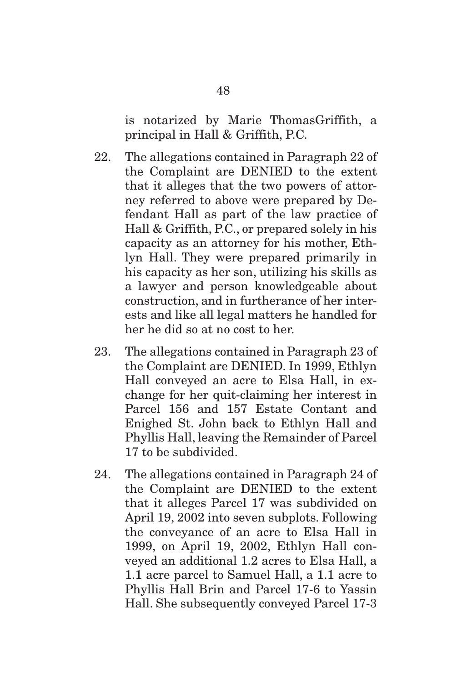is notarized by Marie ThomasGriffith, a principal in Hall & Griffith, P.C.

- 22. The allegations contained in Paragraph 22 of the Complaint are DENIED to the extent that it alleges that the two powers of attorney referred to above were prepared by Defendant Hall as part of the law practice of Hall & Griffith, P.C., or prepared solely in his capacity as an attorney for his mother, Ethlyn Hall. They were prepared primarily in his capacity as her son, utilizing his skills as a lawyer and person knowledgeable about construction, and in furtherance of her interests and like all legal matters he handled for her he did so at no cost to her.
- 23. The allegations contained in Paragraph 23 of the Complaint are DENIED. In 1999, Ethlyn Hall conveyed an acre to Elsa Hall, in exchange for her quit-claiming her interest in Parcel 156 and 157 Estate Contant and Enighed St. John back to Ethlyn Hall and Phyllis Hall, leaving the Remainder of Parcel 17 to be subdivided.
- 24. The allegations contained in Paragraph 24 of the Complaint are DENIED to the extent that it alleges Parcel 17 was subdivided on April 19, 2002 into seven subplots. Following the conveyance of an acre to Elsa Hall in 1999, on April 19, 2002, Ethlyn Hall conveyed an additional 1.2 acres to Elsa Hall, a 1.1 acre parcel to Samuel Hall, a 1.1 acre to Phyllis Hall Brin and Parcel 17-6 to Yassin Hall. She subsequently conveyed Parcel 17-3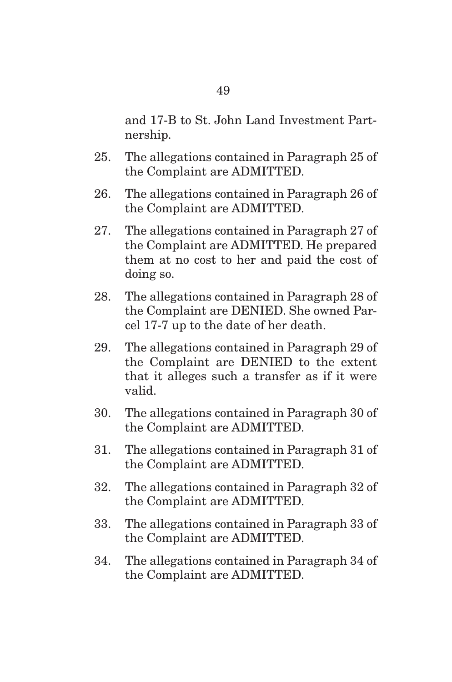and 17-B to St. John Land Investment Partnership.

- 25. The allegations contained in Paragraph 25 of the Complaint are ADMITTED.
- 26. The allegations contained in Paragraph 26 of the Complaint are ADMITTED.
- 27. The allegations contained in Paragraph 27 of the Complaint are ADMITTED. He prepared them at no cost to her and paid the cost of doing so.
- 28. The allegations contained in Paragraph 28 of the Complaint are DENIED. She owned Parcel 17-7 up to the date of her death.
- 29. The allegations contained in Paragraph 29 of the Complaint are DENIED to the extent that it alleges such a transfer as if it were valid.
- 30. The allegations contained in Paragraph 30 of the Complaint are ADMITTED.
- 31. The allegations contained in Paragraph 31 of the Complaint are ADMITTED.
- 32. The allegations contained in Paragraph 32 of the Complaint are ADMITTED.
- 33. The allegations contained in Paragraph 33 of the Complaint are ADMITTED.
- 34. The allegations contained in Paragraph 34 of the Complaint are ADMITTED.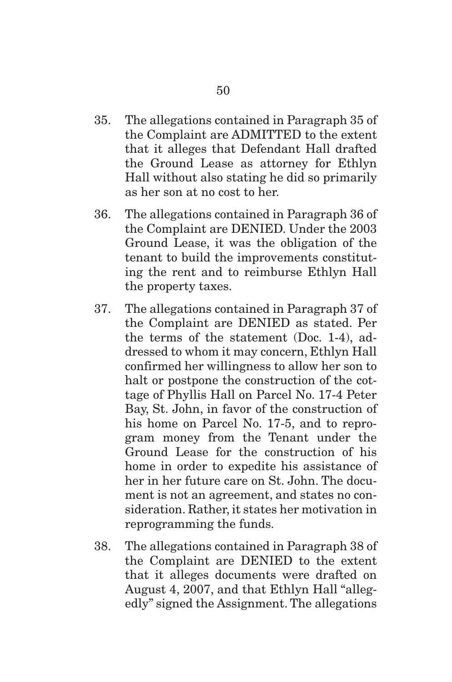- 35. The allegations contained in Paragraph 35 of the Complaint are ADMITTED to the extent that it alleges that Defendant Hall drafted the Ground Lease as attorney for Ethlyn Hall without also stating he did so primarily as her son at no cost to her.
- 36. The allegations contained in Paragraph 36 of the Complaint are DENIED. Under the 2003 Ground Lease, it was the obligation of the tenant to build the improvements constituting the rent and to reimburse Ethlyn Hall the property taxes.
- 37. The allegations contained in Paragraph 37 of the Complaint are DENIED as stated. Per the terms of the statement (Doc. 1-4), addressed to whom it may concern, Ethlyn Hall confirmed her willingness to allow her son to halt or postpone the construction of the cottage of Phyllis Hall on Parcel No. 17-4 Peter Bay, St. John, in favor of the construction of his home on Parcel No. 17-5, and to reprogram money from the Tenant under the Ground Lease for the construction of his home in order to expedite his assistance of her in her future care on St. John. The document is not an agreement, and states no consideration. Rather, it states her motivation in reprogramming the funds.
- 38. The allegations contained in Paragraph 38 of the Complaint are DENIED to the extent that it alleges documents were drafted on August 4, 2007, and that Ethlyn Hall "allegedly" signed the Assignment. The allegations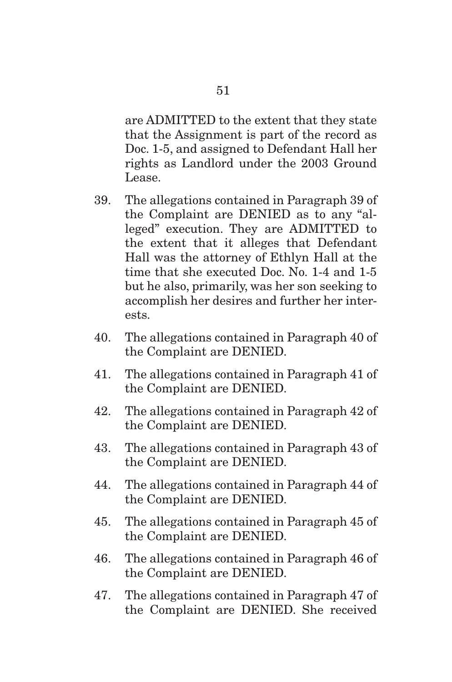are ADMITTED to the extent that they state that the Assignment is part of the record as Doc. 1-5, and assigned to Defendant Hall her rights as Landlord under the 2003 Ground Lease.

- 39. The allegations contained in Paragraph 39 of the Complaint are DENIED as to any "alleged" execution. They are ADMITTED to the extent that it alleges that Defendant Hall was the attorney of Ethlyn Hall at the time that she executed Doc. No. 1-4 and 1-5 but he also, primarily, was her son seeking to accomplish her desires and further her interests.
- 40. The allegations contained in Paragraph 40 of the Complaint are DENIED.
- 41. The allegations contained in Paragraph 41 of the Complaint are DENIED.
- 42. The allegations contained in Paragraph 42 of the Complaint are DENIED.
- 43. The allegations contained in Paragraph 43 of the Complaint are DENIED.
- 44. The allegations contained in Paragraph 44 of the Complaint are DENIED.
- 45. The allegations contained in Paragraph 45 of the Complaint are DENIED.
- 46. The allegations contained in Paragraph 46 of the Complaint are DENIED.
- 47. The allegations contained in Paragraph 47 of the Complaint are DENIED. She received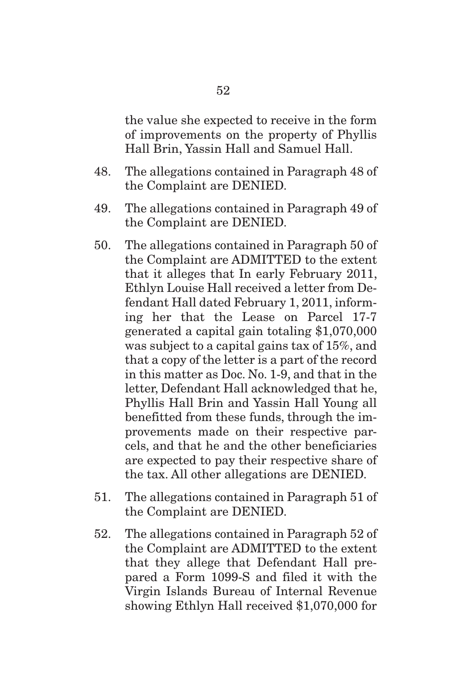the value she expected to receive in the form of improvements on the property of Phyllis Hall Brin, Yassin Hall and Samuel Hall.

- 48. The allegations contained in Paragraph 48 of the Complaint are DENIED.
- 49. The allegations contained in Paragraph 49 of the Complaint are DENIED.
- 50. The allegations contained in Paragraph 50 of the Complaint are ADMITTED to the extent that it alleges that In early February 2011, Ethlyn Louise Hall received a letter from Defendant Hall dated February 1, 2011, informing her that the Lease on Parcel 17-7 generated a capital gain totaling \$1,070,000 was subject to a capital gains tax of 15%, and that a copy of the letter is a part of the record in this matter as Doc. No. 1-9, and that in the letter, Defendant Hall acknowledged that he, Phyllis Hall Brin and Yassin Hall Young all benefitted from these funds, through the improvements made on their respective parcels, and that he and the other beneficiaries are expected to pay their respective share of the tax. All other allegations are DENIED.
- 51. The allegations contained in Paragraph 51 of the Complaint are DENIED.
- 52. The allegations contained in Paragraph 52 of the Complaint are ADMITTED to the extent that they allege that Defendant Hall prepared a Form 1099-S and filed it with the Virgin Islands Bureau of Internal Revenue showing Ethlyn Hall received \$1,070,000 for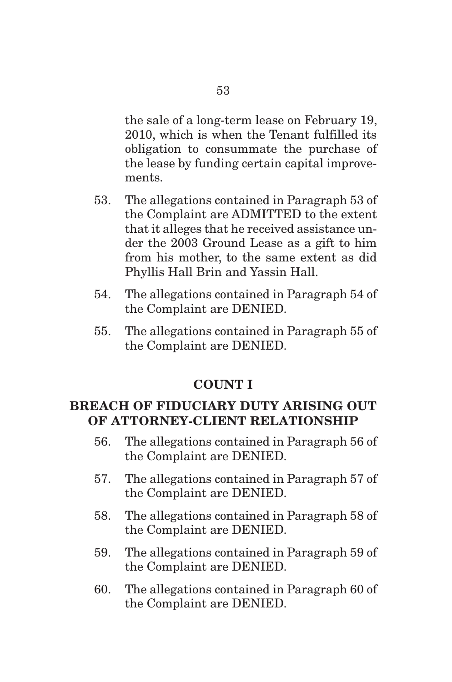the sale of a long-term lease on February 19, 2010, which is when the Tenant fulfilled its obligation to consummate the purchase of the lease by funding certain capital improvements.

- 53. The allegations contained in Paragraph 53 of the Complaint are ADMITTED to the extent that it alleges that he received assistance under the 2003 Ground Lease as a gift to him from his mother, to the same extent as did Phyllis Hall Brin and Yassin Hall.
- 54. The allegations contained in Paragraph 54 of the Complaint are DENIED.
- 55. The allegations contained in Paragraph 55 of the Complaint are DENIED.

# **COUNT I**

## **BREACH OF FIDUCIARY DUTY ARISING OUT OF ATTORNEY-CLIENT RELATIONSHIP**

- 56. The allegations contained in Paragraph 56 of the Complaint are DENIED.
- 57. The allegations contained in Paragraph 57 of the Complaint are DENIED.
- 58. The allegations contained in Paragraph 58 of the Complaint are DENIED.
- 59. The allegations contained in Paragraph 59 of the Complaint are DENIED.
- 60. The allegations contained in Paragraph 60 of the Complaint are DENIED.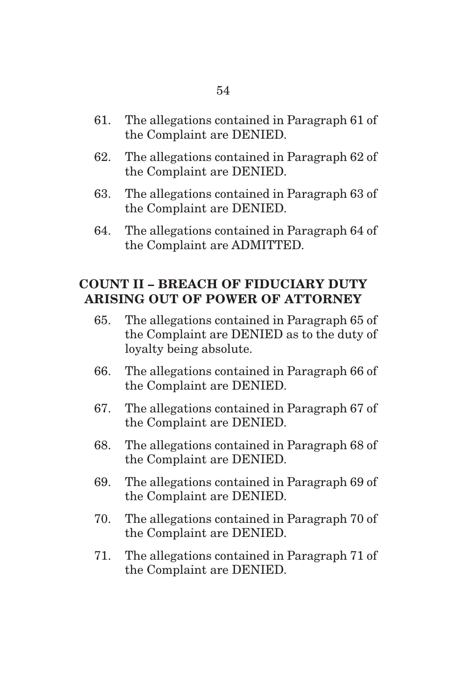- 61. The allegations contained in Paragraph 61 of the Complaint are DENIED.
- 62. The allegations contained in Paragraph 62 of the Complaint are DENIED.
- 63. The allegations contained in Paragraph 63 of the Complaint are DENIED.
- 64. The allegations contained in Paragraph 64 of the Complaint are ADMITTED.

## **COUNT II – BREACH OF FIDUCIARY DUTY ARISING OUT OF POWER OF ATTORNEY**

- 65. The allegations contained in Paragraph 65 of the Complaint are DENIED as to the duty of loyalty being absolute.
- 66. The allegations contained in Paragraph 66 of the Complaint are DENIED.
- 67. The allegations contained in Paragraph 67 of the Complaint are DENIED.
- 68. The allegations contained in Paragraph 68 of the Complaint are DENIED.
- 69. The allegations contained in Paragraph 69 of the Complaint are DENIED.
- 70. The allegations contained in Paragraph 70 of the Complaint are DENIED.
- 71. The allegations contained in Paragraph 71 of the Complaint are DENIED.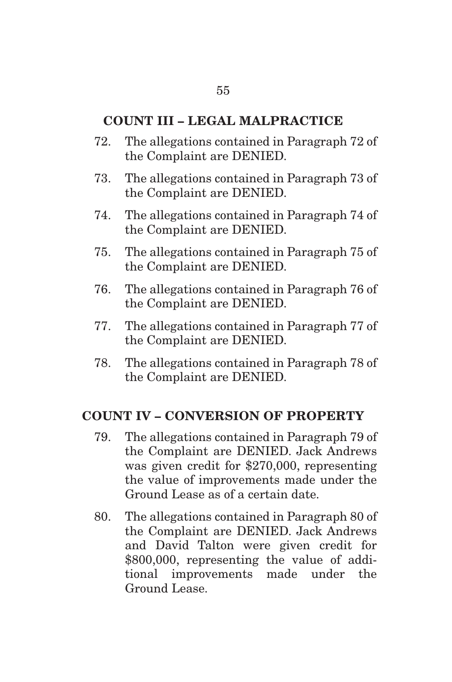### **COUNT III – LEGAL MALPRACTICE**

- 72. The allegations contained in Paragraph 72 of the Complaint are DENIED.
- 73. The allegations contained in Paragraph 73 of the Complaint are DENIED.
- 74. The allegations contained in Paragraph 74 of the Complaint are DENIED.
- 75. The allegations contained in Paragraph 75 of the Complaint are DENIED.
- 76. The allegations contained in Paragraph 76 of the Complaint are DENIED.
- 77. The allegations contained in Paragraph 77 of the Complaint are DENIED.
- 78. The allegations contained in Paragraph 78 of the Complaint are DENIED.

### **COUNT IV – CONVERSION OF PROPERTY**

- 79. The allegations contained in Paragraph 79 of the Complaint are DENIED. Jack Andrews was given credit for \$270,000, representing the value of improvements made under the Ground Lease as of a certain date.
- 80. The allegations contained in Paragraph 80 of the Complaint are DENIED. Jack Andrews and David Talton were given credit for \$800,000, representing the value of additional improvements made under the Ground Lease.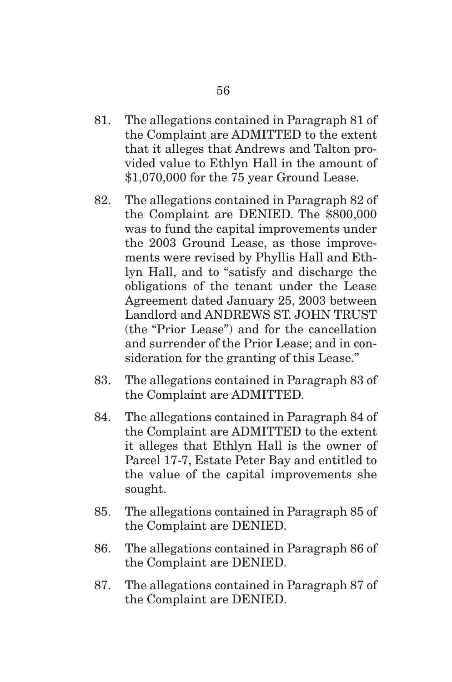- 81. The allegations contained in Paragraph 81 of the Complaint are ADMITTED to the extent that it alleges that Andrews and Talton provided value to Ethlyn Hall in the amount of \$1,070,000 for the 75 year Ground Lease.
- 82. The allegations contained in Paragraph 82 of the Complaint are DENIED. The \$800,000 was to fund the capital improvements under the 2003 Ground Lease, as those improvements were revised by Phyllis Hall and Ethlyn Hall, and to "satisfy and discharge the obligations of the tenant under the Lease Agreement dated January 25, 2003 between Landlord and ANDREWS ST. JOHN TRUST (the "Prior Lease") and for the cancellation and surrender of the Prior Lease; and in consideration for the granting of this Lease."
- 83. The allegations contained in Paragraph 83 of the Complaint are ADMITTED.
- 84. The allegations contained in Paragraph 84 of the Complaint are ADMITTED to the extent it alleges that Ethlyn Hall is the owner of Parcel 17-7, Estate Peter Bay and entitled to the value of the capital improvements she sought.
- 85. The allegations contained in Paragraph 85 of the Complaint are DENIED.
- 86. The allegations contained in Paragraph 86 of the Complaint are DENIED.
- 87. The allegations contained in Paragraph 87 of the Complaint are DENIED.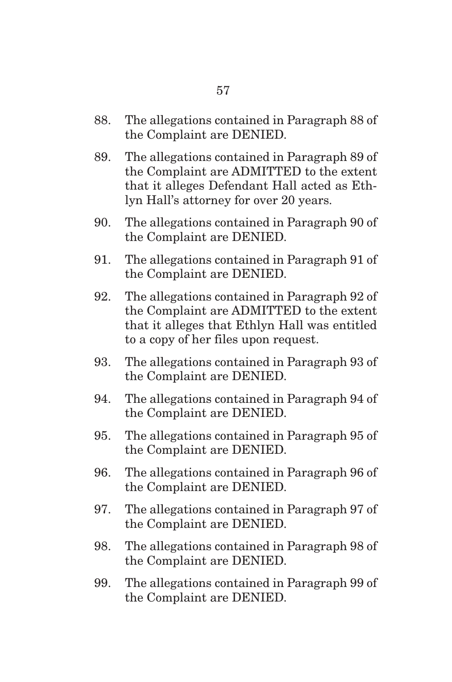- 88. The allegations contained in Paragraph 88 of the Complaint are DENIED.
- 89. The allegations contained in Paragraph 89 of the Complaint are ADMITTED to the extent that it alleges Defendant Hall acted as Ethlyn Hall's attorney for over 20 years.
- 90. The allegations contained in Paragraph 90 of the Complaint are DENIED.
- 91. The allegations contained in Paragraph 91 of the Complaint are DENIED.
- 92. The allegations contained in Paragraph 92 of the Complaint are ADMITTED to the extent that it alleges that Ethlyn Hall was entitled to a copy of her files upon request.
- 93. The allegations contained in Paragraph 93 of the Complaint are DENIED.
- 94. The allegations contained in Paragraph 94 of the Complaint are DENIED.
- 95. The allegations contained in Paragraph 95 of the Complaint are DENIED.
- 96. The allegations contained in Paragraph 96 of the Complaint are DENIED.
- 97. The allegations contained in Paragraph 97 of the Complaint are DENIED.
- 98. The allegations contained in Paragraph 98 of the Complaint are DENIED.
- 99. The allegations contained in Paragraph 99 of the Complaint are DENIED.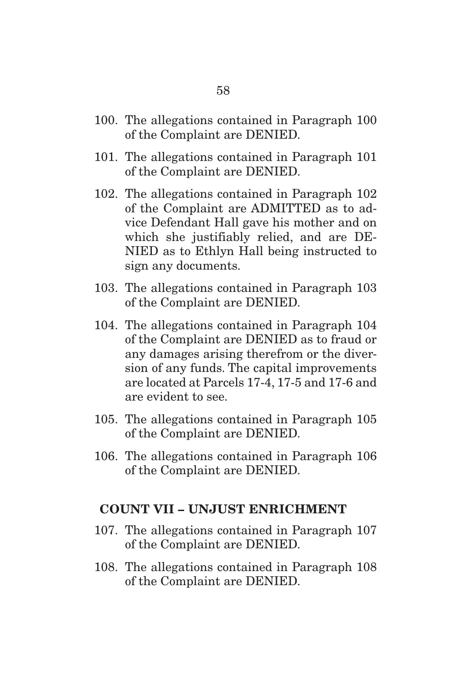- 100. The allegations contained in Paragraph 100 of the Complaint are DENIED.
- 101. The allegations contained in Paragraph 101 of the Complaint are DENIED.
- 102. The allegations contained in Paragraph 102 of the Complaint are ADMITTED as to advice Defendant Hall gave his mother and on which she justifiably relied, and are DE-NIED as to Ethlyn Hall being instructed to sign any documents.
- 103. The allegations contained in Paragraph 103 of the Complaint are DENIED.
- 104. The allegations contained in Paragraph 104 of the Complaint are DENIED as to fraud or any damages arising therefrom or the diversion of any funds. The capital improvements are located at Parcels 17-4, 17-5 and 17-6 and are evident to see.
- 105. The allegations contained in Paragraph 105 of the Complaint are DENIED.
- 106. The allegations contained in Paragraph 106 of the Complaint are DENIED.

### **COUNT VII – UNJUST ENRICHMENT**

- 107. The allegations contained in Paragraph 107 of the Complaint are DENIED.
- 108. The allegations contained in Paragraph 108 of the Complaint are DENIED.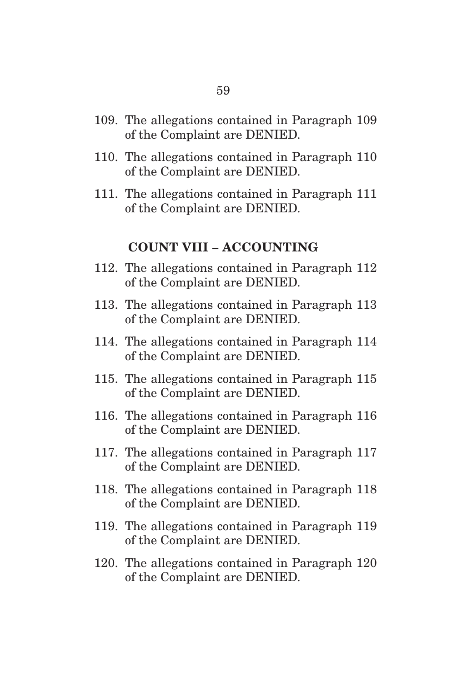- 109. The allegations contained in Paragraph 109 of the Complaint are DENIED.
- 110. The allegations contained in Paragraph 110 of the Complaint are DENIED.
- 111. The allegations contained in Paragraph 111 of the Complaint are DENIED.

### **COUNT VIII – ACCOUNTING**

- 112. The allegations contained in Paragraph 112 of the Complaint are DENIED.
- 113. The allegations contained in Paragraph 113 of the Complaint are DENIED.
- 114. The allegations contained in Paragraph 114 of the Complaint are DENIED.
- 115. The allegations contained in Paragraph 115 of the Complaint are DENIED.
- 116. The allegations contained in Paragraph 116 of the Complaint are DENIED.
- 117. The allegations contained in Paragraph 117 of the Complaint are DENIED.
- 118. The allegations contained in Paragraph 118 of the Complaint are DENIED.
- 119. The allegations contained in Paragraph 119 of the Complaint are DENIED.
- 120. The allegations contained in Paragraph 120 of the Complaint are DENIED.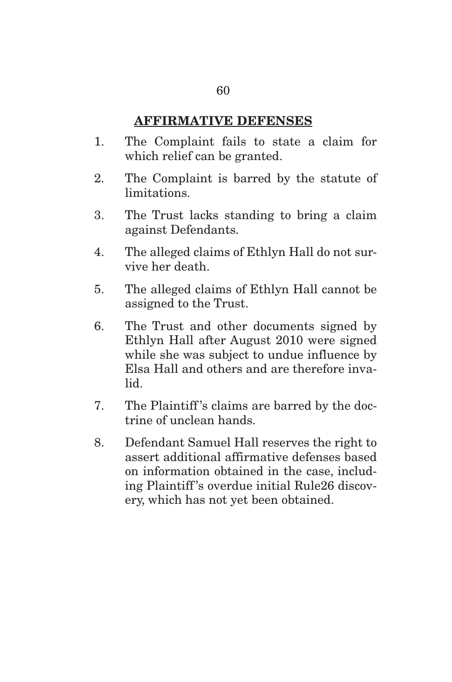## **AFFIRMATIVE DEFENSES**

- 1. The Complaint fails to state a claim for which relief can be granted.
- 2. The Complaint is barred by the statute of limitations.
- 3. The Trust lacks standing to bring a claim against Defendants.
- 4. The alleged claims of Ethlyn Hall do not survive her death.
- 5. The alleged claims of Ethlyn Hall cannot be assigned to the Trust.
- 6. The Trust and other documents signed by Ethlyn Hall after August 2010 were signed while she was subject to undue influence by Elsa Hall and others and are therefore invalid.
- 7. The Plaintiff 's claims are barred by the doctrine of unclean hands.
- 8. Defendant Samuel Hall reserves the right to assert additional affirmative defenses based on information obtained in the case, including Plaintiff 's overdue initial Rule26 discovery, which has not yet been obtained.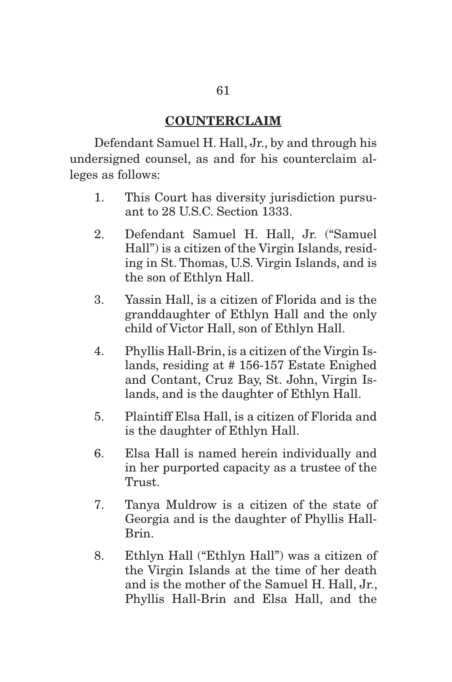### **COUNTERCLAIM**

 Defendant Samuel H. Hall, Jr., by and through his undersigned counsel, as and for his counterclaim alleges as follows:

- 1. This Court has diversity jurisdiction pursuant to 28 U.S.C. Section 1333.
- 2. Defendant Samuel H. Hall, Jr. ("Samuel Hall") is a citizen of the Virgin Islands, residing in St. Thomas, U.S. Virgin Islands, and is the son of Ethlyn Hall.
- 3. Yassin Hall, is a citizen of Florida and is the granddaughter of Ethlyn Hall and the only child of Victor Hall, son of Ethlyn Hall.
- 4. Phyllis Hall-Brin, is a citizen of the Virgin Islands, residing at # 156-157 Estate Enighed and Contant, Cruz Bay, St. John, Virgin Islands, and is the daughter of Ethlyn Hall.
- 5. Plaintiff Elsa Hall, is a citizen of Florida and is the daughter of Ethlyn Hall.
- 6. Elsa Hall is named herein individually and in her purported capacity as a trustee of the Trust.
- 7. Tanya Muldrow is a citizen of the state of Georgia and is the daughter of Phyllis Hall-Brin.
- 8. Ethlyn Hall ("Ethlyn Hall") was a citizen of the Virgin Islands at the time of her death and is the mother of the Samuel H. Hall, Jr., Phyllis Hall-Brin and Elsa Hall, and the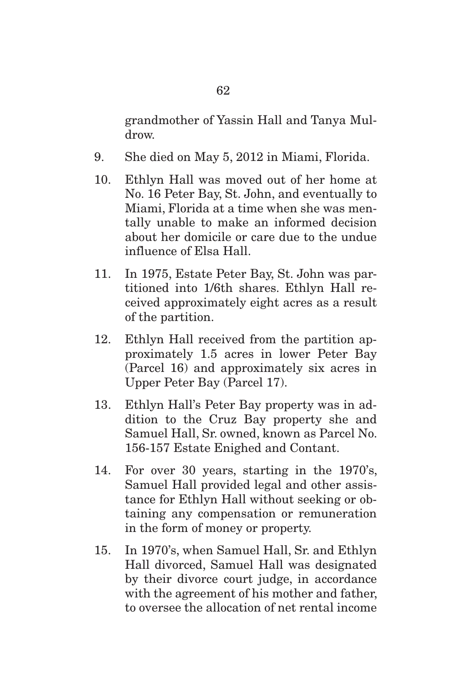grandmother of Yassin Hall and Tanya Muldrow.

9. She died on May 5, 2012 in Miami, Florida.

62

- 10. Ethlyn Hall was moved out of her home at No. 16 Peter Bay, St. John, and eventually to Miami, Florida at a time when she was mentally unable to make an informed decision about her domicile or care due to the undue influence of Elsa Hall.
- 11. In 1975, Estate Peter Bay, St. John was partitioned into 1/6th shares. Ethlyn Hall received approximately eight acres as a result of the partition.
- 12. Ethlyn Hall received from the partition approximately 1.5 acres in lower Peter Bay (Parcel 16) and approximately six acres in Upper Peter Bay (Parcel 17).
- 13. Ethlyn Hall's Peter Bay property was in addition to the Cruz Bay property she and Samuel Hall, Sr. owned, known as Parcel No. 156-157 Estate Enighed and Contant.
- 14. For over 30 years, starting in the 1970's, Samuel Hall provided legal and other assistance for Ethlyn Hall without seeking or obtaining any compensation or remuneration in the form of money or property.
- 15. In 1970's, when Samuel Hall, Sr. and Ethlyn Hall divorced, Samuel Hall was designated by their divorce court judge, in accordance with the agreement of his mother and father, to oversee the allocation of net rental income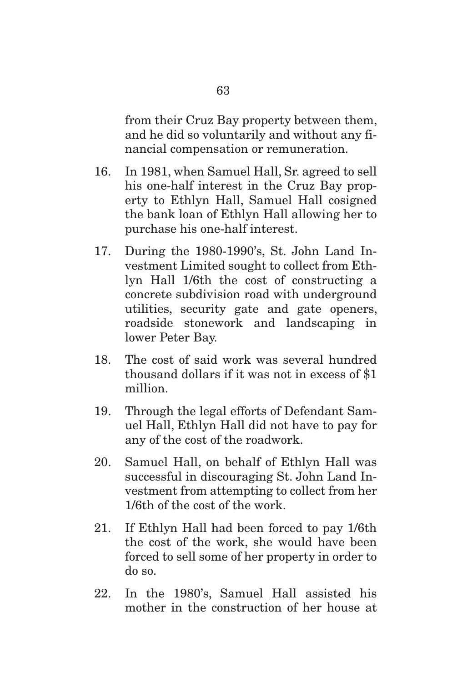from their Cruz Bay property between them, and he did so voluntarily and without any financial compensation or remuneration.

- 16. In 1981, when Samuel Hall, Sr. agreed to sell his one-half interest in the Cruz Bay property to Ethlyn Hall, Samuel Hall cosigned the bank loan of Ethlyn Hall allowing her to purchase his one-half interest.
- 17. During the 1980-1990's, St. John Land Investment Limited sought to collect from Ethlyn Hall 1/6th the cost of constructing a concrete subdivision road with underground utilities, security gate and gate openers, roadside stonework and landscaping in lower Peter Bay.
- 18. The cost of said work was several hundred thousand dollars if it was not in excess of \$1 million.
- 19. Through the legal efforts of Defendant Samuel Hall, Ethlyn Hall did not have to pay for any of the cost of the roadwork.
- 20. Samuel Hall, on behalf of Ethlyn Hall was successful in discouraging St. John Land Investment from attempting to collect from her 1/6th of the cost of the work.
- 21. If Ethlyn Hall had been forced to pay 1/6th the cost of the work, she would have been forced to sell some of her property in order to do so.
- 22. In the 1980's, Samuel Hall assisted his mother in the construction of her house at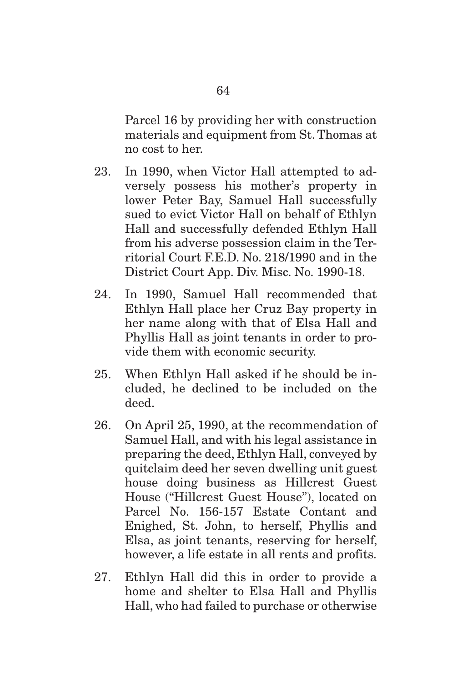Parcel 16 by providing her with construction materials and equipment from St. Thomas at no cost to her.

- 23. In 1990, when Victor Hall attempted to adversely possess his mother's property in lower Peter Bay, Samuel Hall successfully sued to evict Victor Hall on behalf of Ethlyn Hall and successfully defended Ethlyn Hall from his adverse possession claim in the Territorial Court F.E.D. No. 218/1990 and in the District Court App. Div. Misc. No. 1990-18.
- 24. In 1990, Samuel Hall recommended that Ethlyn Hall place her Cruz Bay property in her name along with that of Elsa Hall and Phyllis Hall as joint tenants in order to provide them with economic security.
- 25. When Ethlyn Hall asked if he should be included, he declined to be included on the deed.
- 26. On April 25, 1990, at the recommendation of Samuel Hall, and with his legal assistance in preparing the deed, Ethlyn Hall, conveyed by quitclaim deed her seven dwelling unit guest house doing business as Hillcrest Guest House ("Hillcrest Guest House"), located on Parcel No. 156-157 Estate Contant and Enighed, St. John, to herself, Phyllis and Elsa, as joint tenants, reserving for herself, however, a life estate in all rents and profits.
- 27. Ethlyn Hall did this in order to provide a home and shelter to Elsa Hall and Phyllis Hall, who had failed to purchase or otherwise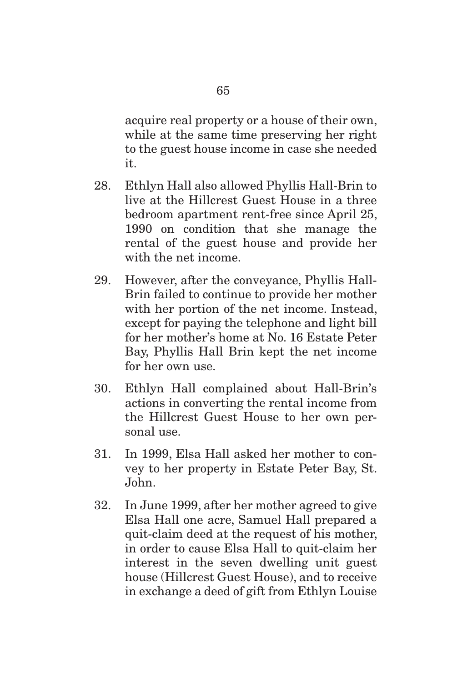acquire real property or a house of their own, while at the same time preserving her right to the guest house income in case she needed it.

- 28. Ethlyn Hall also allowed Phyllis Hall-Brin to live at the Hillcrest Guest House in a three bedroom apartment rent-free since April 25, 1990 on condition that she manage the rental of the guest house and provide her with the net income.
- 29. However, after the conveyance, Phyllis Hall-Brin failed to continue to provide her mother with her portion of the net income. Instead, except for paying the telephone and light bill for her mother's home at No. 16 Estate Peter Bay, Phyllis Hall Brin kept the net income for her own use.
- 30. Ethlyn Hall complained about Hall-Brin's actions in converting the rental income from the Hillcrest Guest House to her own personal use.
- 31. In 1999, Elsa Hall asked her mother to convey to her property in Estate Peter Bay, St. John.
- 32. In June 1999, after her mother agreed to give Elsa Hall one acre, Samuel Hall prepared a quit-claim deed at the request of his mother, in order to cause Elsa Hall to quit-claim her interest in the seven dwelling unit guest house (Hillcrest Guest House), and to receive in exchange a deed of gift from Ethlyn Louise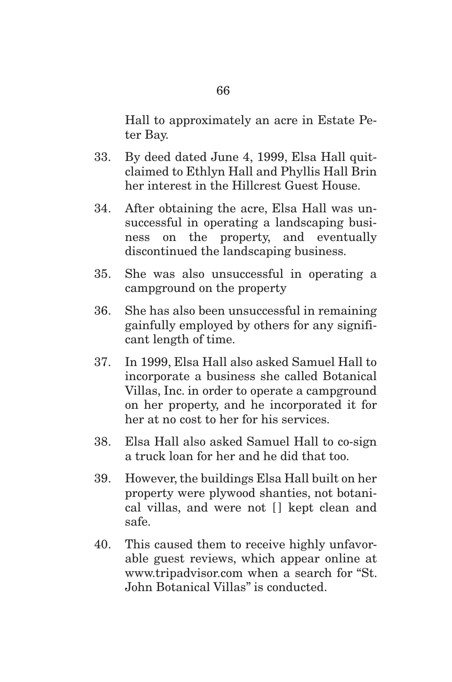Hall to approximately an acre in Estate Peter Bay.

- 33. By deed dated June 4, 1999, Elsa Hall quitclaimed to Ethlyn Hall and Phyllis Hall Brin her interest in the Hillcrest Guest House.
- 34. After obtaining the acre, Elsa Hall was unsuccessful in operating a landscaping business on the property, and eventually discontinued the landscaping business.
- 35. She was also unsuccessful in operating a campground on the property
- 36. She has also been unsuccessful in remaining gainfully employed by others for any significant length of time.
- 37. In 1999, Elsa Hall also asked Samuel Hall to incorporate a business she called Botanical Villas, Inc. in order to operate a campground on her property, and he incorporated it for her at no cost to her for his services.
- 38. Elsa Hall also asked Samuel Hall to co-sign a truck loan for her and he did that too.
- 39. However, the buildings Elsa Hall built on her property were plywood shanties, not botanical villas, and were not  $\Box$  kept clean and safe.
- 40. This caused them to receive highly unfavorable guest reviews, which appear online at www.tripadvisor.com when a search for "St. John Botanical Villas" is conducted.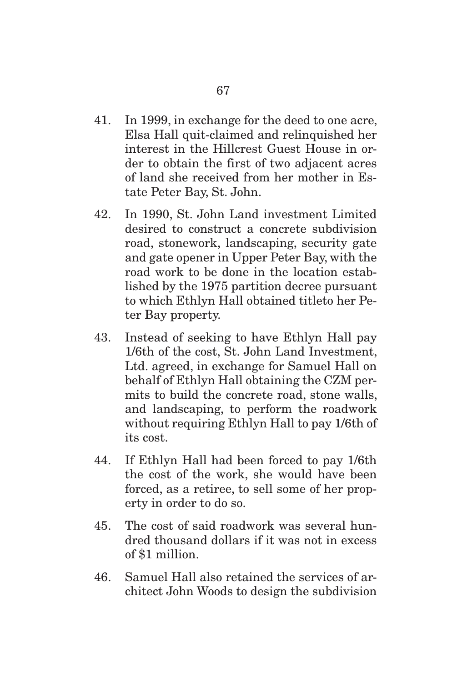- 41. In 1999, in exchange for the deed to one acre, Elsa Hall quit-claimed and relinquished her interest in the Hillcrest Guest House in order to obtain the first of two adjacent acres of land she received from her mother in Estate Peter Bay, St. John.
- 42. In 1990, St. John Land investment Limited desired to construct a concrete subdivision road, stonework, landscaping, security gate and gate opener in Upper Peter Bay, with the road work to be done in the location established by the 1975 partition decree pursuant to which Ethlyn Hall obtained titleto her Peter Bay property.
- 43. Instead of seeking to have Ethlyn Hall pay 1/6th of the cost, St. John Land Investment, Ltd. agreed, in exchange for Samuel Hall on behalf of Ethlyn Hall obtaining the CZM permits to build the concrete road, stone walls, and landscaping, to perform the roadwork without requiring Ethlyn Hall to pay 1/6th of its cost.
- 44. If Ethlyn Hall had been forced to pay 1/6th the cost of the work, she would have been forced, as a retiree, to sell some of her property in order to do so.
- 45. The cost of said roadwork was several hundred thousand dollars if it was not in excess of \$1 million.
- 46. Samuel Hall also retained the services of architect John Woods to design the subdivision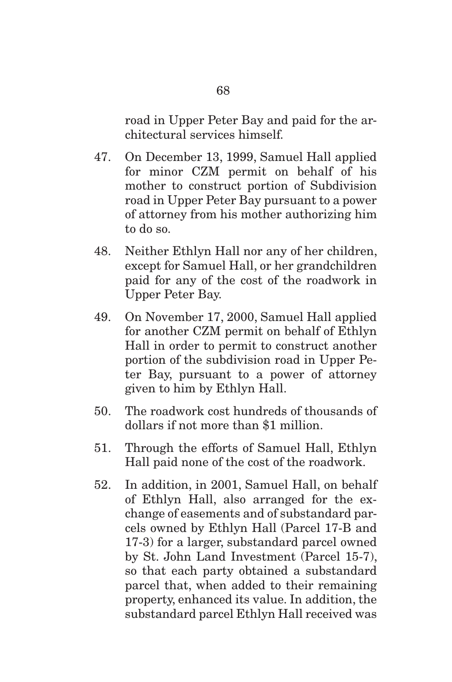road in Upper Peter Bay and paid for the architectural services himself.

- 47. On December 13, 1999, Samuel Hall applied for minor CZM permit on behalf of his mother to construct portion of Subdivision road in Upper Peter Bay pursuant to a power of attorney from his mother authorizing him to do so.
- 48. Neither Ethlyn Hall nor any of her children, except for Samuel Hall, or her grandchildren paid for any of the cost of the roadwork in Upper Peter Bay.
- 49. On November 17, 2000, Samuel Hall applied for another CZM permit on behalf of Ethlyn Hall in order to permit to construct another portion of the subdivision road in Upper Peter Bay, pursuant to a power of attorney given to him by Ethlyn Hall.
- 50. The roadwork cost hundreds of thousands of dollars if not more than \$1 million.
- 51. Through the efforts of Samuel Hall, Ethlyn Hall paid none of the cost of the roadwork.
- 52. In addition, in 2001, Samuel Hall, on behalf of Ethlyn Hall, also arranged for the exchange of easements and of substandard parcels owned by Ethlyn Hall (Parcel 17-B and 17-3) for a larger, substandard parcel owned by St. John Land Investment (Parcel 15-7), so that each party obtained a substandard parcel that, when added to their remaining property, enhanced its value. In addition, the substandard parcel Ethlyn Hall received was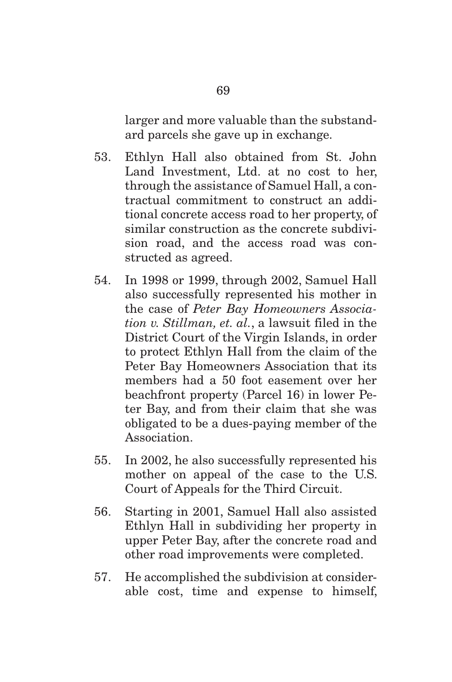larger and more valuable than the substandard parcels she gave up in exchange.

- 53. Ethlyn Hall also obtained from St. John Land Investment, Ltd. at no cost to her, through the assistance of Samuel Hall, a contractual commitment to construct an additional concrete access road to her property, of similar construction as the concrete subdivision road, and the access road was constructed as agreed.
- 54. In 1998 or 1999, through 2002, Samuel Hall also successfully represented his mother in the case of *Peter Bay Homeowners Association v. Stillman, et. al.*, a lawsuit filed in the District Court of the Virgin Islands, in order to protect Ethlyn Hall from the claim of the Peter Bay Homeowners Association that its members had a 50 foot easement over her beachfront property (Parcel 16) in lower Peter Bay, and from their claim that she was obligated to be a dues-paying member of the Association.
- 55. In 2002, he also successfully represented his mother on appeal of the case to the U.S. Court of Appeals for the Third Circuit.
- 56. Starting in 2001, Samuel Hall also assisted Ethlyn Hall in subdividing her property in upper Peter Bay, after the concrete road and other road improvements were completed.
- 57. He accomplished the subdivision at considerable cost, time and expense to himself,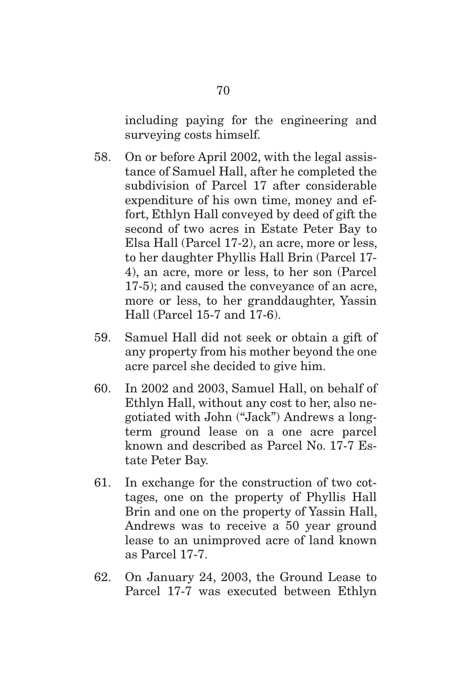including paying for the engineering and surveying costs himself.

- 58. On or before April 2002, with the legal assistance of Samuel Hall, after he completed the subdivision of Parcel 17 after considerable expenditure of his own time, money and effort, Ethlyn Hall conveyed by deed of gift the second of two acres in Estate Peter Bay to Elsa Hall (Parcel 17-2), an acre, more or less, to her daughter Phyllis Hall Brin (Parcel 17- 4), an acre, more or less, to her son (Parcel 17-5); and caused the conveyance of an acre, more or less, to her granddaughter, Yassin Hall (Parcel 15-7 and 17-6).
- 59. Samuel Hall did not seek or obtain a gift of any property from his mother beyond the one acre parcel she decided to give him.
- 60. In 2002 and 2003, Samuel Hall, on behalf of Ethlyn Hall, without any cost to her, also negotiated with John ("Jack") Andrews a longterm ground lease on a one acre parcel known and described as Parcel No. 17-7 Estate Peter Bay.
- 61. In exchange for the construction of two cottages, one on the property of Phyllis Hall Brin and one on the property of Yassin Hall, Andrews was to receive a 50 year ground lease to an unimproved acre of land known as Parcel 17-7.
- 62. On January 24, 2003, the Ground Lease to Parcel 17-7 was executed between Ethlyn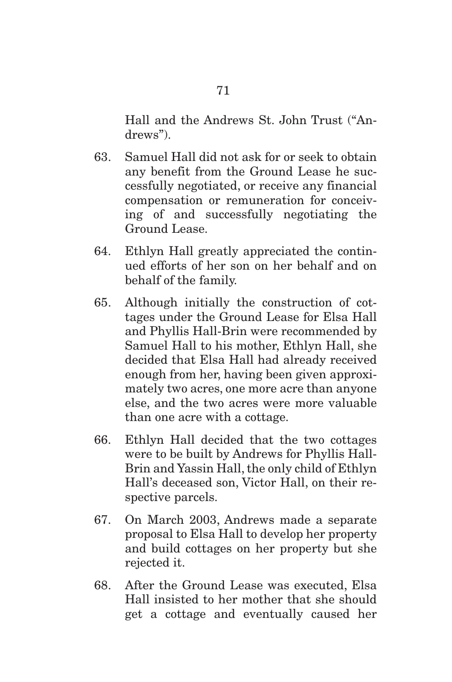Hall and the Andrews St. John Trust ("Andrews").

- 63. Samuel Hall did not ask for or seek to obtain any benefit from the Ground Lease he successfully negotiated, or receive any financial compensation or remuneration for conceiving of and successfully negotiating the Ground Lease.
- 64. Ethlyn Hall greatly appreciated the continued efforts of her son on her behalf and on behalf of the family.
- 65. Although initially the construction of cottages under the Ground Lease for Elsa Hall and Phyllis Hall-Brin were recommended by Samuel Hall to his mother, Ethlyn Hall, she decided that Elsa Hall had already received enough from her, having been given approximately two acres, one more acre than anyone else, and the two acres were more valuable than one acre with a cottage.
- 66. Ethlyn Hall decided that the two cottages were to be built by Andrews for Phyllis Hall-Brin and Yassin Hall, the only child of Ethlyn Hall's deceased son, Victor Hall, on their respective parcels.
- 67. On March 2003, Andrews made a separate proposal to Elsa Hall to develop her property and build cottages on her property but she rejected it.
- 68. After the Ground Lease was executed, Elsa Hall insisted to her mother that she should get a cottage and eventually caused her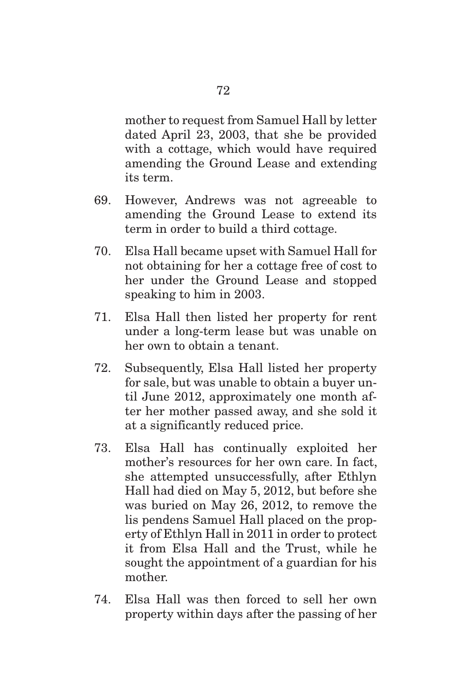mother to request from Samuel Hall by letter dated April 23, 2003, that she be provided with a cottage, which would have required amending the Ground Lease and extending its term.

- 69. However, Andrews was not agreeable to amending the Ground Lease to extend its term in order to build a third cottage.
- 70. Elsa Hall became upset with Samuel Hall for not obtaining for her a cottage free of cost to her under the Ground Lease and stopped speaking to him in 2003.
- 71. Elsa Hall then listed her property for rent under a long-term lease but was unable on her own to obtain a tenant.
- 72. Subsequently, Elsa Hall listed her property for sale, but was unable to obtain a buyer until June 2012, approximately one month after her mother passed away, and she sold it at a significantly reduced price.
- 73. Elsa Hall has continually exploited her mother's resources for her own care. In fact, she attempted unsuccessfully, after Ethlyn Hall had died on May 5, 2012, but before she was buried on May 26, 2012, to remove the lis pendens Samuel Hall placed on the property of Ethlyn Hall in 2011 in order to protect it from Elsa Hall and the Trust, while he sought the appointment of a guardian for his mother.
- 74. Elsa Hall was then forced to sell her own property within days after the passing of her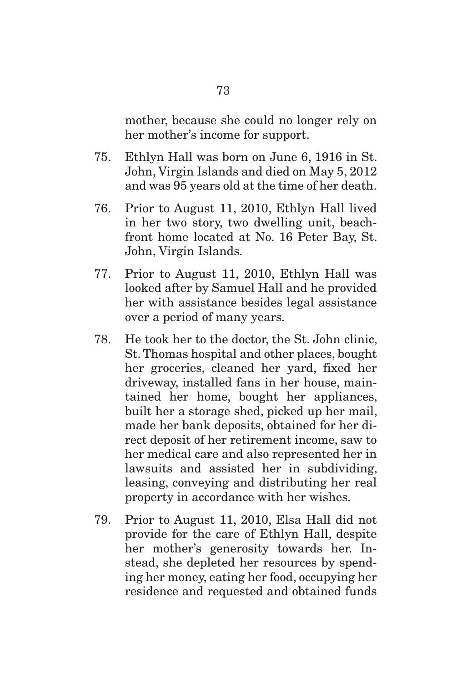mother, because she could no longer rely on her mother's income for support.

- 75. Ethlyn Hall was born on June 6, 1916 in St. John, Virgin Islands and died on May 5, 2012 and was 95 years old at the time of her death.
- 76. Prior to August 11, 2010, Ethlyn Hall lived in her two story, two dwelling unit, beachfront home located at No. 16 Peter Bay, St. John, Virgin Islands.
- 77. Prior to August 11, 2010, Ethlyn Hall was looked after by Samuel Hall and he provided her with assistance besides legal assistance over a period of many years.
- 78. He took her to the doctor, the St. John clinic, St. Thomas hospital and other places, bought her groceries, cleaned her yard, fixed her driveway, installed fans in her house, maintained her home, bought her appliances, built her a storage shed, picked up her mail, made her bank deposits, obtained for her direct deposit of her retirement income, saw to her medical care and also represented her in lawsuits and assisted her in subdividing, leasing, conveying and distributing her real property in accordance with her wishes.
- 79. Prior to August 11, 2010, Elsa Hall did not provide for the care of Ethlyn Hall, despite her mother's generosity towards her. Instead, she depleted her resources by spending her money, eating her food, occupying her residence and requested and obtained funds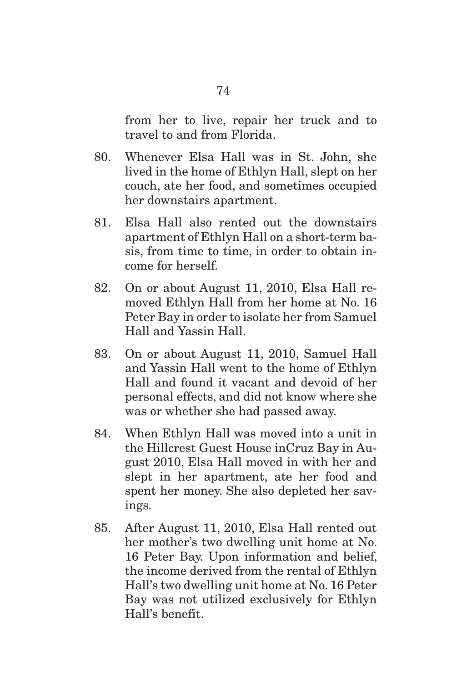from her to live, repair her truck and to travel to and from Florida.

- 80. Whenever Elsa Hall was in St. John, she lived in the home of Ethlyn Hall, slept on her couch, ate her food, and sometimes occupied her downstairs apartment.
- 81. Elsa Hall also rented out the downstairs apartment of Ethlyn Hall on a short-term basis, from time to time, in order to obtain income for herself.
- 82. On or about August 11, 2010, Elsa Hall removed Ethlyn Hall from her home at No. 16 Peter Bay in order to isolate her from Samuel Hall and Yassin Hall.
- 83. On or about August 11, 2010, Samuel Hall and Yassin Hall went to the home of Ethlyn Hall and found it vacant and devoid of her personal effects, and did not know where she was or whether she had passed away.
- 84. When Ethlyn Hall was moved into a unit in the Hillcrest Guest House inCruz Bay in August 2010, Elsa Hall moved in with her and slept in her apartment, ate her food and spent her money. She also depleted her savings.
- 85. After August 11, 2010, Elsa Hall rented out her mother's two dwelling unit home at No. 16 Peter Bay. Upon information and belief, the income derived from the rental of Ethlyn Hall's two dwelling unit home at No. 16 Peter Bay was not utilized exclusively for Ethlyn Hall's benefit.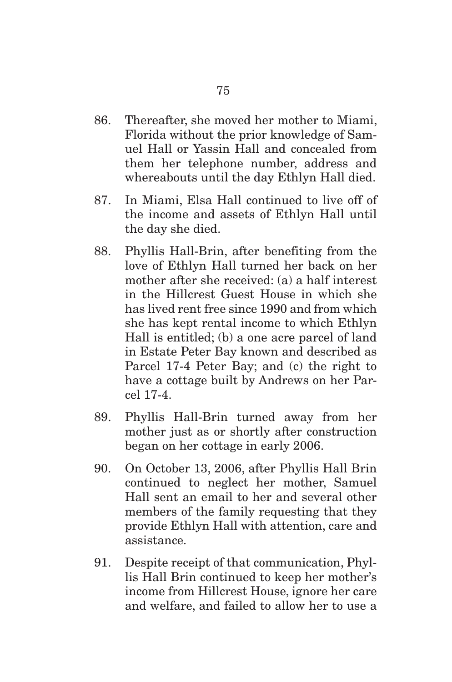- 86. Thereafter, she moved her mother to Miami, Florida without the prior knowledge of Samuel Hall or Yassin Hall and concealed from them her telephone number, address and whereabouts until the day Ethlyn Hall died.
- 87. In Miami, Elsa Hall continued to live off of the income and assets of Ethlyn Hall until the day she died.
- 88. Phyllis Hall-Brin, after benefiting from the love of Ethlyn Hall turned her back on her mother after she received: (a) a half interest in the Hillcrest Guest House in which she has lived rent free since 1990 and from which she has kept rental income to which Ethlyn Hall is entitled; (b) a one acre parcel of land in Estate Peter Bay known and described as Parcel 17-4 Peter Bay; and (c) the right to have a cottage built by Andrews on her Parcel 17-4.
- 89. Phyllis Hall-Brin turned away from her mother just as or shortly after construction began on her cottage in early 2006.
- 90. On October 13, 2006, after Phyllis Hall Brin continued to neglect her mother, Samuel Hall sent an email to her and several other members of the family requesting that they provide Ethlyn Hall with attention, care and assistance.
- 91. Despite receipt of that communication, Phyllis Hall Brin continued to keep her mother's income from Hillcrest House, ignore her care and welfare, and failed to allow her to use a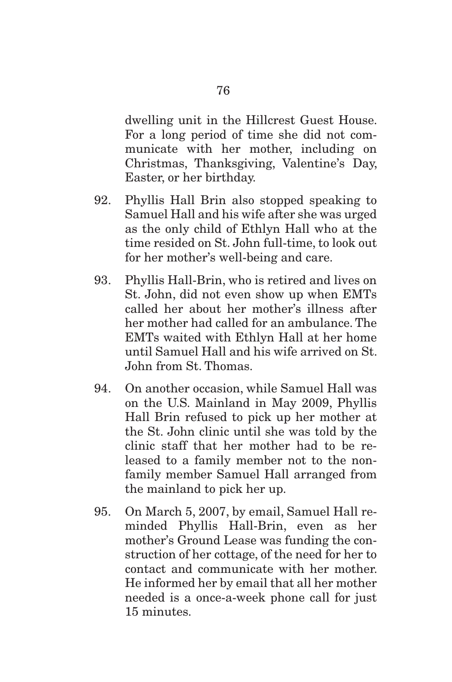dwelling unit in the Hillcrest Guest House. For a long period of time she did not communicate with her mother, including on Christmas, Thanksgiving, Valentine's Day, Easter, or her birthday.

- 92. Phyllis Hall Brin also stopped speaking to Samuel Hall and his wife after she was urged as the only child of Ethlyn Hall who at the time resided on St. John full-time, to look out for her mother's well-being and care.
- 93. Phyllis Hall-Brin, who is retired and lives on St. John, did not even show up when EMTs called her about her mother's illness after her mother had called for an ambulance. The EMTs waited with Ethlyn Hall at her home until Samuel Hall and his wife arrived on St. John from St. Thomas.
- 94. On another occasion, while Samuel Hall was on the U.S. Mainland in May 2009, Phyllis Hall Brin refused to pick up her mother at the St. John clinic until she was told by the clinic staff that her mother had to be released to a family member not to the nonfamily member Samuel Hall arranged from the mainland to pick her up.
- 95. On March 5, 2007, by email, Samuel Hall reminded Phyllis Hall-Brin, even as her mother's Ground Lease was funding the construction of her cottage, of the need for her to contact and communicate with her mother. He informed her by email that all her mother needed is a once-a-week phone call for just 15 minutes.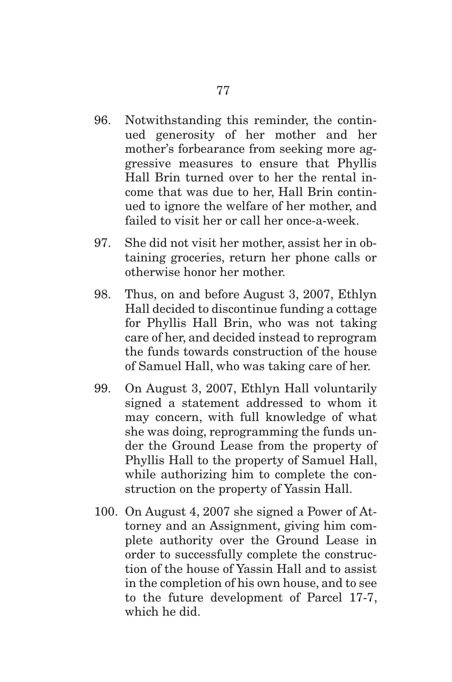- 96. Notwithstanding this reminder, the continued generosity of her mother and her mother's forbearance from seeking more aggressive measures to ensure that Phyllis Hall Brin turned over to her the rental income that was due to her, Hall Brin continued to ignore the welfare of her mother, and failed to visit her or call her once-a-week.
- 97. She did not visit her mother, assist her in obtaining groceries, return her phone calls or otherwise honor her mother.
- 98. Thus, on and before August 3, 2007, Ethlyn Hall decided to discontinue funding a cottage for Phyllis Hall Brin, who was not taking care of her, and decided instead to reprogram the funds towards construction of the house of Samuel Hall, who was taking care of her.
- 99. On August 3, 2007, Ethlyn Hall voluntarily signed a statement addressed to whom it may concern, with full knowledge of what she was doing, reprogramming the funds under the Ground Lease from the property of Phyllis Hall to the property of Samuel Hall, while authorizing him to complete the construction on the property of Yassin Hall.
- 100. On August 4, 2007 she signed a Power of Attorney and an Assignment, giving him complete authority over the Ground Lease in order to successfully complete the construction of the house of Yassin Hall and to assist in the completion of his own house, and to see to the future development of Parcel 17-7, which he did.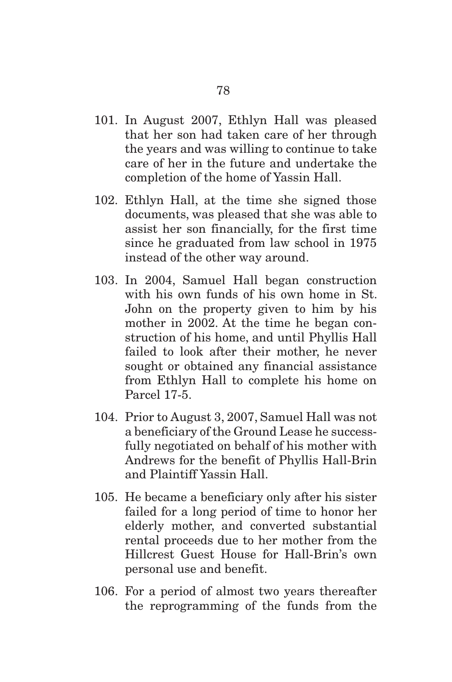- 101. In August 2007, Ethlyn Hall was pleased that her son had taken care of her through the years and was willing to continue to take care of her in the future and undertake the completion of the home of Yassin Hall.
- 102. Ethlyn Hall, at the time she signed those documents, was pleased that she was able to assist her son financially, for the first time since he graduated from law school in 1975 instead of the other way around.
- 103. In 2004, Samuel Hall began construction with his own funds of his own home in St. John on the property given to him by his mother in 2002. At the time he began construction of his home, and until Phyllis Hall failed to look after their mother, he never sought or obtained any financial assistance from Ethlyn Hall to complete his home on Parcel 17-5.
- 104. Prior to August 3, 2007, Samuel Hall was not a beneficiary of the Ground Lease he successfully negotiated on behalf of his mother with Andrews for the benefit of Phyllis Hall-Brin and Plaintiff Yassin Hall.
- 105. He became a beneficiary only after his sister failed for a long period of time to honor her elderly mother, and converted substantial rental proceeds due to her mother from the Hillcrest Guest House for Hall-Brin's own personal use and benefit.
- 106. For a period of almost two years thereafter the reprogramming of the funds from the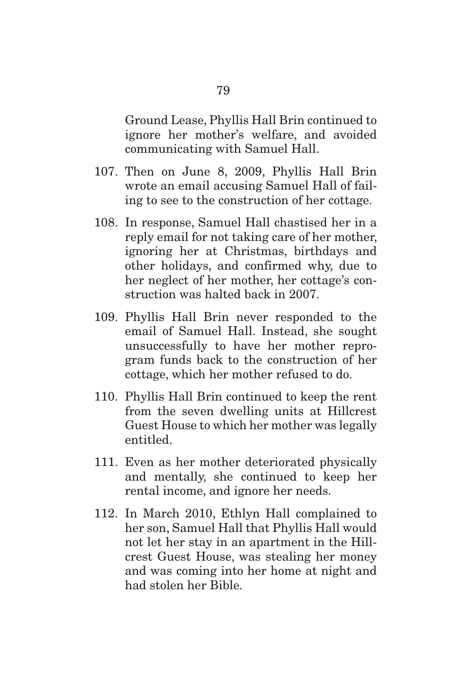Ground Lease, Phyllis Hall Brin continued to ignore her mother's welfare, and avoided communicating with Samuel Hall.

- 107. Then on June 8, 2009, Phyllis Hall Brin wrote an email accusing Samuel Hall of failing to see to the construction of her cottage.
- 108. In response, Samuel Hall chastised her in a reply email for not taking care of her mother, ignoring her at Christmas, birthdays and other holidays, and confirmed why, due to her neglect of her mother, her cottage's construction was halted back in 2007.
- 109. Phyllis Hall Brin never responded to the email of Samuel Hall. Instead, she sought unsuccessfully to have her mother reprogram funds back to the construction of her cottage, which her mother refused to do.
- 110. Phyllis Hall Brin continued to keep the rent from the seven dwelling units at Hillcrest Guest House to which her mother was legally entitled.
- 111. Even as her mother deteriorated physically and mentally, she continued to keep her rental income, and ignore her needs.
- 112. In March 2010, Ethlyn Hall complained to her son, Samuel Hall that Phyllis Hall would not let her stay in an apartment in the Hillcrest Guest House, was stealing her money and was coming into her home at night and had stolen her Bible.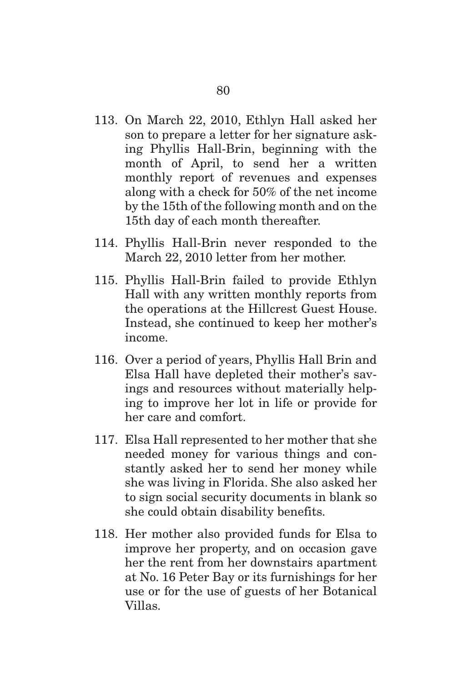- 113. On March 22, 2010, Ethlyn Hall asked her son to prepare a letter for her signature asking Phyllis Hall-Brin, beginning with the month of April, to send her a written monthly report of revenues and expenses along with a check for 50% of the net income by the 15th of the following month and on the 15th day of each month thereafter.
- 114. Phyllis Hall-Brin never responded to the March 22, 2010 letter from her mother.
- 115. Phyllis Hall-Brin failed to provide Ethlyn Hall with any written monthly reports from the operations at the Hillcrest Guest House. Instead, she continued to keep her mother's income.
- 116. Over a period of years, Phyllis Hall Brin and Elsa Hall have depleted their mother's savings and resources without materially helping to improve her lot in life or provide for her care and comfort.
- 117. Elsa Hall represented to her mother that she needed money for various things and constantly asked her to send her money while she was living in Florida. She also asked her to sign social security documents in blank so she could obtain disability benefits.
- 118. Her mother also provided funds for Elsa to improve her property, and on occasion gave her the rent from her downstairs apartment at No. 16 Peter Bay or its furnishings for her use or for the use of guests of her Botanical Villas.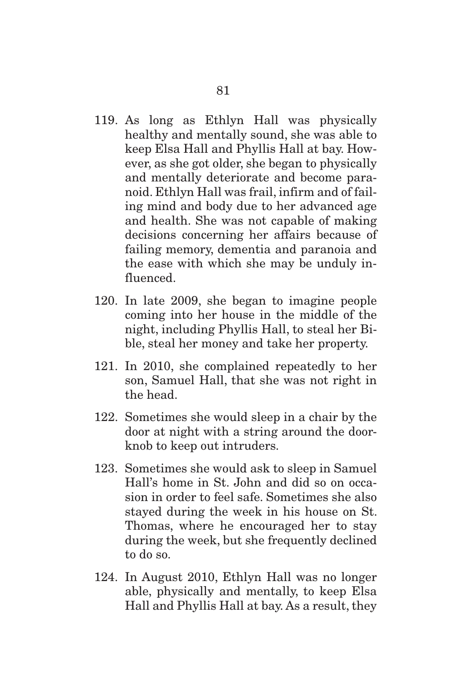- 119. As long as Ethlyn Hall was physically healthy and mentally sound, she was able to keep Elsa Hall and Phyllis Hall at bay. However, as she got older, she began to physically and mentally deteriorate and become paranoid. Ethlyn Hall was frail, infirm and of failing mind and body due to her advanced age and health. She was not capable of making decisions concerning her affairs because of failing memory, dementia and paranoia and the ease with which she may be unduly influenced.
- 120. In late 2009, she began to imagine people coming into her house in the middle of the night, including Phyllis Hall, to steal her Bible, steal her money and take her property.
- 121. In 2010, she complained repeatedly to her son, Samuel Hall, that she was not right in the head.
- 122. Sometimes she would sleep in a chair by the door at night with a string around the doorknob to keep out intruders.
- 123. Sometimes she would ask to sleep in Samuel Hall's home in St. John and did so on occasion in order to feel safe. Sometimes she also stayed during the week in his house on St. Thomas, where he encouraged her to stay during the week, but she frequently declined to do so.
- 124. In August 2010, Ethlyn Hall was no longer able, physically and mentally, to keep Elsa Hall and Phyllis Hall at bay. As a result, they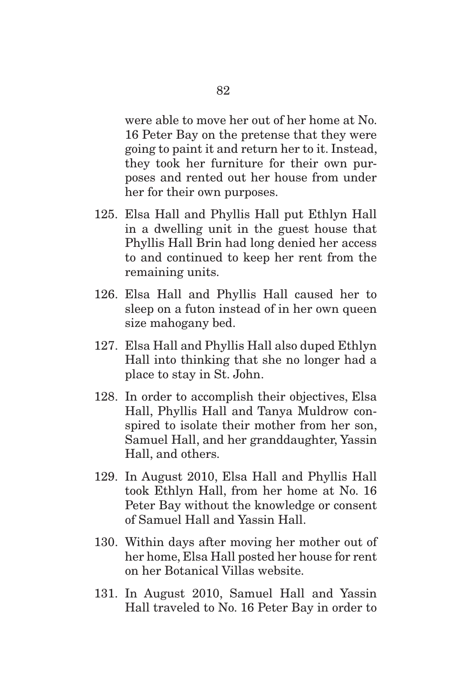were able to move her out of her home at No. 16 Peter Bay on the pretense that they were going to paint it and return her to it. Instead, they took her furniture for their own purposes and rented out her house from under her for their own purposes.

- 125. Elsa Hall and Phyllis Hall put Ethlyn Hall in a dwelling unit in the guest house that Phyllis Hall Brin had long denied her access to and continued to keep her rent from the remaining units.
- 126. Elsa Hall and Phyllis Hall caused her to sleep on a futon instead of in her own queen size mahogany bed.
- 127. Elsa Hall and Phyllis Hall also duped Ethlyn Hall into thinking that she no longer had a place to stay in St. John.
- 128. In order to accomplish their objectives, Elsa Hall, Phyllis Hall and Tanya Muldrow conspired to isolate their mother from her son, Samuel Hall, and her granddaughter, Yassin Hall, and others.
- 129. In August 2010, Elsa Hall and Phyllis Hall took Ethlyn Hall, from her home at No. 16 Peter Bay without the knowledge or consent of Samuel Hall and Yassin Hall.
- 130. Within days after moving her mother out of her home, Elsa Hall posted her house for rent on her Botanical Villas website.
- 131. In August 2010, Samuel Hall and Yassin Hall traveled to No. 16 Peter Bay in order to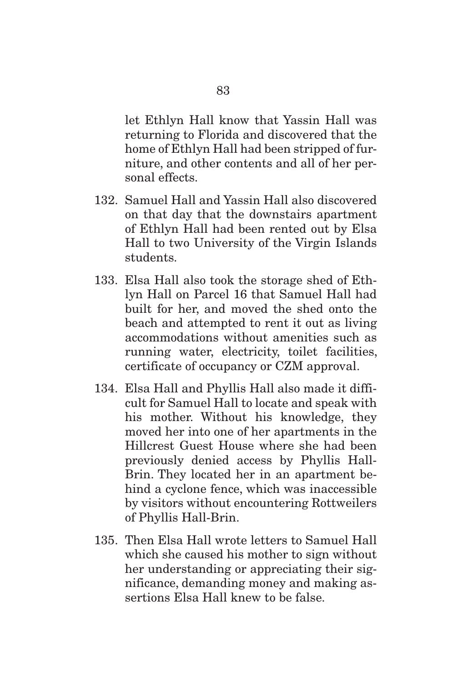let Ethlyn Hall know that Yassin Hall was returning to Florida and discovered that the home of Ethlyn Hall had been stripped of furniture, and other contents and all of her personal effects.

- 132. Samuel Hall and Yassin Hall also discovered on that day that the downstairs apartment of Ethlyn Hall had been rented out by Elsa Hall to two University of the Virgin Islands students.
- 133. Elsa Hall also took the storage shed of Ethlyn Hall on Parcel 16 that Samuel Hall had built for her, and moved the shed onto the beach and attempted to rent it out as living accommodations without amenities such as running water, electricity, toilet facilities, certificate of occupancy or CZM approval.
- 134. Elsa Hall and Phyllis Hall also made it difficult for Samuel Hall to locate and speak with his mother. Without his knowledge, they moved her into one of her apartments in the Hillcrest Guest House where she had been previously denied access by Phyllis Hall-Brin. They located her in an apartment behind a cyclone fence, which was inaccessible by visitors without encountering Rottweilers of Phyllis Hall-Brin.
- 135. Then Elsa Hall wrote letters to Samuel Hall which she caused his mother to sign without her understanding or appreciating their significance, demanding money and making assertions Elsa Hall knew to be false.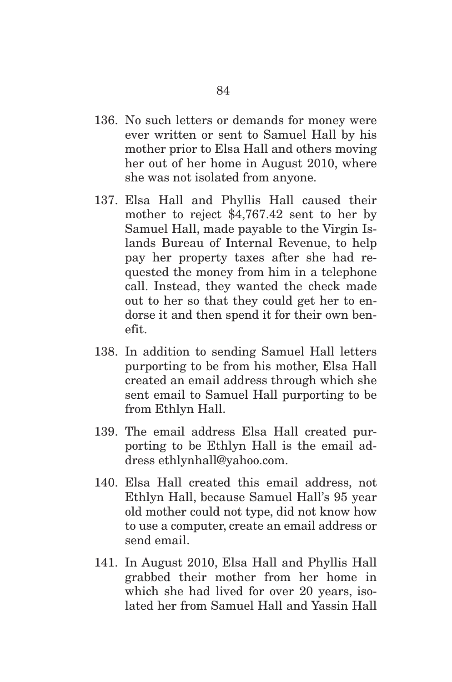- 136. No such letters or demands for money were ever written or sent to Samuel Hall by his mother prior to Elsa Hall and others moving her out of her home in August 2010, where she was not isolated from anyone.
- 137. Elsa Hall and Phyllis Hall caused their mother to reject \$4,767.42 sent to her by Samuel Hall, made payable to the Virgin Islands Bureau of Internal Revenue, to help pay her property taxes after she had requested the money from him in a telephone call. Instead, they wanted the check made out to her so that they could get her to endorse it and then spend it for their own benefit.
- 138. In addition to sending Samuel Hall letters purporting to be from his mother, Elsa Hall created an email address through which she sent email to Samuel Hall purporting to be from Ethlyn Hall.
- 139. The email address Elsa Hall created purporting to be Ethlyn Hall is the email address ethlynhall@yahoo.com.
- 140. Elsa Hall created this email address, not Ethlyn Hall, because Samuel Hall's 95 year old mother could not type, did not know how to use a computer, create an email address or send email.
- 141. In August 2010, Elsa Hall and Phyllis Hall grabbed their mother from her home in which she had lived for over 20 years, isolated her from Samuel Hall and Yassin Hall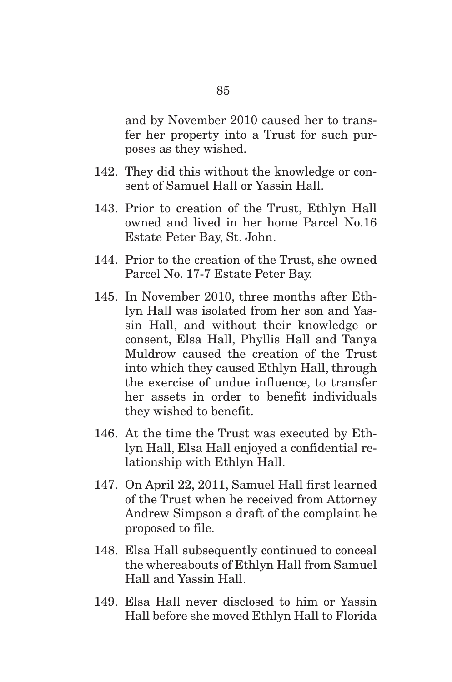and by November 2010 caused her to transfer her property into a Trust for such purposes as they wished.

- 142. They did this without the knowledge or consent of Samuel Hall or Yassin Hall.
- 143. Prior to creation of the Trust, Ethlyn Hall owned and lived in her home Parcel No.16 Estate Peter Bay, St. John.
- 144. Prior to the creation of the Trust, she owned Parcel No. 17-7 Estate Peter Bay.
- 145. In November 2010, three months after Ethlyn Hall was isolated from her son and Yassin Hall, and without their knowledge or consent, Elsa Hall, Phyllis Hall and Tanya Muldrow caused the creation of the Trust into which they caused Ethlyn Hall, through the exercise of undue influence, to transfer her assets in order to benefit individuals they wished to benefit.
- 146. At the time the Trust was executed by Ethlyn Hall, Elsa Hall enjoyed a confidential relationship with Ethlyn Hall.
- 147. On April 22, 2011, Samuel Hall first learned of the Trust when he received from Attorney Andrew Simpson a draft of the complaint he proposed to file.
- 148. Elsa Hall subsequently continued to conceal the whereabouts of Ethlyn Hall from Samuel Hall and Yassin Hall.
- 149. Elsa Hall never disclosed to him or Yassin Hall before she moved Ethlyn Hall to Florida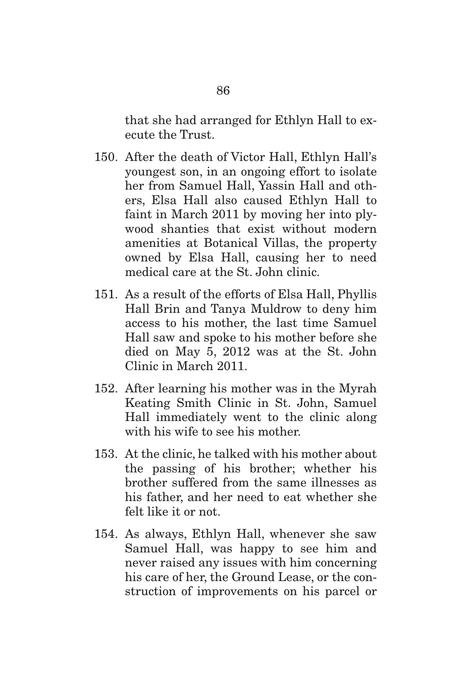that she had arranged for Ethlyn Hall to execute the Trust.

- 150. After the death of Victor Hall, Ethlyn Hall's youngest son, in an ongoing effort to isolate her from Samuel Hall, Yassin Hall and others, Elsa Hall also caused Ethlyn Hall to faint in March 2011 by moving her into plywood shanties that exist without modern amenities at Botanical Villas, the property owned by Elsa Hall, causing her to need medical care at the St. John clinic.
- 151. As a result of the efforts of Elsa Hall, Phyllis Hall Brin and Tanya Muldrow to deny him access to his mother, the last time Samuel Hall saw and spoke to his mother before she died on May 5, 2012 was at the St. John Clinic in March 2011.
- 152. After learning his mother was in the Myrah Keating Smith Clinic in St. John, Samuel Hall immediately went to the clinic along with his wife to see his mother.
- 153. At the clinic, he talked with his mother about the passing of his brother; whether his brother suffered from the same illnesses as his father, and her need to eat whether she felt like it or not.
- 154. As always, Ethlyn Hall, whenever she saw Samuel Hall, was happy to see him and never raised any issues with him concerning his care of her, the Ground Lease, or the construction of improvements on his parcel or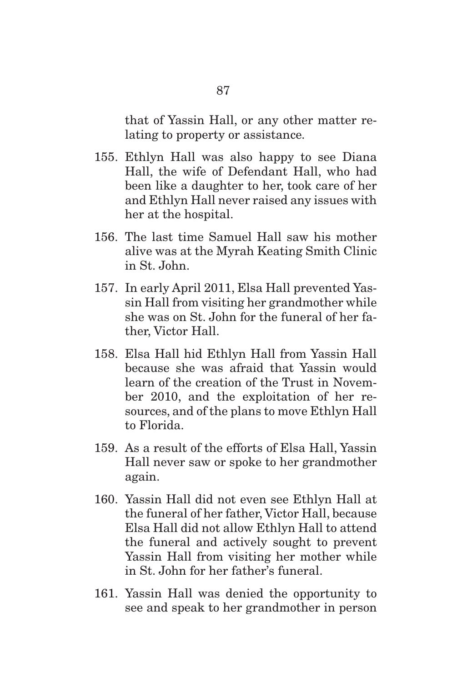that of Yassin Hall, or any other matter relating to property or assistance.

- 155. Ethlyn Hall was also happy to see Diana Hall, the wife of Defendant Hall, who had been like a daughter to her, took care of her and Ethlyn Hall never raised any issues with her at the hospital.
- 156. The last time Samuel Hall saw his mother alive was at the Myrah Keating Smith Clinic in St. John.
- 157. In early April 2011, Elsa Hall prevented Yassin Hall from visiting her grandmother while she was on St. John for the funeral of her father, Victor Hall.
- 158. Elsa Hall hid Ethlyn Hall from Yassin Hall because she was afraid that Yassin would learn of the creation of the Trust in November 2010, and the exploitation of her resources, and of the plans to move Ethlyn Hall to Florida.
- 159. As a result of the efforts of Elsa Hall, Yassin Hall never saw or spoke to her grandmother again.
- 160. Yassin Hall did not even see Ethlyn Hall at the funeral of her father, Victor Hall, because Elsa Hall did not allow Ethlyn Hall to attend the funeral and actively sought to prevent Yassin Hall from visiting her mother while in St. John for her father's funeral.
- 161. Yassin Hall was denied the opportunity to see and speak to her grandmother in person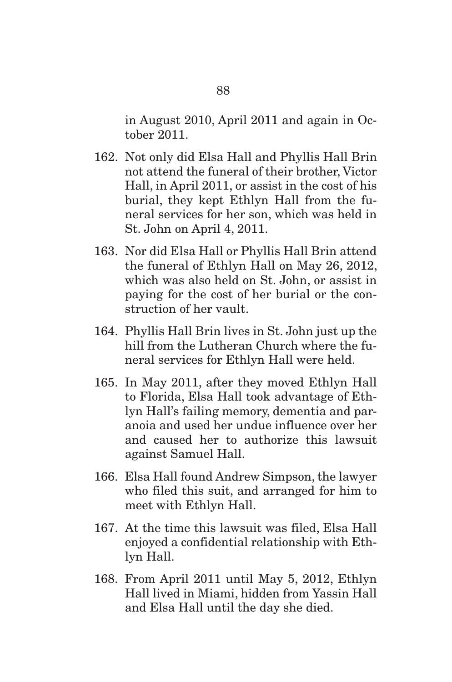in August 2010, April 2011 and again in October 2011.

- 162. Not only did Elsa Hall and Phyllis Hall Brin not attend the funeral of their brother, Victor Hall, in April 2011, or assist in the cost of his burial, they kept Ethlyn Hall from the funeral services for her son, which was held in St. John on April 4, 2011.
- 163. Nor did Elsa Hall or Phyllis Hall Brin attend the funeral of Ethlyn Hall on May 26, 2012, which was also held on St. John, or assist in paying for the cost of her burial or the construction of her vault.
- 164. Phyllis Hall Brin lives in St. John just up the hill from the Lutheran Church where the funeral services for Ethlyn Hall were held.
- 165. In May 2011, after they moved Ethlyn Hall to Florida, Elsa Hall took advantage of Ethlyn Hall's failing memory, dementia and paranoia and used her undue influence over her and caused her to authorize this lawsuit against Samuel Hall.
- 166. Elsa Hall found Andrew Simpson, the lawyer who filed this suit, and arranged for him to meet with Ethlyn Hall.
- 167. At the time this lawsuit was filed, Elsa Hall enjoyed a confidential relationship with Ethlyn Hall.
- 168. From April 2011 until May 5, 2012, Ethlyn Hall lived in Miami, hidden from Yassin Hall and Elsa Hall until the day she died.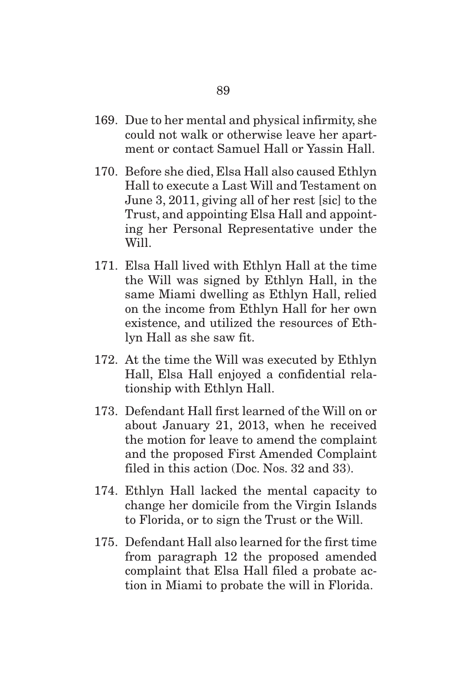- 169. Due to her mental and physical infirmity, she could not walk or otherwise leave her apartment or contact Samuel Hall or Yassin Hall.
- 170. Before she died, Elsa Hall also caused Ethlyn Hall to execute a Last Will and Testament on June 3, 2011, giving all of her rest [sic] to the Trust, and appointing Elsa Hall and appointing her Personal Representative under the Will.
- 171. Elsa Hall lived with Ethlyn Hall at the time the Will was signed by Ethlyn Hall, in the same Miami dwelling as Ethlyn Hall, relied on the income from Ethlyn Hall for her own existence, and utilized the resources of Ethlyn Hall as she saw fit.
- 172. At the time the Will was executed by Ethlyn Hall, Elsa Hall enjoyed a confidential relationship with Ethlyn Hall.
- 173. Defendant Hall first learned of the Will on or about January 21, 2013, when he received the motion for leave to amend the complaint and the proposed First Amended Complaint filed in this action (Doc. Nos. 32 and 33).
- 174. Ethlyn Hall lacked the mental capacity to change her domicile from the Virgin Islands to Florida, or to sign the Trust or the Will.
- 175. Defendant Hall also learned for the first time from paragraph 12 the proposed amended complaint that Elsa Hall filed a probate action in Miami to probate the will in Florida.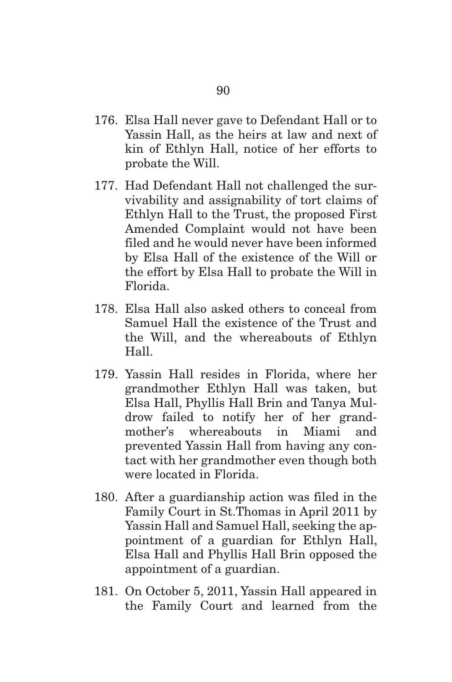- 176. Elsa Hall never gave to Defendant Hall or to Yassin Hall, as the heirs at law and next of kin of Ethlyn Hall, notice of her efforts to probate the Will.
- 177. Had Defendant Hall not challenged the survivability and assignability of tort claims of Ethlyn Hall to the Trust, the proposed First Amended Complaint would not have been filed and he would never have been informed by Elsa Hall of the existence of the Will or the effort by Elsa Hall to probate the Will in Florida.
- 178. Elsa Hall also asked others to conceal from Samuel Hall the existence of the Trust and the Will, and the whereabouts of Ethlyn Hall.
- 179. Yassin Hall resides in Florida, where her grandmother Ethlyn Hall was taken, but Elsa Hall, Phyllis Hall Brin and Tanya Muldrow failed to notify her of her grandmother's whereabouts in Miami and prevented Yassin Hall from having any contact with her grandmother even though both were located in Florida.
- 180. After a guardianship action was filed in the Family Court in St.Thomas in April 2011 by Yassin Hall and Samuel Hall, seeking the appointment of a guardian for Ethlyn Hall, Elsa Hall and Phyllis Hall Brin opposed the appointment of a guardian.
- 181. On October 5, 2011, Yassin Hall appeared in the Family Court and learned from the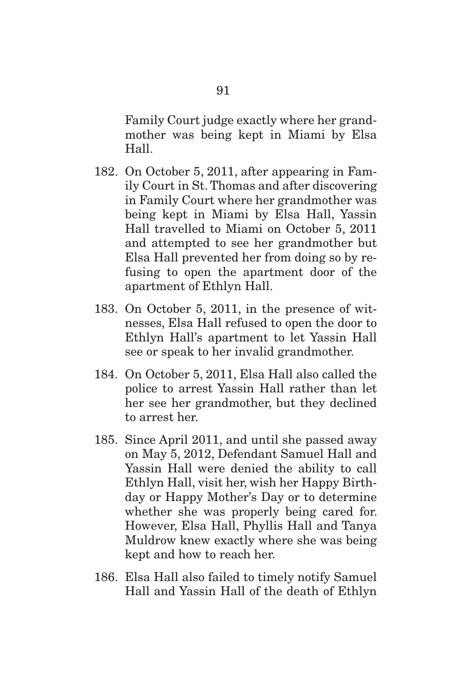Family Court judge exactly where her grandmother was being kept in Miami by Elsa Hall.

- 182. On October 5, 2011, after appearing in Family Court in St. Thomas and after discovering in Family Court where her grandmother was being kept in Miami by Elsa Hall, Yassin Hall travelled to Miami on October 5, 2011 and attempted to see her grandmother but Elsa Hall prevented her from doing so by refusing to open the apartment door of the apartment of Ethlyn Hall.
- 183. On October 5, 2011, in the presence of witnesses, Elsa Hall refused to open the door to Ethlyn Hall's apartment to let Yassin Hall see or speak to her invalid grandmother.
- 184. On October 5, 2011, Elsa Hall also called the police to arrest Yassin Hall rather than let her see her grandmother, but they declined to arrest her.
- 185. Since April 2011, and until she passed away on May 5, 2012, Defendant Samuel Hall and Yassin Hall were denied the ability to call Ethlyn Hall, visit her, wish her Happy Birthday or Happy Mother's Day or to determine whether she was properly being cared for. However, Elsa Hall, Phyllis Hall and Tanya Muldrow knew exactly where she was being kept and how to reach her.
- 186. Elsa Hall also failed to timely notify Samuel Hall and Yassin Hall of the death of Ethlyn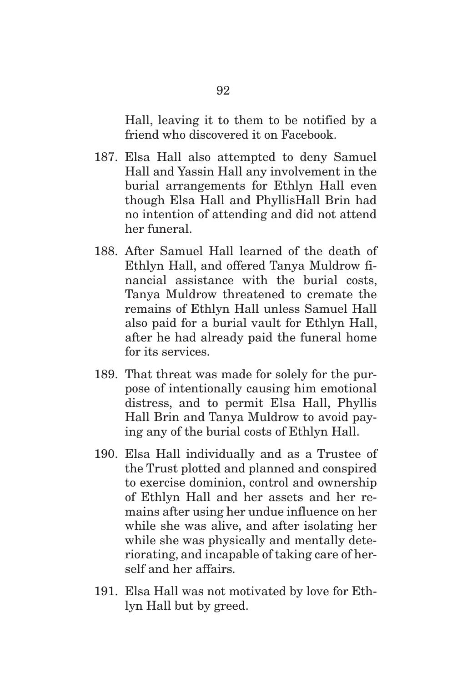Hall, leaving it to them to be notified by a friend who discovered it on Facebook.

- 187. Elsa Hall also attempted to deny Samuel Hall and Yassin Hall any involvement in the burial arrangements for Ethlyn Hall even though Elsa Hall and PhyllisHall Brin had no intention of attending and did not attend her funeral.
- 188. After Samuel Hall learned of the death of Ethlyn Hall, and offered Tanya Muldrow financial assistance with the burial costs, Tanya Muldrow threatened to cremate the remains of Ethlyn Hall unless Samuel Hall also paid for a burial vault for Ethlyn Hall, after he had already paid the funeral home for its services.
- 189. That threat was made for solely for the purpose of intentionally causing him emotional distress, and to permit Elsa Hall, Phyllis Hall Brin and Tanya Muldrow to avoid paying any of the burial costs of Ethlyn Hall.
- 190. Elsa Hall individually and as a Trustee of the Trust plotted and planned and conspired to exercise dominion, control and ownership of Ethlyn Hall and her assets and her remains after using her undue influence on her while she was alive, and after isolating her while she was physically and mentally deteriorating, and incapable of taking care of herself and her affairs.
- 191. Elsa Hall was not motivated by love for Ethlyn Hall but by greed.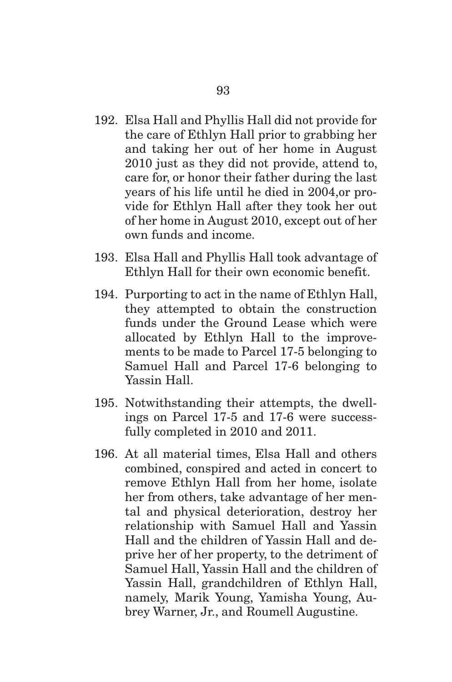- 192. Elsa Hall and Phyllis Hall did not provide for the care of Ethlyn Hall prior to grabbing her and taking her out of her home in August 2010 just as they did not provide, attend to, care for, or honor their father during the last years of his life until he died in 2004,or provide for Ethlyn Hall after they took her out of her home in August 2010, except out of her own funds and income.
- 193. Elsa Hall and Phyllis Hall took advantage of Ethlyn Hall for their own economic benefit.
- 194. Purporting to act in the name of Ethlyn Hall, they attempted to obtain the construction funds under the Ground Lease which were allocated by Ethlyn Hall to the improvements to be made to Parcel 17-5 belonging to Samuel Hall and Parcel 17-6 belonging to Yassin Hall.
- 195. Notwithstanding their attempts, the dwellings on Parcel 17-5 and 17-6 were successfully completed in 2010 and 2011.
- 196. At all material times, Elsa Hall and others combined, conspired and acted in concert to remove Ethlyn Hall from her home, isolate her from others, take advantage of her mental and physical deterioration, destroy her relationship with Samuel Hall and Yassin Hall and the children of Yassin Hall and deprive her of her property, to the detriment of Samuel Hall, Yassin Hall and the children of Yassin Hall, grandchildren of Ethlyn Hall, namely, Marik Young, Yamisha Young, Aubrey Warner, Jr., and Roumell Augustine.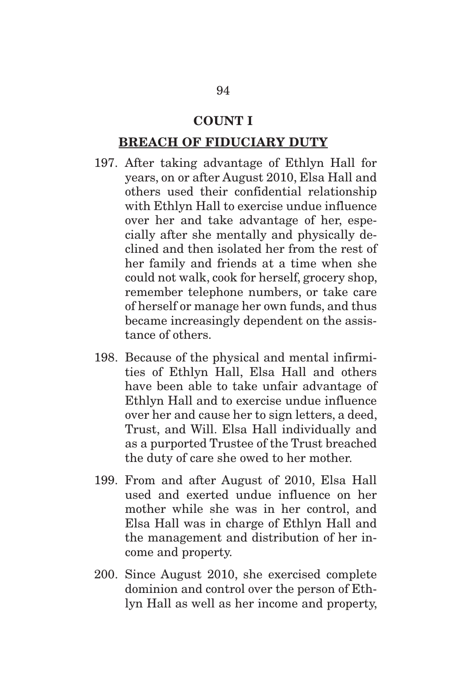#### **COUNT I**

#### **BREACH OF FIDUCIARY DUTY**

- 197. After taking advantage of Ethlyn Hall for years, on or after August 2010, Elsa Hall and others used their confidential relationship with Ethlyn Hall to exercise undue influence over her and take advantage of her, especially after she mentally and physically declined and then isolated her from the rest of her family and friends at a time when she could not walk, cook for herself, grocery shop, remember telephone numbers, or take care of herself or manage her own funds, and thus became increasingly dependent on the assistance of others.
- 198. Because of the physical and mental infirmities of Ethlyn Hall, Elsa Hall and others have been able to take unfair advantage of Ethlyn Hall and to exercise undue influence over her and cause her to sign letters, a deed, Trust, and Will. Elsa Hall individually and as a purported Trustee of the Trust breached the duty of care she owed to her mother.
- 199. From and after August of 2010, Elsa Hall used and exerted undue influence on her mother while she was in her control, and Elsa Hall was in charge of Ethlyn Hall and the management and distribution of her income and property.
- 200. Since August 2010, she exercised complete dominion and control over the person of Ethlyn Hall as well as her income and property,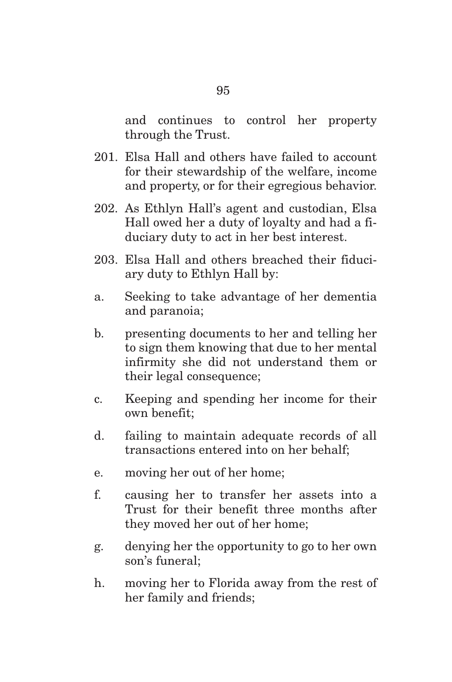and continues to control her property through the Trust.

- 201. Elsa Hall and others have failed to account for their stewardship of the welfare, income and property, or for their egregious behavior.
- 202. As Ethlyn Hall's agent and custodian, Elsa Hall owed her a duty of loyalty and had a fiduciary duty to act in her best interest.
- 203. Elsa Hall and others breached their fiduciary duty to Ethlyn Hall by:
- a. Seeking to take advantage of her dementia and paranoia;
- b. presenting documents to her and telling her to sign them knowing that due to her mental infirmity she did not understand them or their legal consequence;
- c. Keeping and spending her income for their own benefit;
- d. failing to maintain adequate records of all transactions entered into on her behalf;
- e. moving her out of her home;
- f. causing her to transfer her assets into a Trust for their benefit three months after they moved her out of her home;
- g. denying her the opportunity to go to her own son's funeral;
- h. moving her to Florida away from the rest of her family and friends;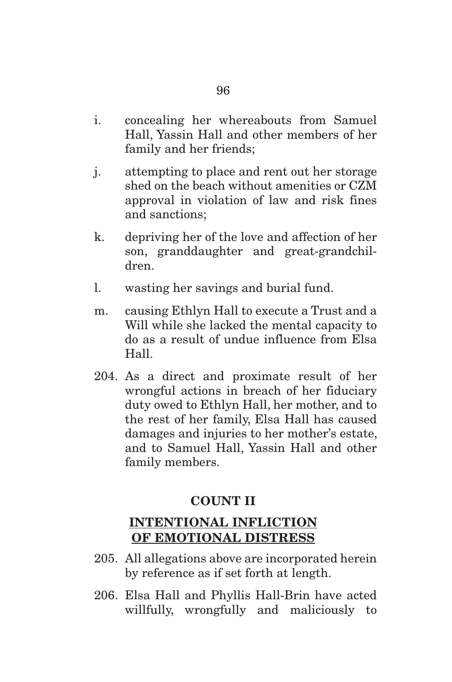- i. concealing her whereabouts from Samuel Hall, Yassin Hall and other members of her family and her friends;
- j. attempting to place and rent out her storage shed on the beach without amenities or CZM approval in violation of law and risk fines and sanctions;
- k. depriving her of the love and affection of her son, granddaughter and great-grandchildren.
- l. wasting her savings and burial fund.
- m. causing Ethlyn Hall to execute a Trust and a Will while she lacked the mental capacity to do as a result of undue influence from Elsa Hall.
- 204. As a direct and proximate result of her wrongful actions in breach of her fiduciary duty owed to Ethlyn Hall, her mother, and to the rest of her family, Elsa Hall has caused damages and injuries to her mother's estate, and to Samuel Hall, Yassin Hall and other family members.

#### **COUNT II**

### **INTENTIONAL INFLICTION OF EMOTIONAL DISTRESS**

- 205. All allegations above are incorporated herein by reference as if set forth at length.
- 206. Elsa Hall and Phyllis Hall-Brin have acted willfully, wrongfully and maliciously to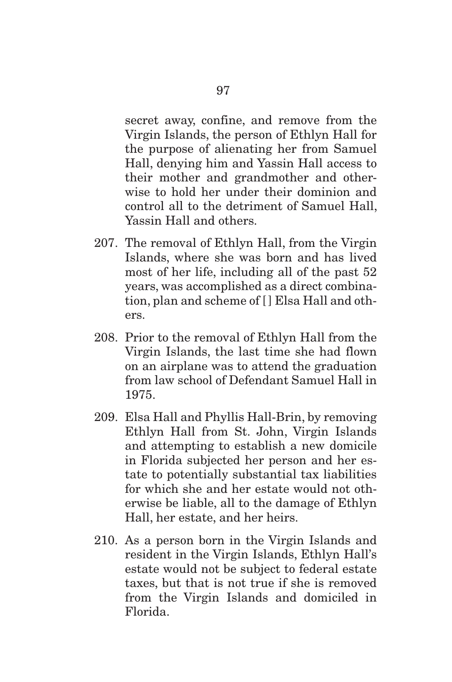secret away, confine, and remove from the Virgin Islands, the person of Ethlyn Hall for the purpose of alienating her from Samuel Hall, denying him and Yassin Hall access to their mother and grandmother and otherwise to hold her under their dominion and control all to the detriment of Samuel Hall, Yassin Hall and others.

- 207. The removal of Ethlyn Hall, from the Virgin Islands, where she was born and has lived most of her life, including all of the past 52 years, was accomplished as a direct combination, plan and scheme of [ ] Elsa Hall and others.
- 208. Prior to the removal of Ethlyn Hall from the Virgin Islands, the last time she had flown on an airplane was to attend the graduation from law school of Defendant Samuel Hall in 1975.
- 209. Elsa Hall and Phyllis Hall-Brin, by removing Ethlyn Hall from St. John, Virgin Islands and attempting to establish a new domicile in Florida subjected her person and her estate to potentially substantial tax liabilities for which she and her estate would not otherwise be liable, all to the damage of Ethlyn Hall, her estate, and her heirs.
- 210. As a person born in the Virgin Islands and resident in the Virgin Islands, Ethlyn Hall's estate would not be subject to federal estate taxes, but that is not true if she is removed from the Virgin Islands and domiciled in Florida.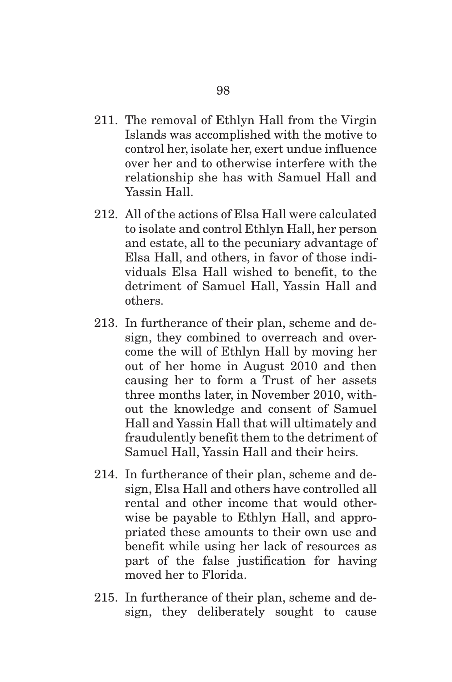- 211. The removal of Ethlyn Hall from the Virgin Islands was accomplished with the motive to control her, isolate her, exert undue influence over her and to otherwise interfere with the relationship she has with Samuel Hall and Yassin Hall.
- 212. All of the actions of Elsa Hall were calculated to isolate and control Ethlyn Hall, her person and estate, all to the pecuniary advantage of Elsa Hall, and others, in favor of those individuals Elsa Hall wished to benefit, to the detriment of Samuel Hall, Yassin Hall and others.
- 213. In furtherance of their plan, scheme and design, they combined to overreach and overcome the will of Ethlyn Hall by moving her out of her home in August 2010 and then causing her to form a Trust of her assets three months later, in November 2010, without the knowledge and consent of Samuel Hall and Yassin Hall that will ultimately and fraudulently benefit them to the detriment of Samuel Hall, Yassin Hall and their heirs.
- 214. In furtherance of their plan, scheme and design, Elsa Hall and others have controlled all rental and other income that would otherwise be payable to Ethlyn Hall, and appropriated these amounts to their own use and benefit while using her lack of resources as part of the false justification for having moved her to Florida.
- 215. In furtherance of their plan, scheme and design, they deliberately sought to cause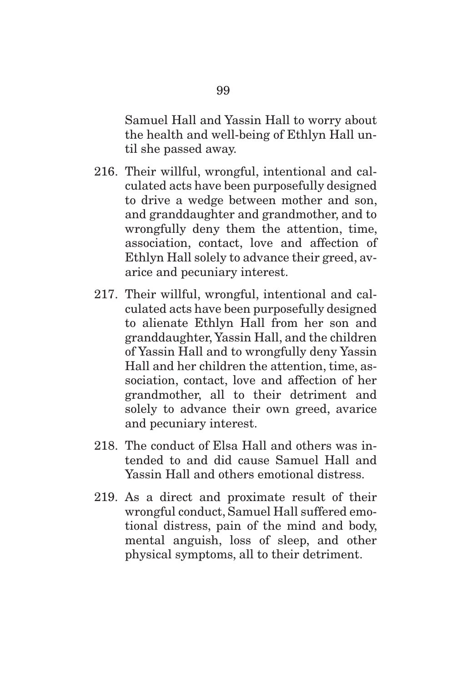Samuel Hall and Yassin Hall to worry about the health and well-being of Ethlyn Hall until she passed away.

- 216. Their willful, wrongful, intentional and calculated acts have been purposefully designed to drive a wedge between mother and son, and granddaughter and grandmother, and to wrongfully deny them the attention, time, association, contact, love and affection of Ethlyn Hall solely to advance their greed, avarice and pecuniary interest.
- 217. Their willful, wrongful, intentional and calculated acts have been purposefully designed to alienate Ethlyn Hall from her son and granddaughter, Yassin Hall, and the children of Yassin Hall and to wrongfully deny Yassin Hall and her children the attention, time, association, contact, love and affection of her grandmother, all to their detriment and solely to advance their own greed, avarice and pecuniary interest.
- 218. The conduct of Elsa Hall and others was intended to and did cause Samuel Hall and Yassin Hall and others emotional distress.
- 219. As a direct and proximate result of their wrongful conduct, Samuel Hall suffered emotional distress, pain of the mind and body, mental anguish, loss of sleep, and other physical symptoms, all to their detriment.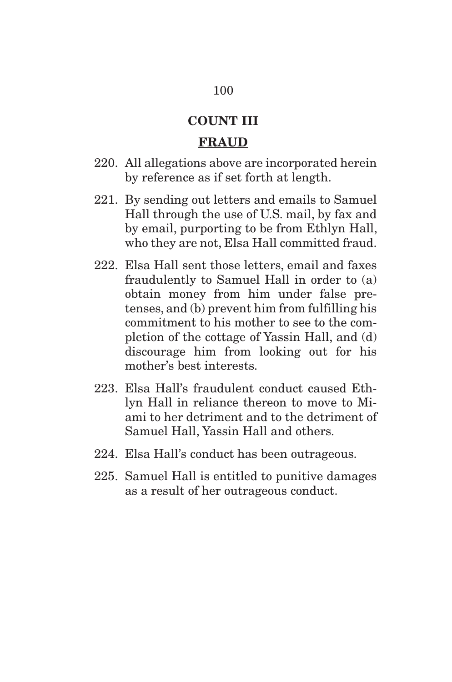# **COUNT III**

#### **FRAUD**

- 220. All allegations above are incorporated herein by reference as if set forth at length.
- 221. By sending out letters and emails to Samuel Hall through the use of U.S. mail, by fax and by email, purporting to be from Ethlyn Hall, who they are not, Elsa Hall committed fraud.
- 222. Elsa Hall sent those letters, email and faxes fraudulently to Samuel Hall in order to (a) obtain money from him under false pretenses, and (b) prevent him from fulfilling his commitment to his mother to see to the completion of the cottage of Yassin Hall, and (d) discourage him from looking out for his mother's best interests.
- 223. Elsa Hall's fraudulent conduct caused Ethlyn Hall in reliance thereon to move to Miami to her detriment and to the detriment of Samuel Hall, Yassin Hall and others.
- 224. Elsa Hall's conduct has been outrageous.
- 225. Samuel Hall is entitled to punitive damages as a result of her outrageous conduct.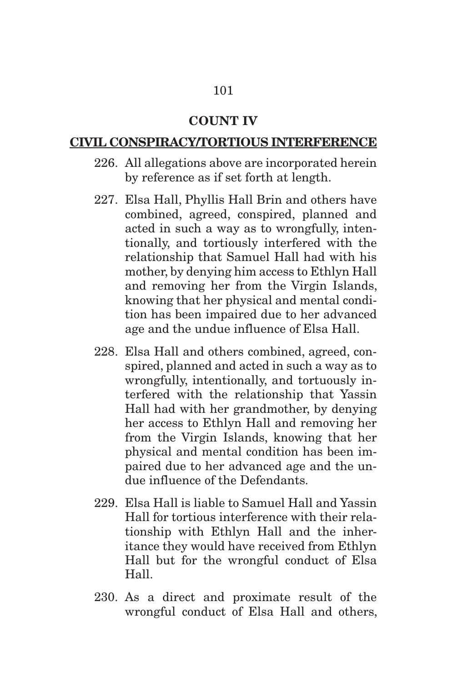## 101

#### **COUNT IV**

#### **CIVIL CONSPIRACY/TORTIOUS INTERFERENCE**

- 226. All allegations above are incorporated herein by reference as if set forth at length.
- 227. Elsa Hall, Phyllis Hall Brin and others have combined, agreed, conspired, planned and acted in such a way as to wrongfully, intentionally, and tortiously interfered with the relationship that Samuel Hall had with his mother, by denying him access to Ethlyn Hall and removing her from the Virgin Islands, knowing that her physical and mental condition has been impaired due to her advanced age and the undue influence of Elsa Hall.
- 228. Elsa Hall and others combined, agreed, conspired, planned and acted in such a way as to wrongfully, intentionally, and tortuously interfered with the relationship that Yassin Hall had with her grandmother, by denying her access to Ethlyn Hall and removing her from the Virgin Islands, knowing that her physical and mental condition has been impaired due to her advanced age and the undue influence of the Defendants.
- 229. Elsa Hall is liable to Samuel Hall and Yassin Hall for tortious interference with their relationship with Ethlyn Hall and the inheritance they would have received from Ethlyn Hall but for the wrongful conduct of Elsa Hall.
- 230. As a direct and proximate result of the wrongful conduct of Elsa Hall and others,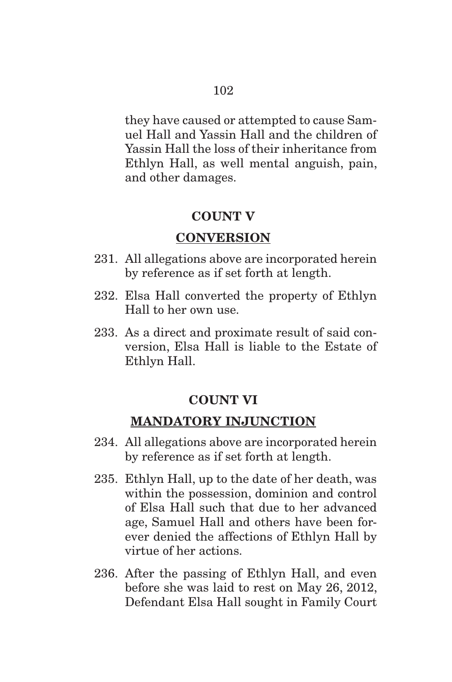they have caused or attempted to cause Samuel Hall and Yassin Hall and the children of Yassin Hall the loss of their inheritance from Ethlyn Hall, as well mental anguish, pain, and other damages.

## **COUNT V**

## **CONVERSION**

- 231. All allegations above are incorporated herein by reference as if set forth at length.
- 232. Elsa Hall converted the property of Ethlyn Hall to her own use.
- 233. As a direct and proximate result of said conversion, Elsa Hall is liable to the Estate of Ethlyn Hall.

# **COUNT VI**

## **MANDATORY INJUNCTION**

- 234. All allegations above are incorporated herein by reference as if set forth at length.
- 235. Ethlyn Hall, up to the date of her death, was within the possession, dominion and control of Elsa Hall such that due to her advanced age, Samuel Hall and others have been forever denied the affections of Ethlyn Hall by virtue of her actions.
- 236. After the passing of Ethlyn Hall, and even before she was laid to rest on May 26, 2012, Defendant Elsa Hall sought in Family Court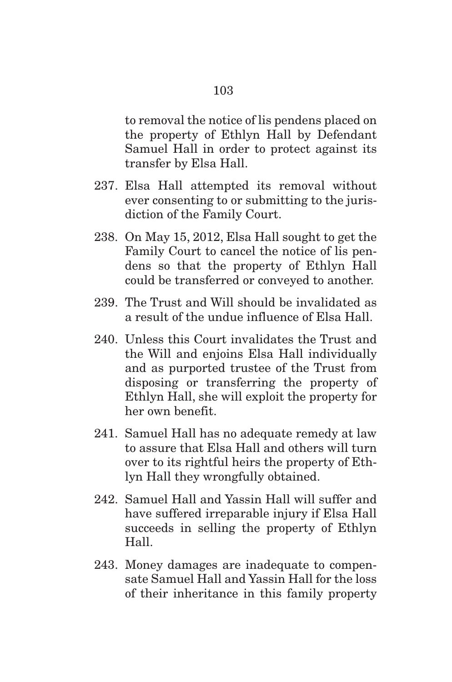to removal the notice of lis pendens placed on the property of Ethlyn Hall by Defendant Samuel Hall in order to protect against its transfer by Elsa Hall.

- 237. Elsa Hall attempted its removal without ever consenting to or submitting to the jurisdiction of the Family Court.
- 238. On May 15, 2012, Elsa Hall sought to get the Family Court to cancel the notice of lis pendens so that the property of Ethlyn Hall could be transferred or conveyed to another.
- 239. The Trust and Will should be invalidated as a result of the undue influence of Elsa Hall.
- 240. Unless this Court invalidates the Trust and the Will and enjoins Elsa Hall individually and as purported trustee of the Trust from disposing or transferring the property of Ethlyn Hall, she will exploit the property for her own benefit.
- 241. Samuel Hall has no adequate remedy at law to assure that Elsa Hall and others will turn over to its rightful heirs the property of Ethlyn Hall they wrongfully obtained.
- 242. Samuel Hall and Yassin Hall will suffer and have suffered irreparable injury if Elsa Hall succeeds in selling the property of Ethlyn Hall.
- 243. Money damages are inadequate to compensate Samuel Hall and Yassin Hall for the loss of their inheritance in this family property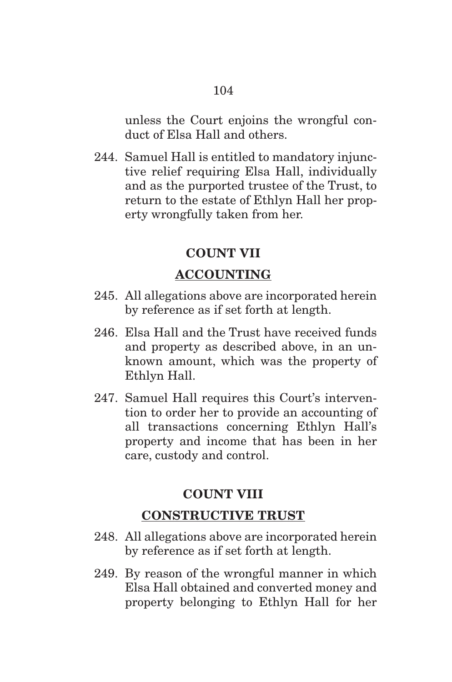unless the Court enjoins the wrongful conduct of Elsa Hall and others.

244. Samuel Hall is entitled to mandatory injunctive relief requiring Elsa Hall, individually and as the purported trustee of the Trust, to return to the estate of Ethlyn Hall her property wrongfully taken from her.

#### **COUNT VII**

### **ACCOUNTING**

- 245. All allegations above are incorporated herein by reference as if set forth at length.
- 246. Elsa Hall and the Trust have received funds and property as described above, in an unknown amount, which was the property of Ethlyn Hall.
- 247. Samuel Hall requires this Court's intervention to order her to provide an accounting of all transactions concerning Ethlyn Hall's property and income that has been in her care, custody and control.

### **COUNT VIII**

## **CONSTRUCTIVE TRUST**

- 248. All allegations above are incorporated herein by reference as if set forth at length.
- 249. By reason of the wrongful manner in which Elsa Hall obtained and converted money and property belonging to Ethlyn Hall for her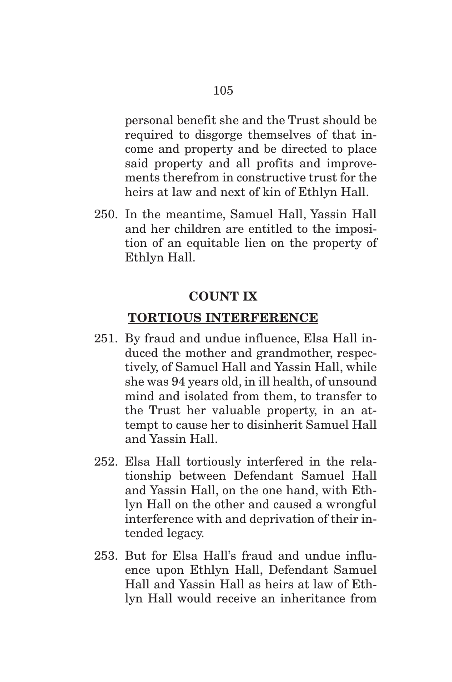personal benefit she and the Trust should be required to disgorge themselves of that income and property and be directed to place said property and all profits and improvements therefrom in constructive trust for the heirs at law and next of kin of Ethlyn Hall.

250. In the meantime, Samuel Hall, Yassin Hall and her children are entitled to the imposition of an equitable lien on the property of Ethlyn Hall.

### **COUNT IX**

## **TORTIOUS INTERFERENCE**

- 251. By fraud and undue influence, Elsa Hall induced the mother and grandmother, respectively, of Samuel Hall and Yassin Hall, while she was 94 years old, in ill health, of unsound mind and isolated from them, to transfer to the Trust her valuable property, in an attempt to cause her to disinherit Samuel Hall and Yassin Hall.
- 252. Elsa Hall tortiously interfered in the relationship between Defendant Samuel Hall and Yassin Hall, on the one hand, with Ethlyn Hall on the other and caused a wrongful interference with and deprivation of their intended legacy.
- 253. But for Elsa Hall's fraud and undue influence upon Ethlyn Hall, Defendant Samuel Hall and Yassin Hall as heirs at law of Ethlyn Hall would receive an inheritance from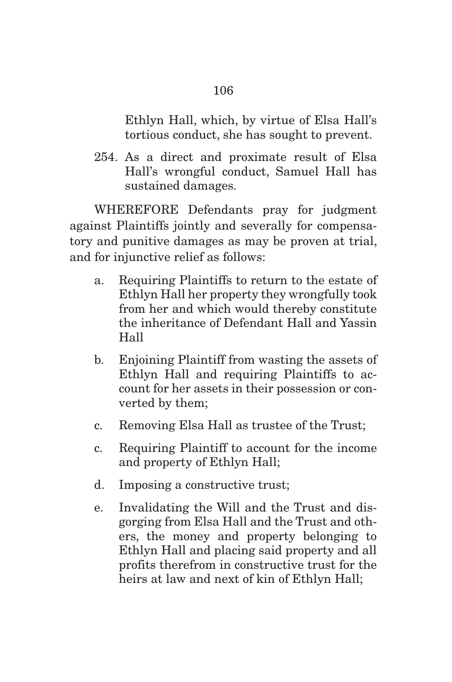Ethlyn Hall, which, by virtue of Elsa Hall's tortious conduct, she has sought to prevent.

254. As a direct and proximate result of Elsa Hall's wrongful conduct, Samuel Hall has sustained damages.

 WHEREFORE Defendants pray for judgment against Plaintiffs jointly and severally for compensatory and punitive damages as may be proven at trial, and for injunctive relief as follows:

- a. Requiring Plaintiffs to return to the estate of Ethlyn Hall her property they wrongfully took from her and which would thereby constitute the inheritance of Defendant Hall and Yassin Hall
- b. Enjoining Plaintiff from wasting the assets of Ethlyn Hall and requiring Plaintiffs to account for her assets in their possession or converted by them;
- c. Removing Elsa Hall as trustee of the Trust;
- c. Requiring Plaintiff to account for the income and property of Ethlyn Hall;
- d. Imposing a constructive trust;
- e. Invalidating the Will and the Trust and disgorging from Elsa Hall and the Trust and others, the money and property belonging to Ethlyn Hall and placing said property and all profits therefrom in constructive trust for the heirs at law and next of kin of Ethlyn Hall;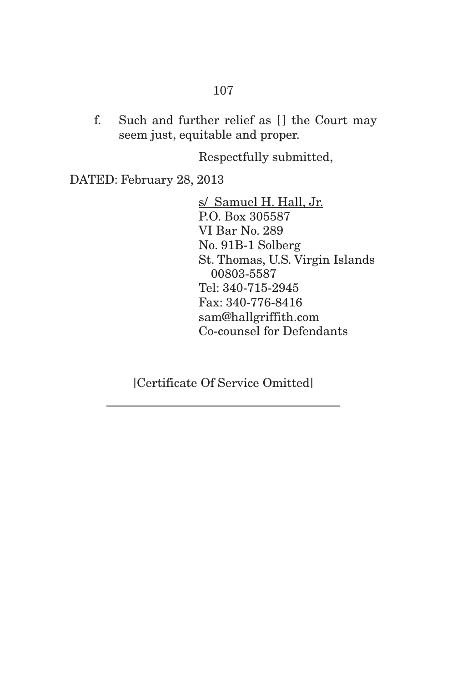## 107

f. Such and further relief as [] the Court may seem just, equitable and proper.

Respectfully submitted,

DATED: February 28, 2013

s/ Samuel H. Hall, Jr. P.O. Box 305587 VI Bar No. 289 No. 91B-1 Solberg St. Thomas, U.S. Virgin Islands 00803-5587 Tel: 340-715-2945 Fax: 340-776-8416 sam@hallgriffith.com Co-counsel for Defendants

[Certificate Of Service Omitted]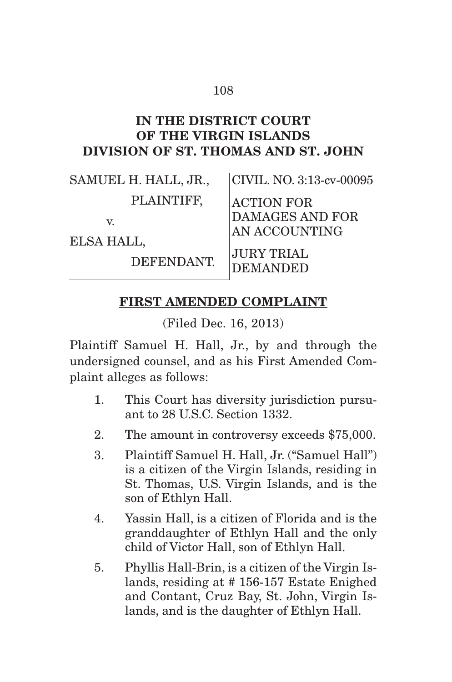## 108

## **IN THE DISTRICT COURT OF THE VIRGIN ISLANDS DIVISION OF ST. THOMAS AND ST. JOHN**

| SAMUEL H. HALL, JR., | CIVIL. NO. 3:13-cv-00095             |
|----------------------|--------------------------------------|
| PLAINTIFF,           | <b>ACTION FOR</b>                    |
| V.<br>ELSA HALL,     | DAMAGES AND FOR<br>AN ACCOUNTING     |
| DEFENDANT.           | <b>JURY TRIAL</b><br><b>DEMANDED</b> |

## **FIRST AMENDED COMPLAINT**

(Filed Dec. 16, 2013)

Plaintiff Samuel H. Hall, Jr., by and through the undersigned counsel, and as his First Amended Complaint alleges as follows:

- 1. This Court has diversity jurisdiction pursuant to 28 U.S.C. Section 1332.
- 2. The amount in controversy exceeds \$75,000.
- 3. Plaintiff Samuel H. Hall, Jr. ("Samuel Hall") is a citizen of the Virgin Islands, residing in St. Thomas, U.S. Virgin Islands, and is the son of Ethlyn Hall.
- 4. Yassin Hall, is a citizen of Florida and is the granddaughter of Ethlyn Hall and the only child of Victor Hall, son of Ethlyn Hall.
- 5. Phyllis Hall-Brin, is a citizen of the Virgin Islands, residing at # 156-157 Estate Enighed and Contant, Cruz Bay, St. John, Virgin Islands, and is the daughter of Ethlyn Hall.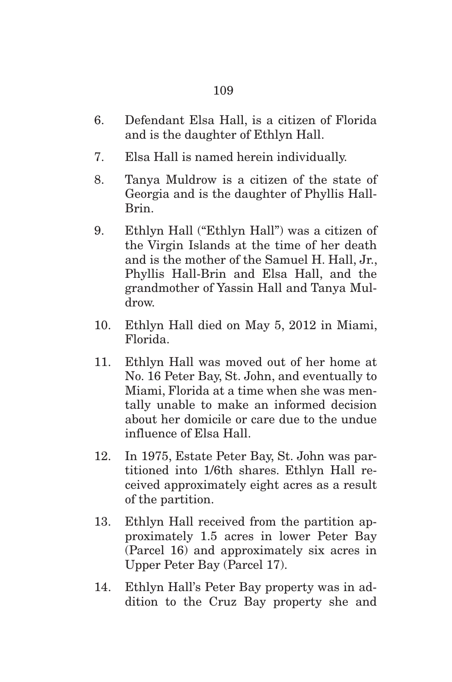- 6. Defendant Elsa Hall, is a citizen of Florida and is the daughter of Ethlyn Hall.
- 7. Elsa Hall is named herein individually.
- 8. Tanya Muldrow is a citizen of the state of Georgia and is the daughter of Phyllis Hall-Brin.
- 9. Ethlyn Hall ("Ethlyn Hall") was a citizen of the Virgin Islands at the time of her death and is the mother of the Samuel H. Hall, Jr., Phyllis Hall-Brin and Elsa Hall, and the grandmother of Yassin Hall and Tanya Muldrow.
- 10. Ethlyn Hall died on May 5, 2012 in Miami, Florida.
- 11. Ethlyn Hall was moved out of her home at No. 16 Peter Bay, St. John, and eventually to Miami, Florida at a time when she was mentally unable to make an informed decision about her domicile or care due to the undue influence of Elsa Hall.
- 12. In 1975, Estate Peter Bay, St. John was partitioned into 1/6th shares. Ethlyn Hall received approximately eight acres as a result of the partition.
- 13. Ethlyn Hall received from the partition approximately 1.5 acres in lower Peter Bay (Parcel 16) and approximately six acres in Upper Peter Bay (Parcel 17).
- 14. Ethlyn Hall's Peter Bay property was in addition to the Cruz Bay property she and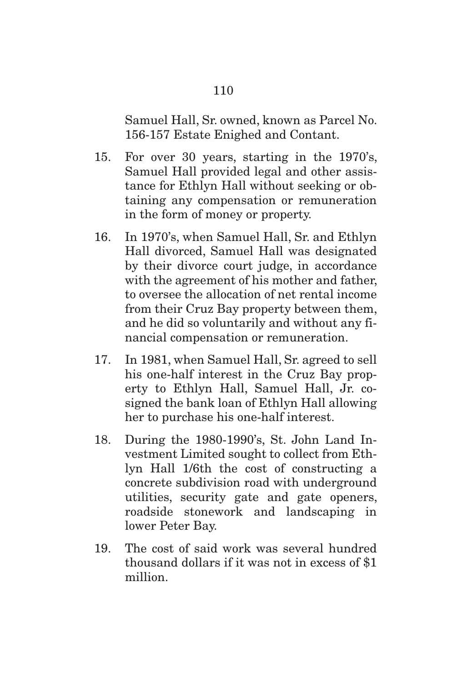Samuel Hall, Sr. owned, known as Parcel No. 156-157 Estate Enighed and Contant.

- 15. For over 30 years, starting in the 1970's, Samuel Hall provided legal and other assistance for Ethlyn Hall without seeking or obtaining any compensation or remuneration in the form of money or property.
- 16. In 1970's, when Samuel Hall, Sr. and Ethlyn Hall divorced, Samuel Hall was designated by their divorce court judge, in accordance with the agreement of his mother and father, to oversee the allocation of net rental income from their Cruz Bay property between them, and he did so voluntarily and without any financial compensation or remuneration.
- 17. In 1981, when Samuel Hall, Sr. agreed to sell his one-half interest in the Cruz Bay property to Ethlyn Hall, Samuel Hall, Jr. cosigned the bank loan of Ethlyn Hall allowing her to purchase his one-half interest.
- 18. During the 1980-1990's, St. John Land Investment Limited sought to collect from Ethlyn Hall 1/6th the cost of constructing a concrete subdivision road with underground utilities, security gate and gate openers, roadside stonework and landscaping in lower Peter Bay.
- 19. The cost of said work was several hundred thousand dollars if it was not in excess of \$1 million.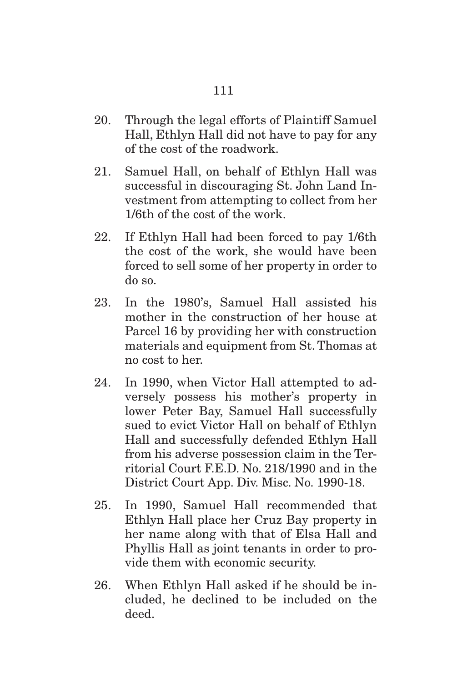- 20. Through the legal efforts of Plaintiff Samuel Hall, Ethlyn Hall did not have to pay for any of the cost of the roadwork.
- 21. Samuel Hall, on behalf of Ethlyn Hall was successful in discouraging St. John Land Investment from attempting to collect from her 1/6th of the cost of the work.
- 22. If Ethlyn Hall had been forced to pay 1/6th the cost of the work, she would have been forced to sell some of her property in order to do so.
- 23. In the 1980's, Samuel Hall assisted his mother in the construction of her house at Parcel 16 by providing her with construction materials and equipment from St. Thomas at no cost to her.
- 24. In 1990, when Victor Hall attempted to adversely possess his mother's property in lower Peter Bay, Samuel Hall successfully sued to evict Victor Hall on behalf of Ethlyn Hall and successfully defended Ethlyn Hall from his adverse possession claim in the Territorial Court F.E.D. No. 218/1990 and in the District Court App. Div. Misc. No. 1990-18.
- 25. In 1990, Samuel Hall recommended that Ethlyn Hall place her Cruz Bay property in her name along with that of Elsa Hall and Phyllis Hall as joint tenants in order to provide them with economic security.
- 26. When Ethlyn Hall asked if he should be included, he declined to be included on the deed.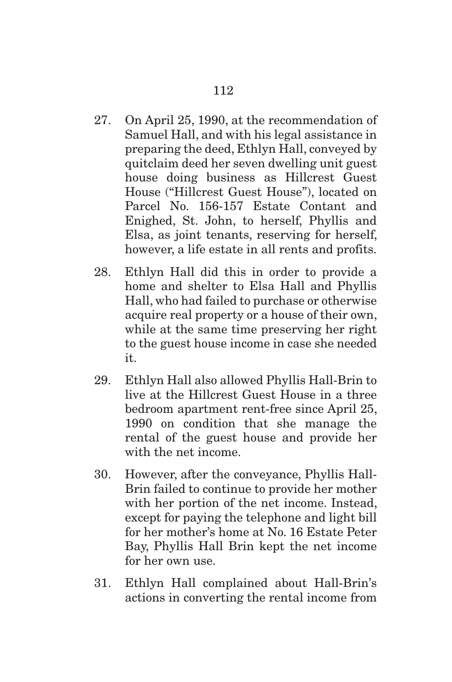- 27. On April 25, 1990, at the recommendation of Samuel Hall, and with his legal assistance in preparing the deed, Ethlyn Hall, conveyed by quitclaim deed her seven dwelling unit guest house doing business as Hillcrest Guest House ("Hillcrest Guest House"), located on Parcel No. 156-157 Estate Contant and Enighed, St. John, to herself, Phyllis and Elsa, as joint tenants, reserving for herself, however, a life estate in all rents and profits.
- 28. Ethlyn Hall did this in order to provide a home and shelter to Elsa Hall and Phyllis Hall, who had failed to purchase or otherwise acquire real property or a house of their own, while at the same time preserving her right to the guest house income in case she needed it.
- 29. Ethlyn Hall also allowed Phyllis Hall-Brin to live at the Hillcrest Guest House in a three bedroom apartment rent-free since April 25, 1990 on condition that she manage the rental of the guest house and provide her with the net income.
- 30. However, after the conveyance, Phyllis Hall-Brin failed to continue to provide her mother with her portion of the net income. Instead, except for paying the telephone and light bill for her mother's home at No. 16 Estate Peter Bay, Phyllis Hall Brin kept the net income for her own use.
- 31. Ethlyn Hall complained about Hall-Brin's actions in converting the rental income from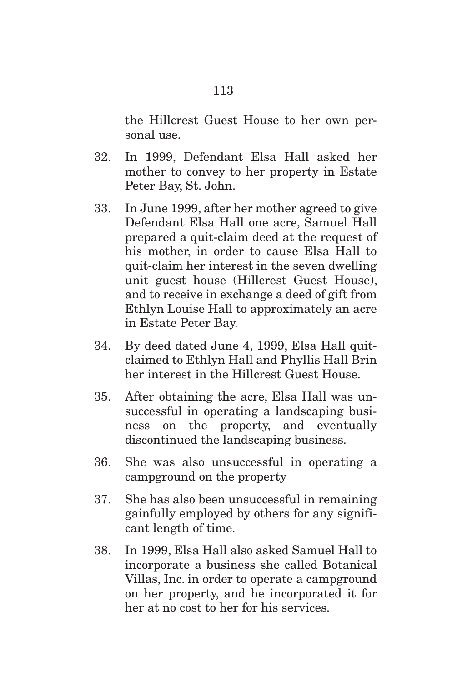the Hillcrest Guest House to her own personal use.

- 32. In 1999, Defendant Elsa Hall asked her mother to convey to her property in Estate Peter Bay, St. John.
- 33. In June 1999, after her mother agreed to give Defendant Elsa Hall one acre, Samuel Hall prepared a quit-claim deed at the request of his mother, in order to cause Elsa Hall to quit-claim her interest in the seven dwelling unit guest house (Hillcrest Guest House), and to receive in exchange a deed of gift from Ethlyn Louise Hall to approximately an acre in Estate Peter Bay.
- 34. By deed dated June 4, 1999, Elsa Hall quitclaimed to Ethlyn Hall and Phyllis Hall Brin her interest in the Hillcrest Guest House.
- 35. After obtaining the acre, Elsa Hall was unsuccessful in operating a landscaping business on the property, and eventually discontinued the landscaping business.
- 36. She was also unsuccessful in operating a campground on the property
- 37. She has also been unsuccessful in remaining gainfully employed by others for any significant length of time.
- 38. In 1999, Elsa Hall also asked Samuel Hall to incorporate a business she called Botanical Villas, Inc. in order to operate a campground on her property, and he incorporated it for her at no cost to her for his services.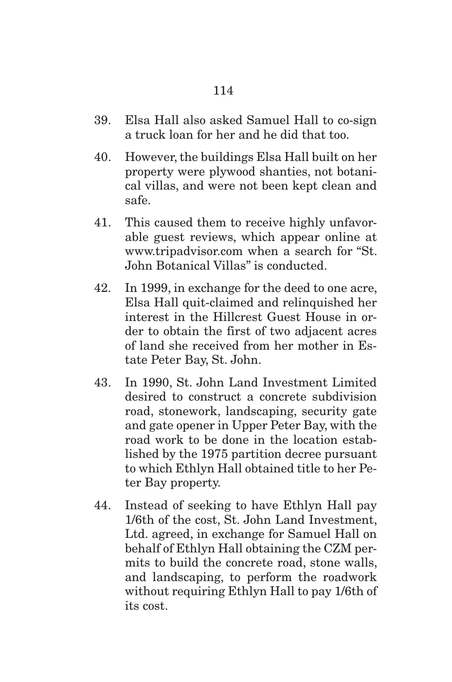- 39. Elsa Hall also asked Samuel Hall to co-sign a truck loan for her and he did that too.
- 40. However, the buildings Elsa Hall built on her property were plywood shanties, not botanical villas, and were not been kept clean and safe.
- 41. This caused them to receive highly unfavorable guest reviews, which appear online at www.tripadvisor.com when a search for "St. John Botanical Villas" is conducted.
- 42. In 1999, in exchange for the deed to one acre, Elsa Hall quit-claimed and relinquished her interest in the Hillcrest Guest House in order to obtain the first of two adjacent acres of land she received from her mother in Estate Peter Bay, St. John.
- 43. In 1990, St. John Land Investment Limited desired to construct a concrete subdivision road, stonework, landscaping, security gate and gate opener in Upper Peter Bay, with the road work to be done in the location established by the 1975 partition decree pursuant to which Ethlyn Hall obtained title to her Peter Bay property.
- 44. Instead of seeking to have Ethlyn Hall pay 1/6th of the cost, St. John Land Investment, Ltd. agreed, in exchange for Samuel Hall on behalf of Ethlyn Hall obtaining the CZM permits to build the concrete road, stone walls, and landscaping, to perform the roadwork without requiring Ethlyn Hall to pay 1/6th of its cost.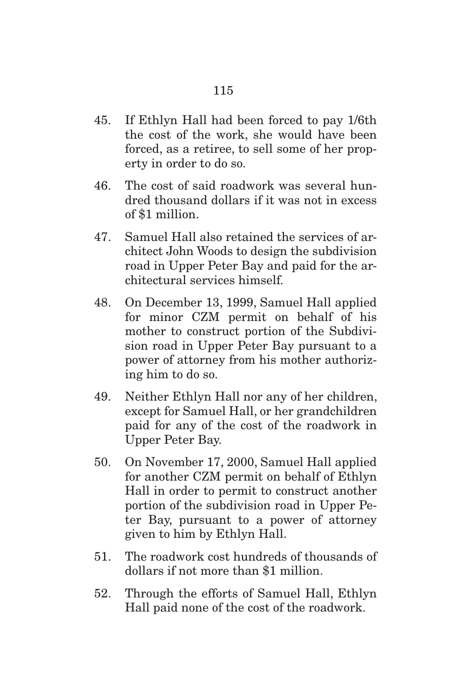- 45. If Ethlyn Hall had been forced to pay 1/6th the cost of the work, she would have been forced, as a retiree, to sell some of her property in order to do so.
- 46. The cost of said roadwork was several hundred thousand dollars if it was not in excess of \$1 million.
- 47. Samuel Hall also retained the services of architect John Woods to design the subdivision road in Upper Peter Bay and paid for the architectural services himself.
- 48. On December 13, 1999, Samuel Hall applied for minor CZM permit on behalf of his mother to construct portion of the Subdivision road in Upper Peter Bay pursuant to a power of attorney from his mother authorizing him to do so.
- 49. Neither Ethlyn Hall nor any of her children, except for Samuel Hall, or her grandchildren paid for any of the cost of the roadwork in Upper Peter Bay.
- 50. On November 17, 2000, Samuel Hall applied for another CZM permit on behalf of Ethlyn Hall in order to permit to construct another portion of the subdivision road in Upper Peter Bay, pursuant to a power of attorney given to him by Ethlyn Hall.
- 51. The roadwork cost hundreds of thousands of dollars if not more than \$1 million.
- 52. Through the efforts of Samuel Hall, Ethlyn Hall paid none of the cost of the roadwork.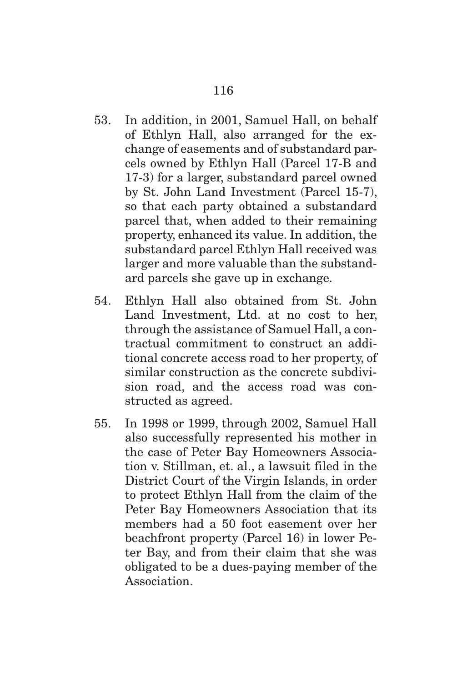- 53. In addition, in 2001, Samuel Hall, on behalf of Ethlyn Hall, also arranged for the exchange of easements and of substandard parcels owned by Ethlyn Hall (Parcel 17-B and 17-3) for a larger, substandard parcel owned by St. John Land Investment (Parcel 15-7), so that each party obtained a substandard parcel that, when added to their remaining property, enhanced its value. In addition, the substandard parcel Ethlyn Hall received was larger and more valuable than the substandard parcels she gave up in exchange.
- 54. Ethlyn Hall also obtained from St. John Land Investment, Ltd. at no cost to her, through the assistance of Samuel Hall, a contractual commitment to construct an additional concrete access road to her property, of similar construction as the concrete subdivision road, and the access road was constructed as agreed.
- 55. In 1998 or 1999, through 2002, Samuel Hall also successfully represented his mother in the case of Peter Bay Homeowners Association v. Stillman, et. al., a lawsuit filed in the District Court of the Virgin Islands, in order to protect Ethlyn Hall from the claim of the Peter Bay Homeowners Association that its members had a 50 foot easement over her beachfront property (Parcel 16) in lower Peter Bay, and from their claim that she was obligated to be a dues-paying member of the Association.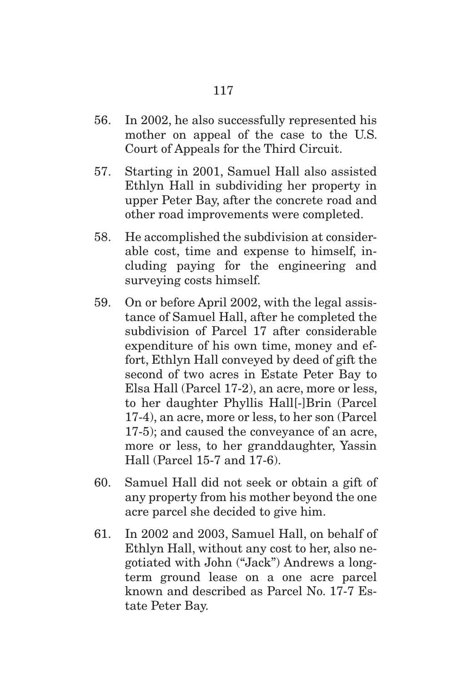- 56. In 2002, he also successfully represented his mother on appeal of the case to the U.S. Court of Appeals for the Third Circuit.
- 57. Starting in 2001, Samuel Hall also assisted Ethlyn Hall in subdividing her property in upper Peter Bay, after the concrete road and other road improvements were completed.
- 58. He accomplished the subdivision at considerable cost, time and expense to himself, including paying for the engineering and surveying costs himself.
- 59. On or before April 2002, with the legal assistance of Samuel Hall, after he completed the subdivision of Parcel 17 after considerable expenditure of his own time, money and effort, Ethlyn Hall conveyed by deed of gift the second of two acres in Estate Peter Bay to Elsa Hall (Parcel 17-2), an acre, more or less, to her daughter Phyllis Hall[-]Brin (Parcel 17-4), an acre, more or less, to her son (Parcel 17-5); and caused the conveyance of an acre, more or less, to her granddaughter, Yassin Hall (Parcel 15-7 and 17-6).
- 60. Samuel Hall did not seek or obtain a gift of any property from his mother beyond the one acre parcel she decided to give him.
- 61. In 2002 and 2003, Samuel Hall, on behalf of Ethlyn Hall, without any cost to her, also negotiated with John ("Jack") Andrews a longterm ground lease on a one acre parcel known and described as Parcel No. 17-7 Estate Peter Bay.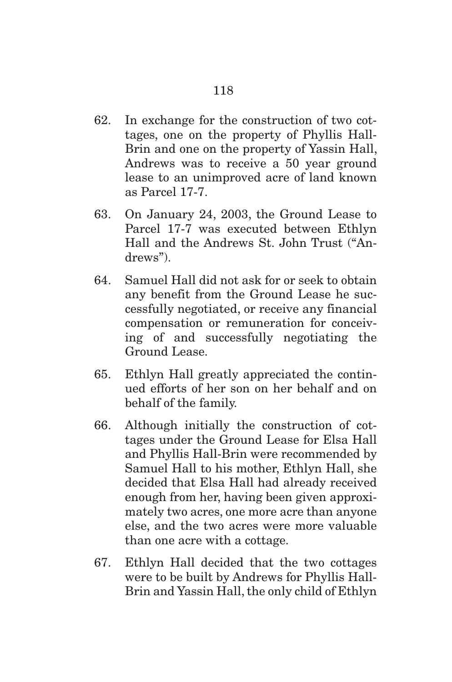- 62. In exchange for the construction of two cottages, one on the property of Phyllis Hall-Brin and one on the property of Yassin Hall, Andrews was to receive a 50 year ground lease to an unimproved acre of land known as Parcel 17-7.
- 63. On January 24, 2003, the Ground Lease to Parcel 17-7 was executed between Ethlyn Hall and the Andrews St. John Trust ("Andrews").
- 64. Samuel Hall did not ask for or seek to obtain any benefit from the Ground Lease he successfully negotiated, or receive any financial compensation or remuneration for conceiving of and successfully negotiating the Ground Lease.
- 65. Ethlyn Hall greatly appreciated the continued efforts of her son on her behalf and on behalf of the family.
- 66. Although initially the construction of cottages under the Ground Lease for Elsa Hall and Phyllis Hall-Brin were recommended by Samuel Hall to his mother, Ethlyn Hall, she decided that Elsa Hall had already received enough from her, having been given approximately two acres, one more acre than anyone else, and the two acres were more valuable than one acre with a cottage.
- 67. Ethlyn Hall decided that the two cottages were to be built by Andrews for Phyllis Hall-Brin and Yassin Hall, the only child of Ethlyn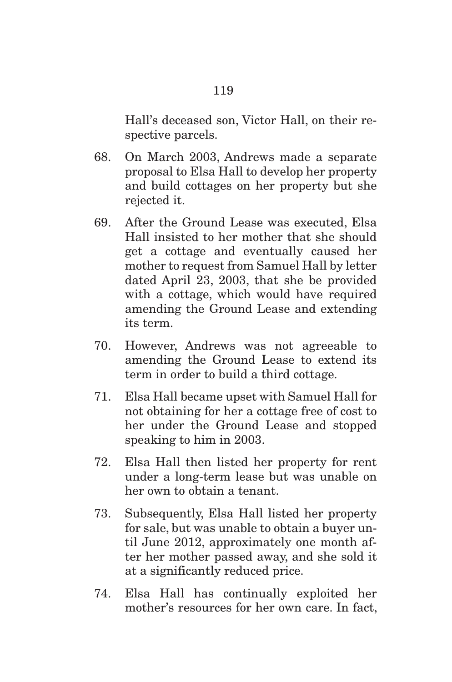Hall's deceased son, Victor Hall, on their respective parcels.

- 68. On March 2003, Andrews made a separate proposal to Elsa Hall to develop her property and build cottages on her property but she rejected it.
- 69. After the Ground Lease was executed, Elsa Hall insisted to her mother that she should get a cottage and eventually caused her mother to request from Samuel Hall by letter dated April 23, 2003, that she be provided with a cottage, which would have required amending the Ground Lease and extending its term.
- 70. However, Andrews was not agreeable to amending the Ground Lease to extend its term in order to build a third cottage.
- 71. Elsa Hall became upset with Samuel Hall for not obtaining for her a cottage free of cost to her under the Ground Lease and stopped speaking to him in 2003.
- 72. Elsa Hall then listed her property for rent under a long-term lease but was unable on her own to obtain a tenant.
- 73. Subsequently, Elsa Hall listed her property for sale, but was unable to obtain a buyer until June 2012, approximately one month after her mother passed away, and she sold it at a significantly reduced price.
- 74. Elsa Hall has continually exploited her mother's resources for her own care. In fact,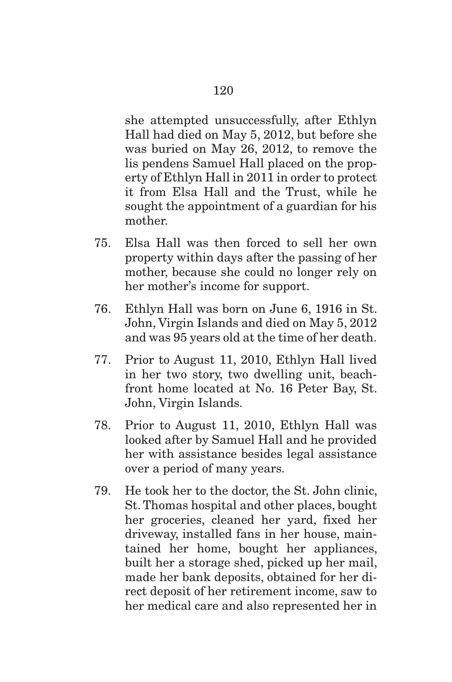she attempted unsuccessfully, after Ethlyn Hall had died on May 5, 2012, but before she was buried on May 26, 2012, to remove the lis pendens Samuel Hall placed on the property of Ethlyn Hall in 2011 in order to protect it from Elsa Hall and the Trust, while he sought the appointment of a guardian for his mother.

- 75. Elsa Hall was then forced to sell her own property within days after the passing of her mother, because she could no longer rely on her mother's income for support.
- 76. Ethlyn Hall was born on June 6, 1916 in St. John, Virgin Islands and died on May 5, 2012 and was 95 years old at the time of her death.
- 77. Prior to August 11, 2010, Ethlyn Hall lived in her two story, two dwelling unit, beachfront home located at No. 16 Peter Bay, St. John, Virgin Islands.
- 78. Prior to August 11, 2010, Ethlyn Hall was looked after by Samuel Hall and he provided her with assistance besides legal assistance over a period of many years.
- 79. He took her to the doctor, the St. John clinic, St. Thomas hospital and other places, bought her groceries, cleaned her yard, fixed her driveway, installed fans in her house, maintained her home, bought her appliances, built her a storage shed, picked up her mail, made her bank deposits, obtained for her direct deposit of her retirement income, saw to her medical care and also represented her in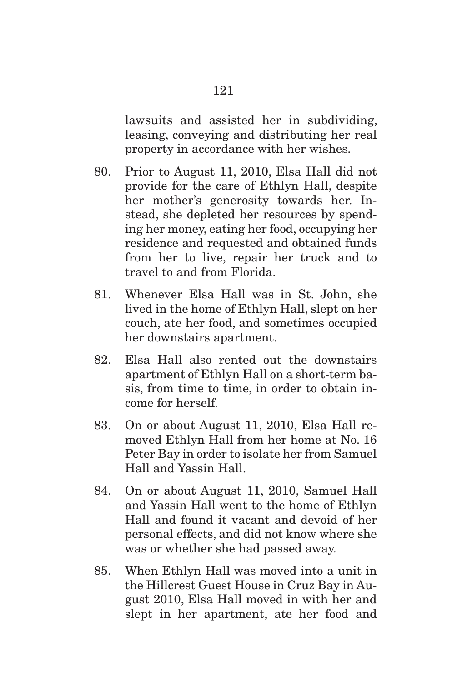lawsuits and assisted her in subdividing, leasing, conveying and distributing her real property in accordance with her wishes.

- 80. Prior to August 11, 2010, Elsa Hall did not provide for the care of Ethlyn Hall, despite her mother's generosity towards her. Instead, she depleted her resources by spending her money, eating her food, occupying her residence and requested and obtained funds from her to live, repair her truck and to travel to and from Florida.
- 81. Whenever Elsa Hall was in St. John, she lived in the home of Ethlyn Hall, slept on her couch, ate her food, and sometimes occupied her downstairs apartment.
- 82. Elsa Hall also rented out the downstairs apartment of Ethlyn Hall on a short-term basis, from time to time, in order to obtain income for herself.
- 83. On or about August 11, 2010, Elsa Hall removed Ethlyn Hall from her home at No. 16 Peter Bay in order to isolate her from Samuel Hall and Yassin Hall.
- 84. On or about August 11, 2010, Samuel Hall and Yassin Hall went to the home of Ethlyn Hall and found it vacant and devoid of her personal effects, and did not know where she was or whether she had passed away.
- 85. When Ethlyn Hall was moved into a unit in the Hillcrest Guest House in Cruz Bay in August 2010, Elsa Hall moved in with her and slept in her apartment, ate her food and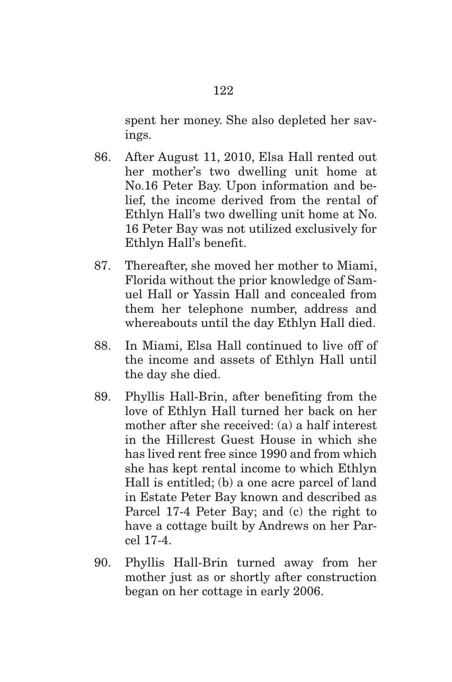spent her money. She also depleted her savings.

- 86. After August 11, 2010, Elsa Hall rented out her mother's two dwelling unit home at No.16 Peter Bay. Upon information and belief, the income derived from the rental of Ethlyn Hall's two dwelling unit home at No. 16 Peter Bay was not utilized exclusively for Ethlyn Hall's benefit.
- 87. Thereafter, she moved her mother to Miami, Florida without the prior knowledge of Samuel Hall or Yassin Hall and concealed from them her telephone number, address and whereabouts until the day Ethlyn Hall died.
- 88. In Miami, Elsa Hall continued to live off of the income and assets of Ethlyn Hall until the day she died.
- 89. Phyllis Hall-Brin, after benefiting from the love of Ethlyn Hall turned her back on her mother after she received: (a) a half interest in the Hillcrest Guest House in which she has lived rent free since 1990 and from which she has kept rental income to which Ethlyn Hall is entitled; (b) a one acre parcel of land in Estate Peter Bay known and described as Parcel 17-4 Peter Bay; and (c) the right to have a cottage built by Andrews on her Parcel 17-4.
- 90. Phyllis Hall-Brin turned away from her mother just as or shortly after construction began on her cottage in early 2006.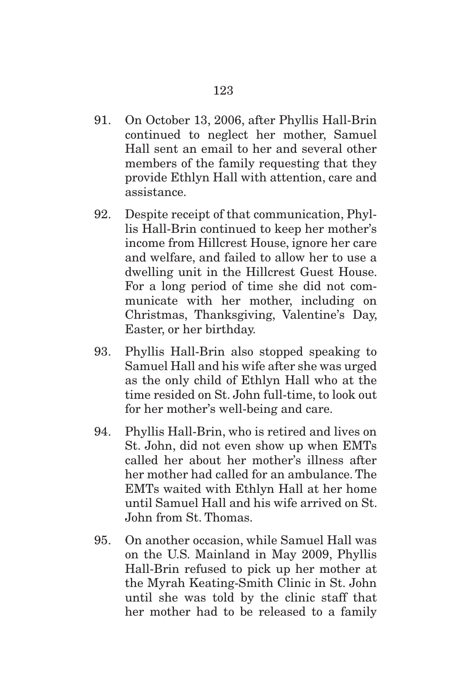- 91. On October 13, 2006, after Phyllis Hall-Brin continued to neglect her mother, Samuel Hall sent an email to her and several other members of the family requesting that they provide Ethlyn Hall with attention, care and assistance.
- 92. Despite receipt of that communication, Phyllis Hall-Brin continued to keep her mother's income from Hillcrest House, ignore her care and welfare, and failed to allow her to use a dwelling unit in the Hillcrest Guest House. For a long period of time she did not communicate with her mother, including on Christmas, Thanksgiving, Valentine's Day, Easter, or her birthday.
- 93. Phyllis Hall-Brin also stopped speaking to Samuel Hall and his wife after she was urged as the only child of Ethlyn Hall who at the time resided on St. John full-time, to look out for her mother's well-being and care.
- 94. Phyllis Hall-Brin, who is retired and lives on St. John, did not even show up when EMTs called her about her mother's illness after her mother had called for an ambulance. The EMTs waited with Ethlyn Hall at her home until Samuel Hall and his wife arrived on St. John from St. Thomas.
- 95. On another occasion, while Samuel Hall was on the U.S. Mainland in May 2009, Phyllis Hall-Brin refused to pick up her mother at the Myrah Keating-Smith Clinic in St. John until she was told by the clinic staff that her mother had to be released to a family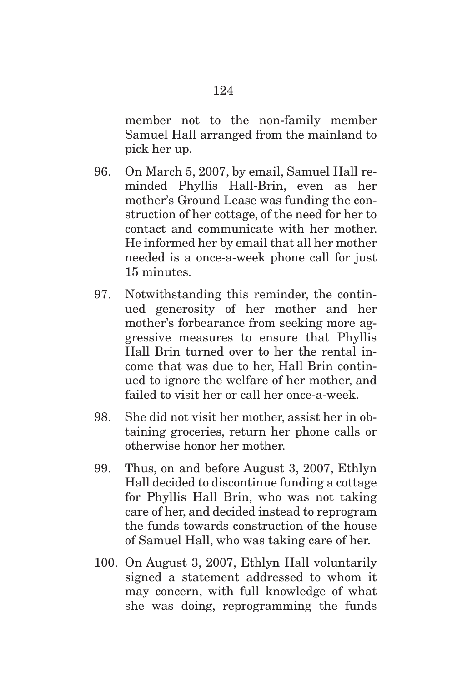member not to the non-family member Samuel Hall arranged from the mainland to pick her up.

- 96. On March 5, 2007, by email, Samuel Hall reminded Phyllis Hall-Brin, even as her mother's Ground Lease was funding the construction of her cottage, of the need for her to contact and communicate with her mother. He informed her by email that all her mother needed is a once-a-week phone call for just 15 minutes.
- 97. Notwithstanding this reminder, the continued generosity of her mother and her mother's forbearance from seeking more aggressive measures to ensure that Phyllis Hall Brin turned over to her the rental income that was due to her, Hall Brin continued to ignore the welfare of her mother, and failed to visit her or call her once-a-week.
- 98. She did not visit her mother, assist her in obtaining groceries, return her phone calls or otherwise honor her mother.
- 99. Thus, on and before August 3, 2007, Ethlyn Hall decided to discontinue funding a cottage for Phyllis Hall Brin, who was not taking care of her, and decided instead to reprogram the funds towards construction of the house of Samuel Hall, who was taking care of her.
- 100. On August 3, 2007, Ethlyn Hall voluntarily signed a statement addressed to whom it may concern, with full knowledge of what she was doing, reprogramming the funds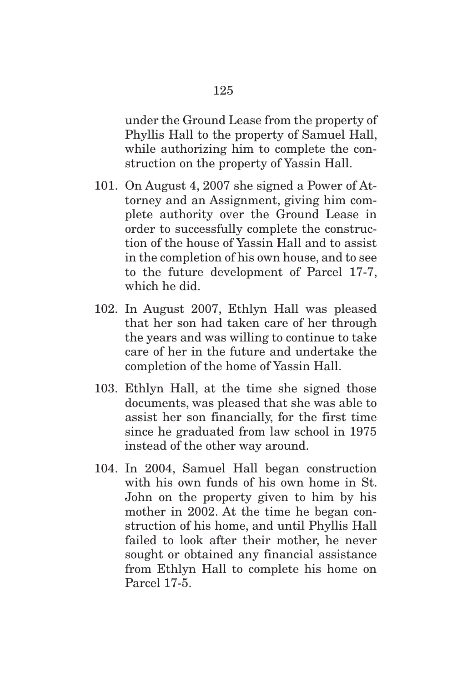under the Ground Lease from the property of Phyllis Hall to the property of Samuel Hall, while authorizing him to complete the con-

101. On August 4, 2007 she signed a Power of Attorney and an Assignment, giving him complete authority over the Ground Lease in order to successfully complete the construction of the house of Yassin Hall and to assist in the completion of his own house, and to see to the future development of Parcel 17-7, which he did.

struction on the property of Yassin Hall.

- 102. In August 2007, Ethlyn Hall was pleased that her son had taken care of her through the years and was willing to continue to take care of her in the future and undertake the completion of the home of Yassin Hall.
- 103. Ethlyn Hall, at the time she signed those documents, was pleased that she was able to assist her son financially, for the first time since he graduated from law school in 1975 instead of the other way around.
- 104. In 2004, Samuel Hall began construction with his own funds of his own home in St. John on the property given to him by his mother in 2002. At the time he began construction of his home, and until Phyllis Hall failed to look after their mother, he never sought or obtained any financial assistance from Ethlyn Hall to complete his home on Parcel 17-5.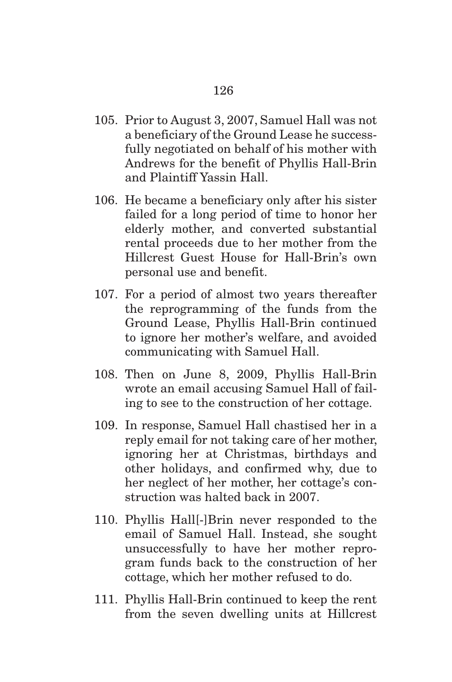- 105. Prior to August 3, 2007, Samuel Hall was not a beneficiary of the Ground Lease he successfully negotiated on behalf of his mother with Andrews for the benefit of Phyllis Hall-Brin and Plaintiff Yassin Hall.
- 106. He became a beneficiary only after his sister failed for a long period of time to honor her elderly mother, and converted substantial rental proceeds due to her mother from the Hillcrest Guest House for Hall-Brin's own personal use and benefit.
- 107. For a period of almost two years thereafter the reprogramming of the funds from the Ground Lease, Phyllis Hall-Brin continued to ignore her mother's welfare, and avoided communicating with Samuel Hall.
- 108. Then on June 8, 2009, Phyllis Hall-Brin wrote an email accusing Samuel Hall of failing to see to the construction of her cottage.
- 109. In response, Samuel Hall chastised her in a reply email for not taking care of her mother, ignoring her at Christmas, birthdays and other holidays, and confirmed why, due to her neglect of her mother, her cottage's construction was halted back in 2007.
- 110. Phyllis Hall[-]Brin never responded to the email of Samuel Hall. Instead, she sought unsuccessfully to have her mother reprogram funds back to the construction of her cottage, which her mother refused to do.
- 111. Phyllis Hall-Brin continued to keep the rent from the seven dwelling units at Hillcrest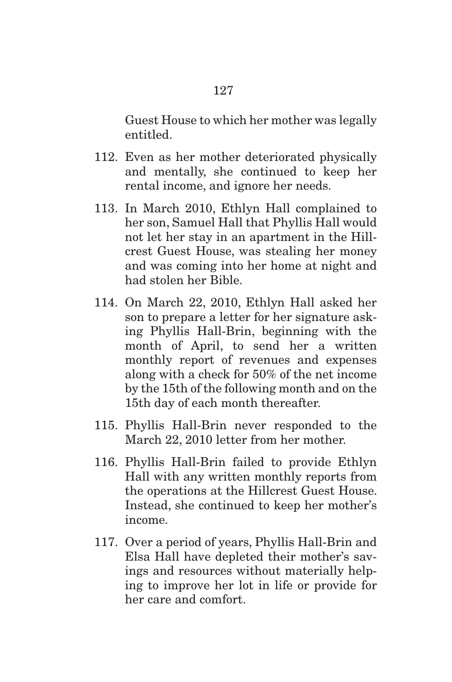Guest House to which her mother was legally entitled.

- 112. Even as her mother deteriorated physically and mentally, she continued to keep her rental income, and ignore her needs.
- 113. In March 2010, Ethlyn Hall complained to her son, Samuel Hall that Phyllis Hall would not let her stay in an apartment in the Hillcrest Guest House, was stealing her money and was coming into her home at night and had stolen her Bible.
- 114. On March 22, 2010, Ethlyn Hall asked her son to prepare a letter for her signature asking Phyllis Hall-Brin, beginning with the month of April, to send her a written monthly report of revenues and expenses along with a check for 50% of the net income by the 15th of the following month and on the 15th day of each month thereafter.
- 115. Phyllis Hall-Brin never responded to the March 22, 2010 letter from her mother.
- 116. Phyllis Hall-Brin failed to provide Ethlyn Hall with any written monthly reports from the operations at the Hillcrest Guest House. Instead, she continued to keep her mother's income.
- 117. Over a period of years, Phyllis Hall-Brin and Elsa Hall have depleted their mother's savings and resources without materially helping to improve her lot in life or provide for her care and comfort.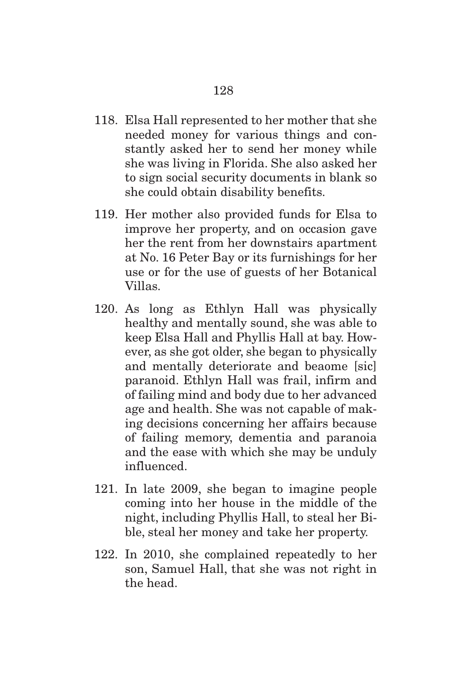- 118. Elsa Hall represented to her mother that she needed money for various things and constantly asked her to send her money while she was living in Florida. She also asked her to sign social security documents in blank so she could obtain disability benefits.
- 119. Her mother also provided funds for Elsa to improve her property, and on occasion gave her the rent from her downstairs apartment at No. 16 Peter Bay or its furnishings for her use or for the use of guests of her Botanical Villas.
- 120. As long as Ethlyn Hall was physically healthy and mentally sound, she was able to keep Elsa Hall and Phyllis Hall at bay. However, as she got older, she began to physically and mentally deteriorate and beaome [sic] paranoid. Ethlyn Hall was frail, infirm and of failing mind and body due to her advanced age and health. She was not capable of making decisions concerning her affairs because of failing memory, dementia and paranoia and the ease with which she may be unduly influenced.
- 121. In late 2009, she began to imagine people coming into her house in the middle of the night, including Phyllis Hall, to steal her Bible, steal her money and take her property.
- 122. In 2010, she complained repeatedly to her son, Samuel Hall, that she was not right in the head.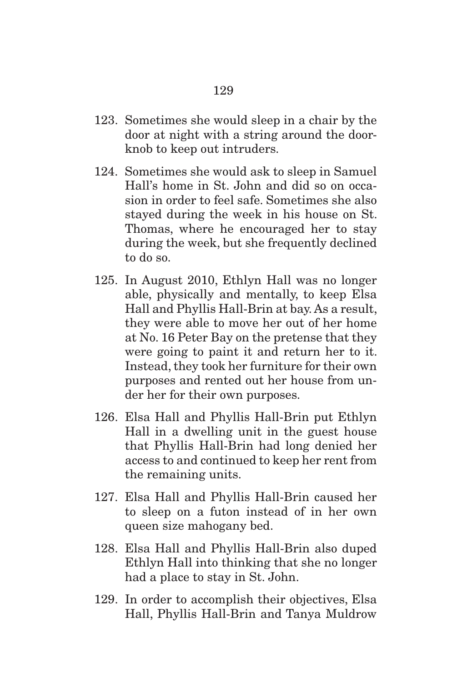- 123. Sometimes she would sleep in a chair by the door at night with a string around the doorknob to keep out intruders.
- 124. Sometimes she would ask to sleep in Samuel Hall's home in St. John and did so on occasion in order to feel safe. Sometimes she also stayed during the week in his house on St. Thomas, where he encouraged her to stay during the week, but she frequently declined to do so.
- 125. In August 2010, Ethlyn Hall was no longer able, physically and mentally, to keep Elsa Hall and Phyllis Hall-Brin at bay. As a result, they were able to move her out of her home at No. 16 Peter Bay on the pretense that they were going to paint it and return her to it. Instead, they took her furniture for their own purposes and rented out her house from under her for their own purposes.
- 126. Elsa Hall and Phyllis Hall-Brin put Ethlyn Hall in a dwelling unit in the guest house that Phyllis Hall-Brin had long denied her access to and continued to keep her rent from the remaining units.
- 127. Elsa Hall and Phyllis Hall-Brin caused her to sleep on a futon instead of in her own queen size mahogany bed.
- 128. Elsa Hall and Phyllis Hall-Brin also duped Ethlyn Hall into thinking that she no longer had a place to stay in St. John.
- 129. In order to accomplish their objectives, Elsa Hall, Phyllis Hall-Brin and Tanya Muldrow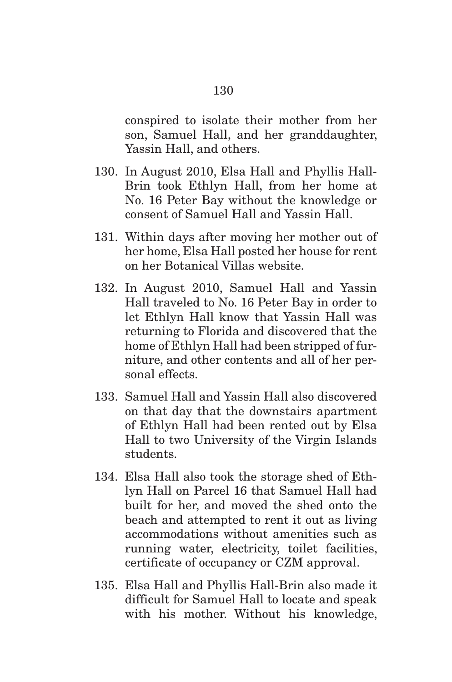conspired to isolate their mother from her son, Samuel Hall, and her granddaughter, Yassin Hall, and others.

- 130. In August 2010, Elsa Hall and Phyllis Hall-Brin took Ethlyn Hall, from her home at No. 16 Peter Bay without the knowledge or consent of Samuel Hall and Yassin Hall.
- 131. Within days after moving her mother out of her home, Elsa Hall posted her house for rent on her Botanical Villas website.
- 132. In August 2010, Samuel Hall and Yassin Hall traveled to No. 16 Peter Bay in order to let Ethlyn Hall know that Yassin Hall was returning to Florida and discovered that the home of Ethlyn Hall had been stripped of furniture, and other contents and all of her personal effects.
- 133. Samuel Hall and Yassin Hall also discovered on that day that the downstairs apartment of Ethlyn Hall had been rented out by Elsa Hall to two University of the Virgin Islands students.
- 134. Elsa Hall also took the storage shed of Ethlyn Hall on Parcel 16 that Samuel Hall had built for her, and moved the shed onto the beach and attempted to rent it out as living accommodations without amenities such as running water, electricity, toilet facilities, certificate of occupancy or CZM approval.
- 135. Elsa Hall and Phyllis Hall-Brin also made it difficult for Samuel Hall to locate and speak with his mother. Without his knowledge,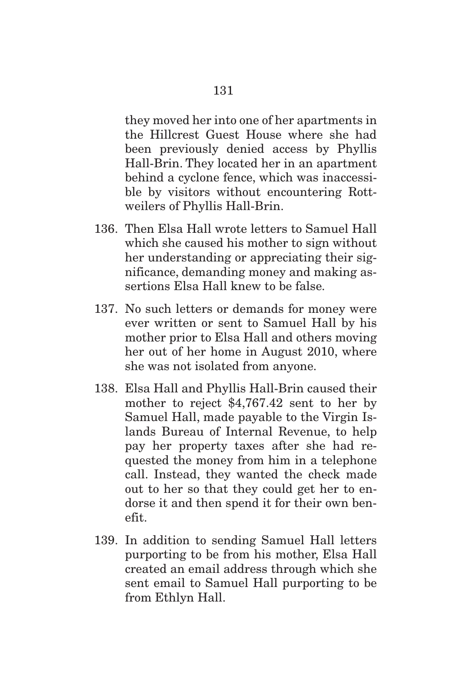they moved her into one of her apartments in the Hillcrest Guest House where she had been previously denied access by Phyllis

Hall-Brin. They located her in an apartment behind a cyclone fence, which was inaccessible by visitors without encountering Rottweilers of Phyllis Hall-Brin.

- 136. Then Elsa Hall wrote letters to Samuel Hall which she caused his mother to sign without her understanding or appreciating their significance, demanding money and making assertions Elsa Hall knew to be false.
- 137. No such letters or demands for money were ever written or sent to Samuel Hall by his mother prior to Elsa Hall and others moving her out of her home in August 2010, where she was not isolated from anyone.
- 138. Elsa Hall and Phyllis Hall-Brin caused their mother to reject \$4,767.42 sent to her by Samuel Hall, made payable to the Virgin Islands Bureau of Internal Revenue, to help pay her property taxes after she had requested the money from him in a telephone call. Instead, they wanted the check made out to her so that they could get her to endorse it and then spend it for their own benefit.
- 139. In addition to sending Samuel Hall letters purporting to be from his mother, Elsa Hall created an email address through which she sent email to Samuel Hall purporting to be from Ethlyn Hall.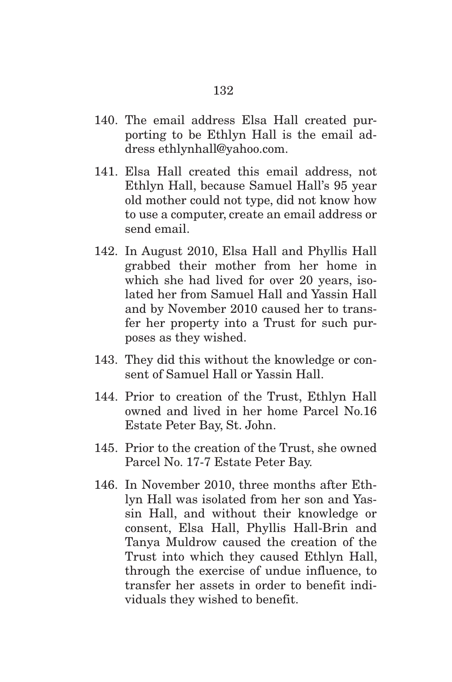- 140. The email address Elsa Hall created purporting to be Ethlyn Hall is the email address ethlynhall@yahoo.com.
- 141. Elsa Hall created this email address, not Ethlyn Hall, because Samuel Hall's 95 year old mother could not type, did not know how to use a computer, create an email address or send email.
- 142. In August 2010, Elsa Hall and Phyllis Hall grabbed their mother from her home in which she had lived for over 20 years, isolated her from Samuel Hall and Yassin Hall and by November 2010 caused her to transfer her property into a Trust for such purposes as they wished.
- 143. They did this without the knowledge or consent of Samuel Hall or Yassin Hall.
- 144. Prior to creation of the Trust, Ethlyn Hall owned and lived in her home Parcel No.16 Estate Peter Bay, St. John.
- 145. Prior to the creation of the Trust, she owned Parcel No. 17-7 Estate Peter Bay.
- 146. In November 2010, three months after Ethlyn Hall was isolated from her son and Yassin Hall, and without their knowledge or consent, Elsa Hall, Phyllis Hall-Brin and Tanya Muldrow caused the creation of the Trust into which they caused Ethlyn Hall, through the exercise of undue influence, to transfer her assets in order to benefit individuals they wished to benefit.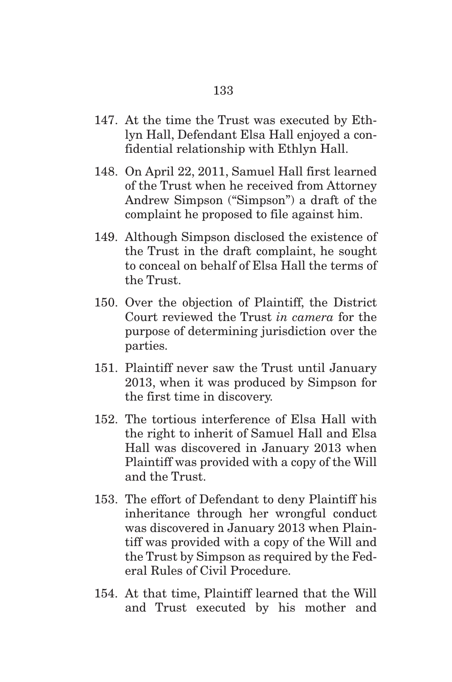- 147. At the time the Trust was executed by Ethlyn Hall, Defendant Elsa Hall enjoyed a confidential relationship with Ethlyn Hall.
- 148. On April 22, 2011, Samuel Hall first learned of the Trust when he received from Attorney Andrew Simpson ("Simpson") a draft of the complaint he proposed to file against him.
- 149. Although Simpson disclosed the existence of the Trust in the draft complaint, he sought to conceal on behalf of Elsa Hall the terms of the Trust.
- 150. Over the objection of Plaintiff, the District Court reviewed the Trust *in camera* for the purpose of determining jurisdiction over the parties.
- 151. Plaintiff never saw the Trust until January 2013, when it was produced by Simpson for the first time in discovery.
- 152. The tortious interference of Elsa Hall with the right to inherit of Samuel Hall and Elsa Hall was discovered in January 2013 when Plaintiff was provided with a copy of the Will and the Trust.
- 153. The effort of Defendant to deny Plaintiff his inheritance through her wrongful conduct was discovered in January 2013 when Plaintiff was provided with a copy of the Will and the Trust by Simpson as required by the Federal Rules of Civil Procedure.
- 154. At that time, Plaintiff learned that the Will and Trust executed by his mother and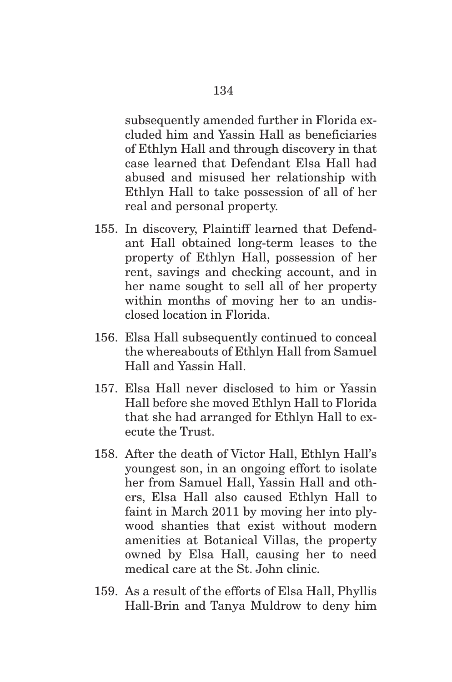subsequently amended further in Florida excluded him and Yassin Hall as beneficiaries of Ethlyn Hall and through discovery in that case learned that Defendant Elsa Hall had abused and misused her relationship with Ethlyn Hall to take possession of all of her real and personal property.

- 155. In discovery, Plaintiff learned that Defendant Hall obtained long-term leases to the property of Ethlyn Hall, possession of her rent, savings and checking account, and in her name sought to sell all of her property within months of moving her to an undisclosed location in Florida.
- 156. Elsa Hall subsequently continued to conceal the whereabouts of Ethlyn Hall from Samuel Hall and Yassin Hall.
- 157. Elsa Hall never disclosed to him or Yassin Hall before she moved Ethlyn Hall to Florida that she had arranged for Ethlyn Hall to execute the Trust.
- 158. After the death of Victor Hall, Ethlyn Hall's youngest son, in an ongoing effort to isolate her from Samuel Hall, Yassin Hall and others, Elsa Hall also caused Ethlyn Hall to faint in March 2011 by moving her into plywood shanties that exist without modern amenities at Botanical Villas, the property owned by Elsa Hall, causing her to need medical care at the St. John clinic.
- 159. As a result of the efforts of Elsa Hall, Phyllis Hall-Brin and Tanya Muldrow to deny him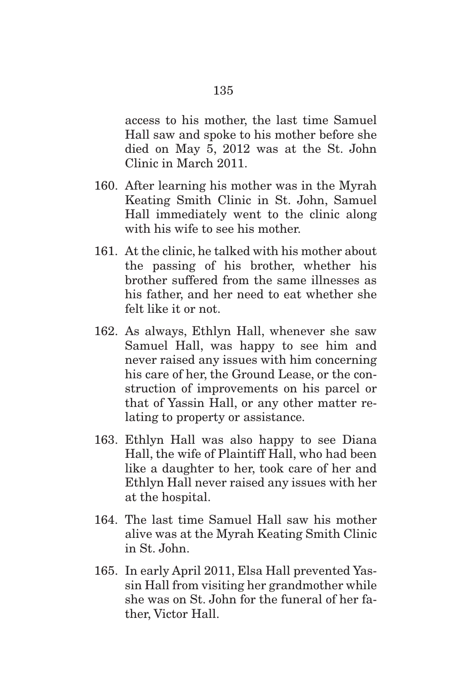access to his mother, the last time Samuel Hall saw and spoke to his mother before she died on May 5, 2012 was at the St. John Clinic in March 2011.

- 160. After learning his mother was in the Myrah Keating Smith Clinic in St. John, Samuel Hall immediately went to the clinic along with his wife to see his mother.
- 161. At the clinic, he talked with his mother about the passing of his brother, whether his brother suffered from the same illnesses as his father, and her need to eat whether she felt like it or not.
- 162. As always, Ethlyn Hall, whenever she saw Samuel Hall, was happy to see him and never raised any issues with him concerning his care of her, the Ground Lease, or the construction of improvements on his parcel or that of Yassin Hall, or any other matter relating to property or assistance.
- 163. Ethlyn Hall was also happy to see Diana Hall, the wife of Plaintiff Hall, who had been like a daughter to her, took care of her and Ethlyn Hall never raised any issues with her at the hospital.
- 164. The last time Samuel Hall saw his mother alive was at the Myrah Keating Smith Clinic in St. John.
- 165. In early April 2011, Elsa Hall prevented Yassin Hall from visiting her grandmother while she was on St. John for the funeral of her father, Victor Hall.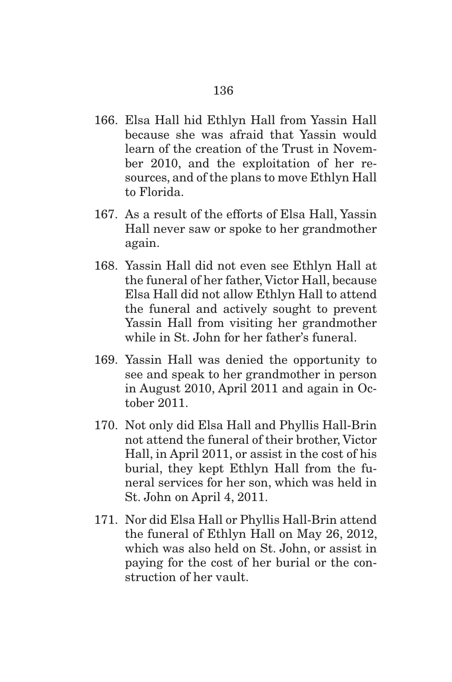- 166. Elsa Hall hid Ethlyn Hall from Yassin Hall because she was afraid that Yassin would learn of the creation of the Trust in November 2010, and the exploitation of her resources, and of the plans to move Ethlyn Hall to Florida.
- 167. As a result of the efforts of Elsa Hall, Yassin Hall never saw or spoke to her grandmother again.
- 168. Yassin Hall did not even see Ethlyn Hall at the funeral of her father, Victor Hall, because Elsa Hall did not allow Ethlyn Hall to attend the funeral and actively sought to prevent Yassin Hall from visiting her grandmother while in St. John for her father's funeral.
- 169. Yassin Hall was denied the opportunity to see and speak to her grandmother in person in August 2010, April 2011 and again in October 2011.
- 170. Not only did Elsa Hall and Phyllis Hall-Brin not attend the funeral of their brother, Victor Hall, in April 2011, or assist in the cost of his burial, they kept Ethlyn Hall from the funeral services for her son, which was held in St. John on April 4, 2011.
- 171. Nor did Elsa Hall or Phyllis Hall-Brin attend the funeral of Ethlyn Hall on May 26, 2012, which was also held on St. John, or assist in paying for the cost of her burial or the construction of her vault.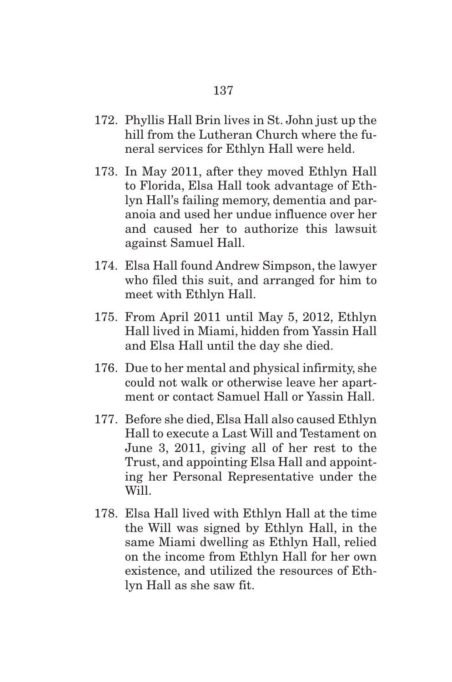- 172. Phyllis Hall Brin lives in St. John just up the hill from the Lutheran Church where the funeral services for Ethlyn Hall were held.
- 173. In May 2011, after they moved Ethlyn Hall to Florida, Elsa Hall took advantage of Ethlyn Hall's failing memory, dementia and paranoia and used her undue influence over her and caused her to authorize this lawsuit against Samuel Hall.
- 174. Elsa Hall found Andrew Simpson, the lawyer who filed this suit, and arranged for him to meet with Ethlyn Hall.
- 175. From April 2011 until May 5, 2012, Ethlyn Hall lived in Miami, hidden from Yassin Hall and Elsa Hall until the day she died.
- 176. Due to her mental and physical infirmity, she could not walk or otherwise leave her apartment or contact Samuel Hall or Yassin Hall.
- 177. Before she died, Elsa Hall also caused Ethlyn Hall to execute a Last Will and Testament on June 3, 2011, giving all of her rest to the Trust, and appointing Elsa Hall and appointing her Personal Representative under the Will.
- 178. Elsa Hall lived with Ethlyn Hall at the time the Will was signed by Ethlyn Hall, in the same Miami dwelling as Ethlyn Hall, relied on the income from Ethlyn Hall for her own existence, and utilized the resources of Ethlyn Hall as she saw fit.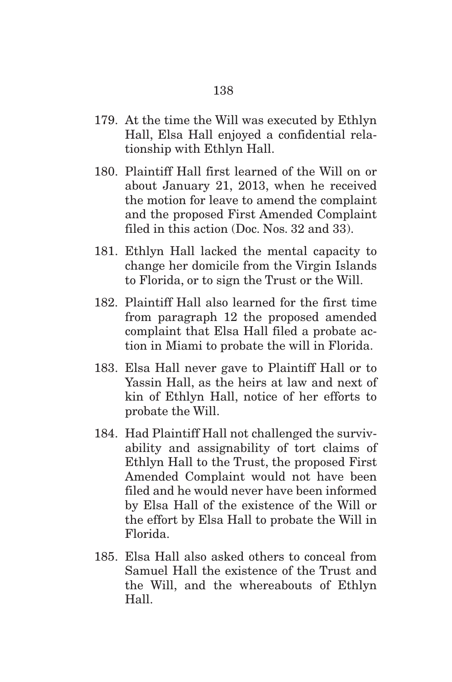- 179. At the time the Will was executed by Ethlyn Hall, Elsa Hall enjoyed a confidential relationship with Ethlyn Hall.
- 180. Plaintiff Hall first learned of the Will on or about January 21, 2013, when he received the motion for leave to amend the complaint and the proposed First Amended Complaint filed in this action (Doc. Nos. 32 and 33).
- 181. Ethlyn Hall lacked the mental capacity to change her domicile from the Virgin Islands to Florida, or to sign the Trust or the Will.
- 182. Plaintiff Hall also learned for the first time from paragraph 12 the proposed amended complaint that Elsa Hall filed a probate action in Miami to probate the will in Florida.
- 183. Elsa Hall never gave to Plaintiff Hall or to Yassin Hall, as the heirs at law and next of kin of Ethlyn Hall, notice of her efforts to probate the Will.
- 184. Had Plaintiff Hall not challenged the survivability and assignability of tort claims of Ethlyn Hall to the Trust, the proposed First Amended Complaint would not have been filed and he would never have been informed by Elsa Hall of the existence of the Will or the effort by Elsa Hall to probate the Will in Florida.
- 185. Elsa Hall also asked others to conceal from Samuel Hall the existence of the Trust and the Will, and the whereabouts of Ethlyn Hall.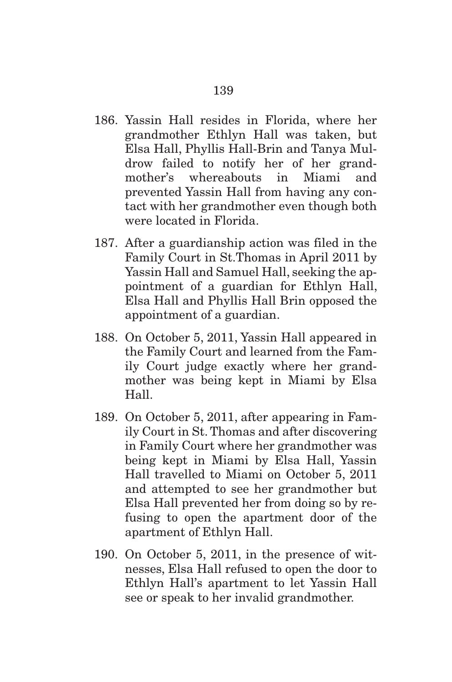- 186. Yassin Hall resides in Florida, where her grandmother Ethlyn Hall was taken, but Elsa Hall, Phyllis Hall-Brin and Tanya Muldrow failed to notify her of her grandmother's whereabouts in Miami and prevented Yassin Hall from having any contact with her grandmother even though both were located in Florida.
- 187. After a guardianship action was filed in the Family Court in St.Thomas in April 2011 by Yassin Hall and Samuel Hall, seeking the appointment of a guardian for Ethlyn Hall, Elsa Hall and Phyllis Hall Brin opposed the appointment of a guardian.
- 188. On October 5, 2011, Yassin Hall appeared in the Family Court and learned from the Family Court judge exactly where her grandmother was being kept in Miami by Elsa Hall.
- 189. On October 5, 2011, after appearing in Family Court in St. Thomas and after discovering in Family Court where her grandmother was being kept in Miami by Elsa Hall, Yassin Hall travelled to Miami on October 5, 2011 and attempted to see her grandmother but Elsa Hall prevented her from doing so by refusing to open the apartment door of the apartment of Ethlyn Hall.
- 190. On October 5, 2011, in the presence of witnesses, Elsa Hall refused to open the door to Ethlyn Hall's apartment to let Yassin Hall see or speak to her invalid grandmother.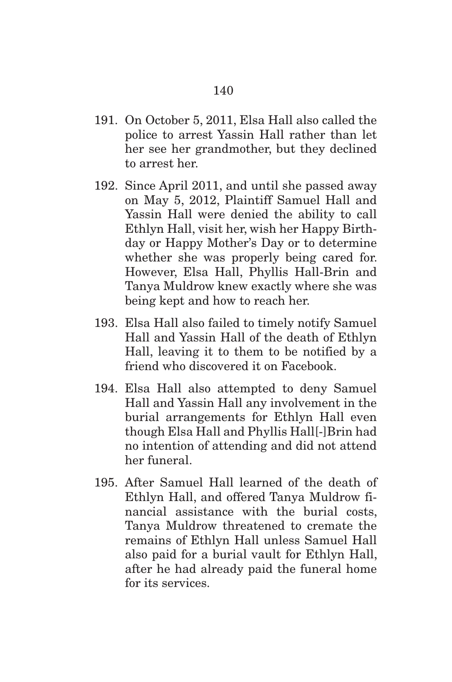- 191. On October 5, 2011, Elsa Hall also called the police to arrest Yassin Hall rather than let her see her grandmother, but they declined to arrest her.
- 192. Since April 2011, and until she passed away on May 5, 2012, Plaintiff Samuel Hall and Yassin Hall were denied the ability to call Ethlyn Hall, visit her, wish her Happy Birthday or Happy Mother's Day or to determine whether she was properly being cared for. However, Elsa Hall, Phyllis Hall-Brin and Tanya Muldrow knew exactly where she was being kept and how to reach her.
- 193. Elsa Hall also failed to timely notify Samuel Hall and Yassin Hall of the death of Ethlyn Hall, leaving it to them to be notified by a friend who discovered it on Facebook.
- 194. Elsa Hall also attempted to deny Samuel Hall and Yassin Hall any involvement in the burial arrangements for Ethlyn Hall even though Elsa Hall and Phyllis Hall[-]Brin had no intention of attending and did not attend her funeral.
- 195. After Samuel Hall learned of the death of Ethlyn Hall, and offered Tanya Muldrow financial assistance with the burial costs, Tanya Muldrow threatened to cremate the remains of Ethlyn Hall unless Samuel Hall also paid for a burial vault for Ethlyn Hall, after he had already paid the funeral home for its services.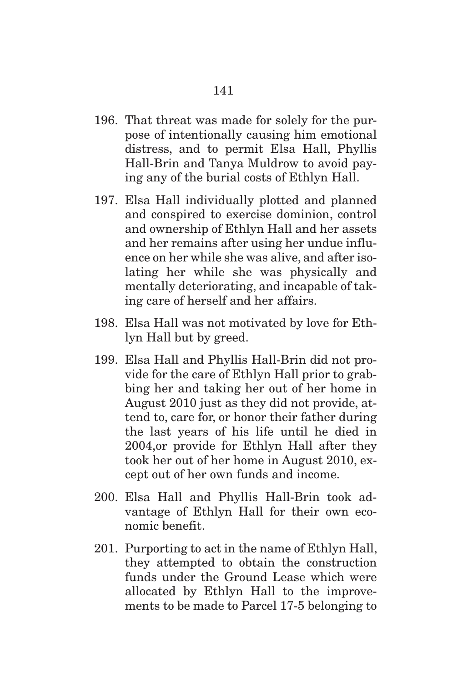- 196. That threat was made for solely for the purpose of intentionally causing him emotional distress, and to permit Elsa Hall, Phyllis Hall-Brin and Tanya Muldrow to avoid paying any of the burial costs of Ethlyn Hall.
- 197. Elsa Hall individually plotted and planned and conspired to exercise dominion, control and ownership of Ethlyn Hall and her assets and her remains after using her undue influence on her while she was alive, and after isolating her while she was physically and mentally deteriorating, and incapable of taking care of herself and her affairs.
- 198. Elsa Hall was not motivated by love for Ethlyn Hall but by greed.
- 199. Elsa Hall and Phyllis Hall-Brin did not provide for the care of Ethlyn Hall prior to grabbing her and taking her out of her home in August 2010 just as they did not provide, attend to, care for, or honor their father during the last years of his life until he died in 2004,or provide for Ethlyn Hall after they took her out of her home in August 2010, except out of her own funds and income.
- 200. Elsa Hall and Phyllis Hall-Brin took advantage of Ethlyn Hall for their own economic benefit.
- 201. Purporting to act in the name of Ethlyn Hall, they attempted to obtain the construction funds under the Ground Lease which were allocated by Ethlyn Hall to the improvements to be made to Parcel 17-5 belonging to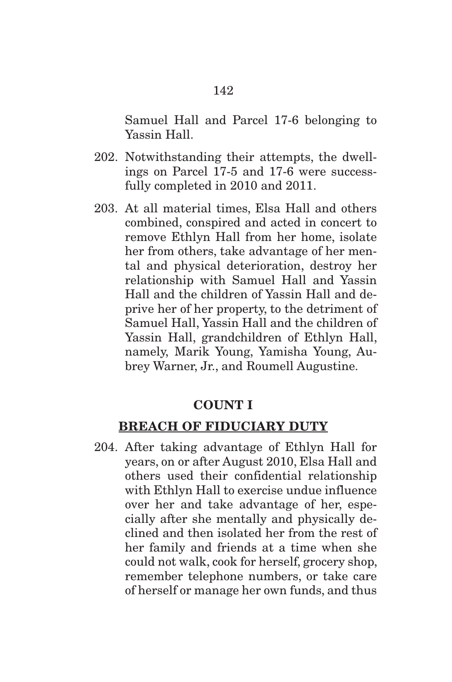Samuel Hall and Parcel 17-6 belonging to Yassin Hall.

- 202. Notwithstanding their attempts, the dwellings on Parcel 17-5 and 17-6 were successfully completed in 2010 and 2011.
- 203. At all material times, Elsa Hall and others combined, conspired and acted in concert to remove Ethlyn Hall from her home, isolate her from others, take advantage of her mental and physical deterioration, destroy her relationship with Samuel Hall and Yassin Hall and the children of Yassin Hall and deprive her of her property, to the detriment of Samuel Hall, Yassin Hall and the children of Yassin Hall, grandchildren of Ethlyn Hall, namely, Marik Young, Yamisha Young, Aubrey Warner, Jr., and Roumell Augustine.

#### **COUNT I**

#### **BREACH OF FIDUCIARY DUTY**

204. After taking advantage of Ethlyn Hall for years, on or after August 2010, Elsa Hall and others used their confidential relationship with Ethlyn Hall to exercise undue influence over her and take advantage of her, especially after she mentally and physically declined and then isolated her from the rest of her family and friends at a time when she could not walk, cook for herself, grocery shop, remember telephone numbers, or take care of herself or manage her own funds, and thus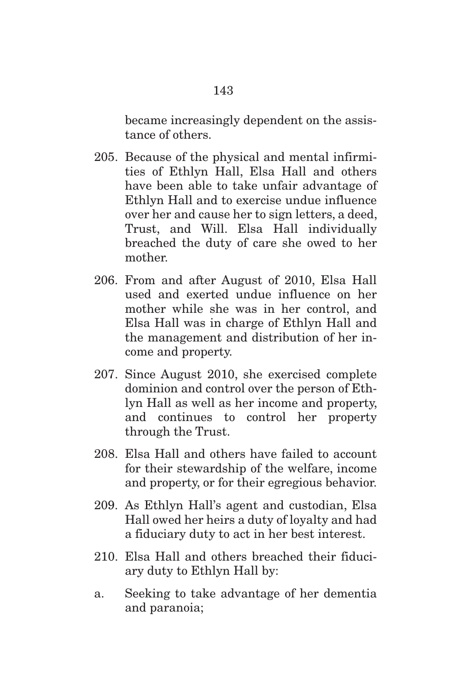became increasingly dependent on the assistance of others.

- 205. Because of the physical and mental infirmities of Ethlyn Hall, Elsa Hall and others have been able to take unfair advantage of Ethlyn Hall and to exercise undue influence over her and cause her to sign letters, a deed, Trust, and Will. Elsa Hall individually breached the duty of care she owed to her mother.
- 206. From and after August of 2010, Elsa Hall used and exerted undue influence on her mother while she was in her control, and Elsa Hall was in charge of Ethlyn Hall and the management and distribution of her income and property.
- 207. Since August 2010, she exercised complete dominion and control over the person of Ethlyn Hall as well as her income and property, and continues to control her property through the Trust.
- 208. Elsa Hall and others have failed to account for their stewardship of the welfare, income and property, or for their egregious behavior.
- 209. As Ethlyn Hall's agent and custodian, Elsa Hall owed her heirs a duty of loyalty and had a fiduciary duty to act in her best interest.
- 210. Elsa Hall and others breached their fiduciary duty to Ethlyn Hall by:
- a. Seeking to take advantage of her dementia and paranoia;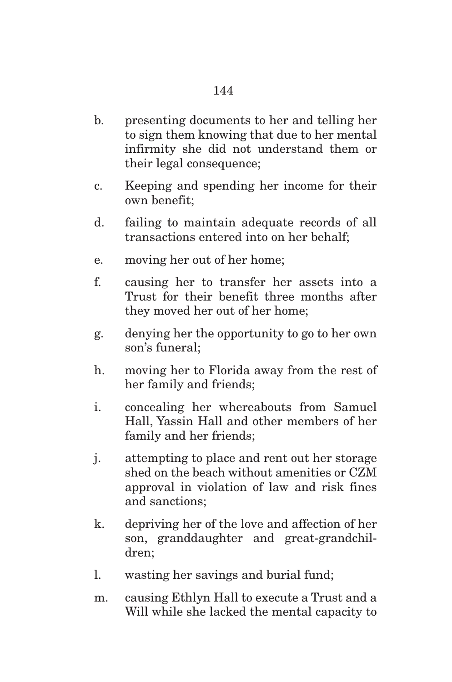- b. presenting documents to her and telling her to sign them knowing that due to her mental infirmity she did not understand them or their legal consequence;
- c. Keeping and spending her income for their own benefit;
- d. failing to maintain adequate records of all transactions entered into on her behalf;
- e. moving her out of her home;
- f. causing her to transfer her assets into a Trust for their benefit three months after they moved her out of her home;
- g. denying her the opportunity to go to her own son's funeral;
- h. moving her to Florida away from the rest of her family and friends;
- i. concealing her whereabouts from Samuel Hall, Yassin Hall and other members of her family and her friends;
- j. attempting to place and rent out her storage shed on the beach without amenities or CZM approval in violation of law and risk fines and sanctions;
- k. depriving her of the love and affection of her son, granddaughter and great-grandchildren;
- l. wasting her savings and burial fund;
- m. causing Ethlyn Hall to execute a Trust and a Will while she lacked the mental capacity to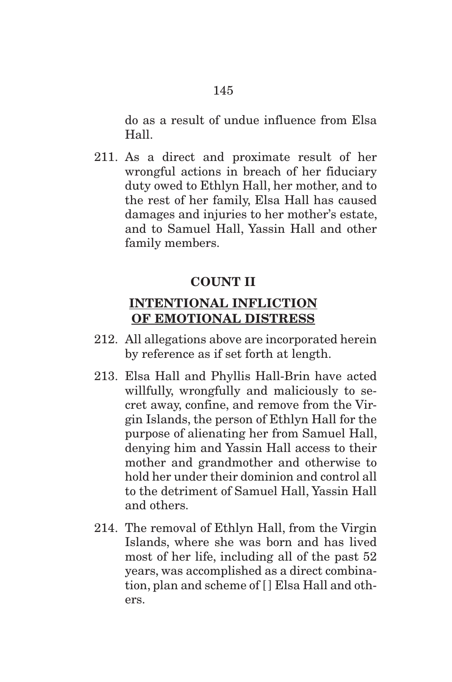do as a result of undue influence from Elsa Hall.

211. As a direct and proximate result of her wrongful actions in breach of her fiduciary duty owed to Ethlyn Hall, her mother, and to the rest of her family, Elsa Hall has caused damages and injuries to her mother's estate, and to Samuel Hall, Yassin Hall and other family members.

# **COUNT II**

# **INTENTIONAL INFLICTION OF EMOTIONAL DISTRESS**

- 212. All allegations above are incorporated herein by reference as if set forth at length.
- 213. Elsa Hall and Phyllis Hall-Brin have acted willfully, wrongfully and maliciously to secret away, confine, and remove from the Virgin Islands, the person of Ethlyn Hall for the purpose of alienating her from Samuel Hall, denying him and Yassin Hall access to their mother and grandmother and otherwise to hold her under their dominion and control all to the detriment of Samuel Hall, Yassin Hall and others.
- 214. The removal of Ethlyn Hall, from the Virgin Islands, where she was born and has lived most of her life, including all of the past 52 years, was accomplished as a direct combination, plan and scheme of [ ] Elsa Hall and others.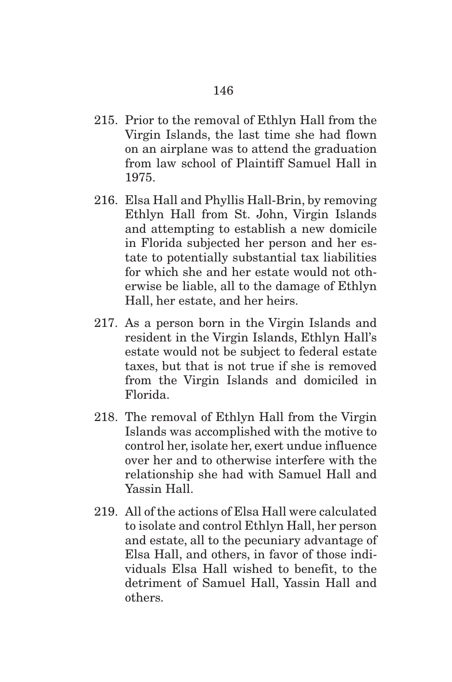- 215. Prior to the removal of Ethlyn Hall from the Virgin Islands, the last time she had flown on an airplane was to attend the graduation from law school of Plaintiff Samuel Hall in 1975.
- 216. Elsa Hall and Phyllis Hall-Brin, by removing Ethlyn Hall from St. John, Virgin Islands and attempting to establish a new domicile in Florida subjected her person and her estate to potentially substantial tax liabilities for which she and her estate would not otherwise be liable, all to the damage of Ethlyn Hall, her estate, and her heirs.
- 217. As a person born in the Virgin Islands and resident in the Virgin Islands, Ethlyn Hall's estate would not be subject to federal estate taxes, but that is not true if she is removed from the Virgin Islands and domiciled in Florida.
- 218. The removal of Ethlyn Hall from the Virgin Islands was accomplished with the motive to control her, isolate her, exert undue influence over her and to otherwise interfere with the relationship she had with Samuel Hall and Yassin Hall.
- 219. All of the actions of Elsa Hall were calculated to isolate and control Ethlyn Hall, her person and estate, all to the pecuniary advantage of Elsa Hall, and others, in favor of those individuals Elsa Hall wished to benefit, to the detriment of Samuel Hall, Yassin Hall and others.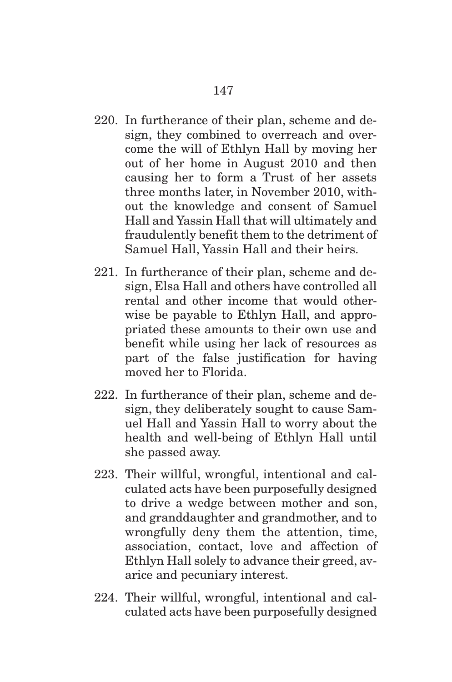- 220. In furtherance of their plan, scheme and design, they combined to overreach and overcome the will of Ethlyn Hall by moving her out of her home in August 2010 and then causing her to form a Trust of her assets three months later, in November 2010, without the knowledge and consent of Samuel Hall and Yassin Hall that will ultimately and fraudulently benefit them to the detriment of Samuel Hall, Yassin Hall and their heirs.
- 221. In furtherance of their plan, scheme and design, Elsa Hall and others have controlled all rental and other income that would otherwise be payable to Ethlyn Hall, and appropriated these amounts to their own use and benefit while using her lack of resources as part of the false justification for having moved her to Florida.
- 222. In furtherance of their plan, scheme and design, they deliberately sought to cause Samuel Hall and Yassin Hall to worry about the health and well-being of Ethlyn Hall until she passed away.
- 223. Their willful, wrongful, intentional and calculated acts have been purposefully designed to drive a wedge between mother and son, and granddaughter and grandmother, and to wrongfully deny them the attention, time, association, contact, love and affection of Ethlyn Hall solely to advance their greed, avarice and pecuniary interest.
- 224. Their willful, wrongful, intentional and calculated acts have been purposefully designed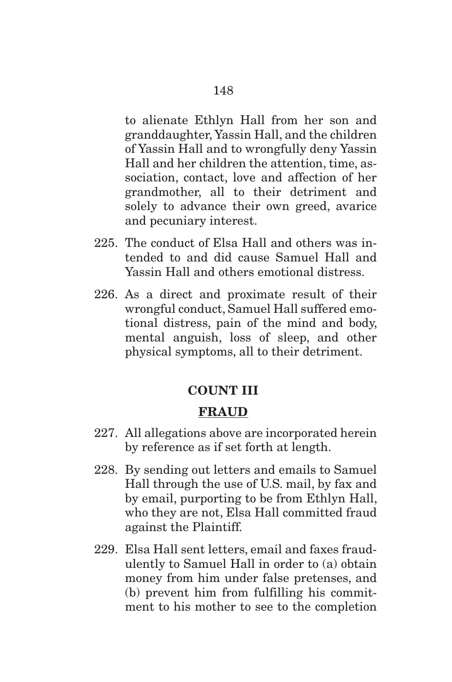to alienate Ethlyn Hall from her son and granddaughter, Yassin Hall, and the children of Yassin Hall and to wrongfully deny Yassin Hall and her children the attention, time, association, contact, love and affection of her grandmother, all to their detriment and solely to advance their own greed, avarice and pecuniary interest.

- 225. The conduct of Elsa Hall and others was intended to and did cause Samuel Hall and Yassin Hall and others emotional distress.
- 226. As a direct and proximate result of their wrongful conduct, Samuel Hall suffered emotional distress, pain of the mind and body, mental anguish, loss of sleep, and other physical symptoms, all to their detriment.

#### **COUNT III**

#### **FRAUD**

- 227. All allegations above are incorporated herein by reference as if set forth at length.
- 228. By sending out letters and emails to Samuel Hall through the use of U.S. mail, by fax and by email, purporting to be from Ethlyn Hall, who they are not, Elsa Hall committed fraud against the Plaintiff.
- 229. Elsa Hall sent letters, email and faxes fraudulently to Samuel Hall in order to (a) obtain money from him under false pretenses, and (b) prevent him from fulfilling his commitment to his mother to see to the completion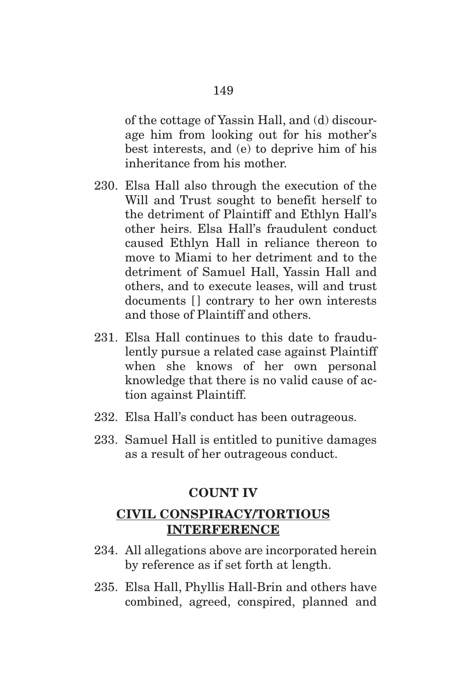of the cottage of Yassin Hall, and (d) discourage him from looking out for his mother's best interests, and (e) to deprive him of his inheritance from his mother.

- 230. Elsa Hall also through the execution of the Will and Trust sought to benefit herself to the detriment of Plaintiff and Ethlyn Hall's other heirs. Elsa Hall's fraudulent conduct caused Ethlyn Hall in reliance thereon to move to Miami to her detriment and to the detriment of Samuel Hall, Yassin Hall and others, and to execute leases, will and trust documents [] contrary to her own interests and those of Plaintiff and others.
- 231. Elsa Hall continues to this date to fraudulently pursue a related case against Plaintiff when she knows of her own personal knowledge that there is no valid cause of action against Plaintiff.
- 232. Elsa Hall's conduct has been outrageous.
- 233. Samuel Hall is entitled to punitive damages as a result of her outrageous conduct.

#### **COUNT IV**

# **CIVIL CONSPIRACY/TORTIOUS INTERFERENCE**

- 234. All allegations above are incorporated herein by reference as if set forth at length.
- 235. Elsa Hall, Phyllis Hall-Brin and others have combined, agreed, conspired, planned and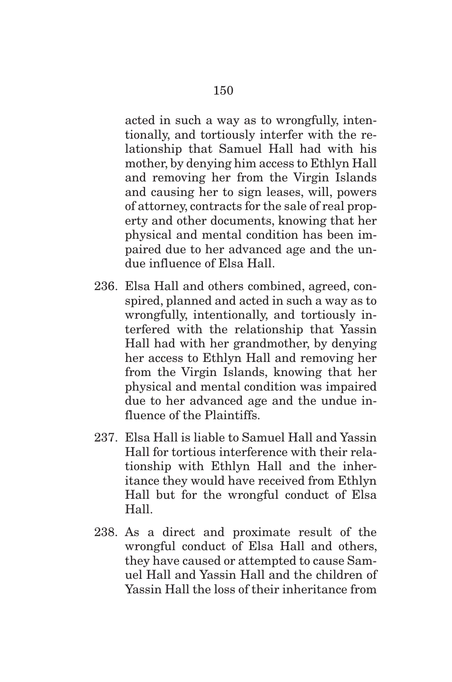acted in such a way as to wrongfully, intentionally, and tortiously interfer with the relationship that Samuel Hall had with his mother, by denying him access to Ethlyn Hall and removing her from the Virgin Islands and causing her to sign leases, will, powers of attorney, contracts for the sale of real property and other documents, knowing that her physical and mental condition has been impaired due to her advanced age and the undue influence of Elsa Hall.

- 236. Elsa Hall and others combined, agreed, conspired, planned and acted in such a way as to wrongfully, intentionally, and tortiously interfered with the relationship that Yassin Hall had with her grandmother, by denying her access to Ethlyn Hall and removing her from the Virgin Islands, knowing that her physical and mental condition was impaired due to her advanced age and the undue influence of the Plaintiffs.
- 237. Elsa Hall is liable to Samuel Hall and Yassin Hall for tortious interference with their relationship with Ethlyn Hall and the inheritance they would have received from Ethlyn Hall but for the wrongful conduct of Elsa Hall.
- 238. As a direct and proximate result of the wrongful conduct of Elsa Hall and others, they have caused or attempted to cause Samuel Hall and Yassin Hall and the children of Yassin Hall the loss of their inheritance from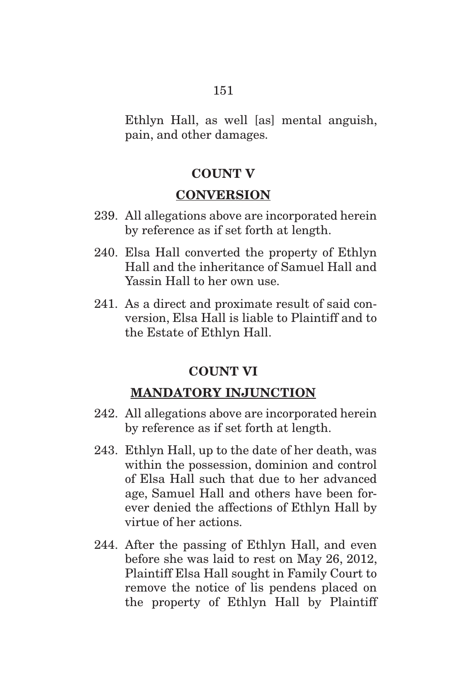Ethlyn Hall, as well [as] mental anguish, pain, and other damages.

# **COUNT V**

#### **CONVERSION**

- 239. All allegations above are incorporated herein by reference as if set forth at length.
- 240. Elsa Hall converted the property of Ethlyn Hall and the inheritance of Samuel Hall and Yassin Hall to her own use.
- 241. As a direct and proximate result of said conversion, Elsa Hall is liable to Plaintiff and to the Estate of Ethlyn Hall.

# **COUNT VI**

# **MANDATORY INJUNCTION**

- 242. All allegations above are incorporated herein by reference as if set forth at length.
- 243. Ethlyn Hall, up to the date of her death, was within the possession, dominion and control of Elsa Hall such that due to her advanced age, Samuel Hall and others have been forever denied the affections of Ethlyn Hall by virtue of her actions.
- 244. After the passing of Ethlyn Hall, and even before she was laid to rest on May 26, 2012, Plaintiff Elsa Hall sought in Family Court to remove the notice of lis pendens placed on the property of Ethlyn Hall by Plaintiff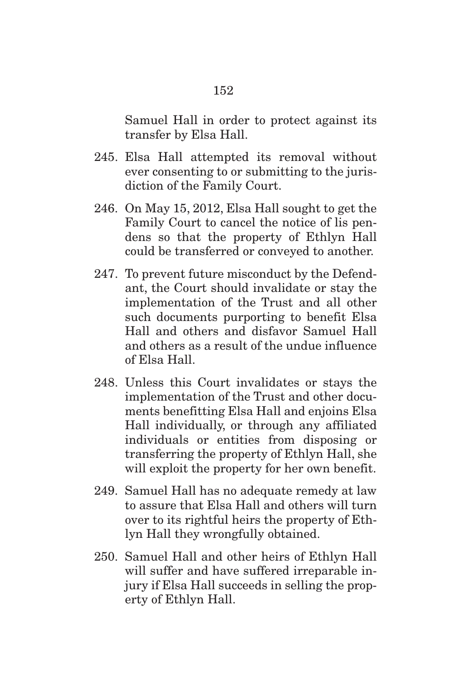Samuel Hall in order to protect against its transfer by Elsa Hall.

- 245. Elsa Hall attempted its removal without ever consenting to or submitting to the jurisdiction of the Family Court.
- 246. On May 15, 2012, Elsa Hall sought to get the Family Court to cancel the notice of lis pendens so that the property of Ethlyn Hall could be transferred or conveyed to another.
- 247. To prevent future misconduct by the Defendant, the Court should invalidate or stay the implementation of the Trust and all other such documents purporting to benefit Elsa Hall and others and disfavor Samuel Hall and others as a result of the undue influence of Elsa Hall.
- 248. Unless this Court invalidates or stays the implementation of the Trust and other documents benefitting Elsa Hall and enjoins Elsa Hall individually, or through any affiliated individuals or entities from disposing or transferring the property of Ethlyn Hall, she will exploit the property for her own benefit.
- 249. Samuel Hall has no adequate remedy at law to assure that Elsa Hall and others will turn over to its rightful heirs the property of Ethlyn Hall they wrongfully obtained.
- 250. Samuel Hall and other heirs of Ethlyn Hall will suffer and have suffered irreparable injury if Elsa Hall succeeds in selling the property of Ethlyn Hall.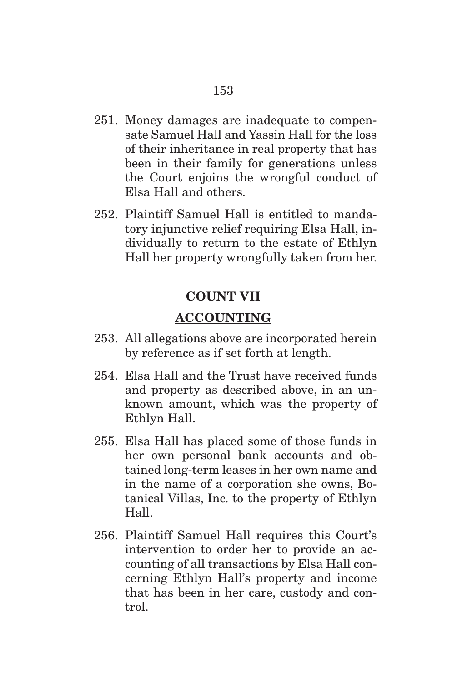- 251. Money damages are inadequate to compensate Samuel Hall and Yassin Hall for the loss of their inheritance in real property that has been in their family for generations unless the Court enjoins the wrongful conduct of Elsa Hall and others.
- 252. Plaintiff Samuel Hall is entitled to mandatory injunctive relief requiring Elsa Hall, individually to return to the estate of Ethlyn Hall her property wrongfully taken from her.

# **COUNT VII**

# **ACCOUNTING**

- 253. All allegations above are incorporated herein by reference as if set forth at length.
- 254. Elsa Hall and the Trust have received funds and property as described above, in an unknown amount, which was the property of Ethlyn Hall.
- 255. Elsa Hall has placed some of those funds in her own personal bank accounts and obtained long-term leases in her own name and in the name of a corporation she owns, Botanical Villas, Inc. to the property of Ethlyn Hall.
- 256. Plaintiff Samuel Hall requires this Court's intervention to order her to provide an accounting of all transactions by Elsa Hall concerning Ethlyn Hall's property and income that has been in her care, custody and control.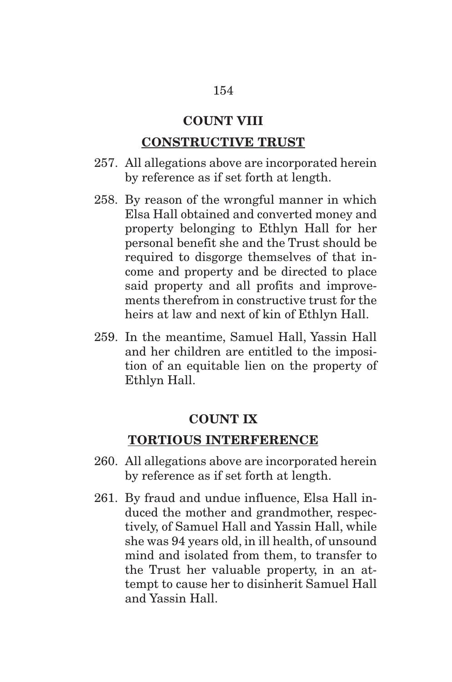## **COUNT VIII**

#### **CONSTRUCTIVE TRUST**

- 257. All allegations above are incorporated herein by reference as if set forth at length.
- 258. By reason of the wrongful manner in which Elsa Hall obtained and converted money and property belonging to Ethlyn Hall for her personal benefit she and the Trust should be required to disgorge themselves of that income and property and be directed to place said property and all profits and improvements therefrom in constructive trust for the heirs at law and next of kin of Ethlyn Hall.
- 259. In the meantime, Samuel Hall, Yassin Hall and her children are entitled to the imposition of an equitable lien on the property of Ethlyn Hall.

#### **COUNT IX**

# **TORTIOUS INTERFERENCE**

- 260. All allegations above are incorporated herein by reference as if set forth at length.
- 261. By fraud and undue influence, Elsa Hall induced the mother and grandmother, respectively, of Samuel Hall and Yassin Hall, while she was 94 years old, in ill health, of unsound mind and isolated from them, to transfer to the Trust her valuable property, in an attempt to cause her to disinherit Samuel Hall and Yassin Hall.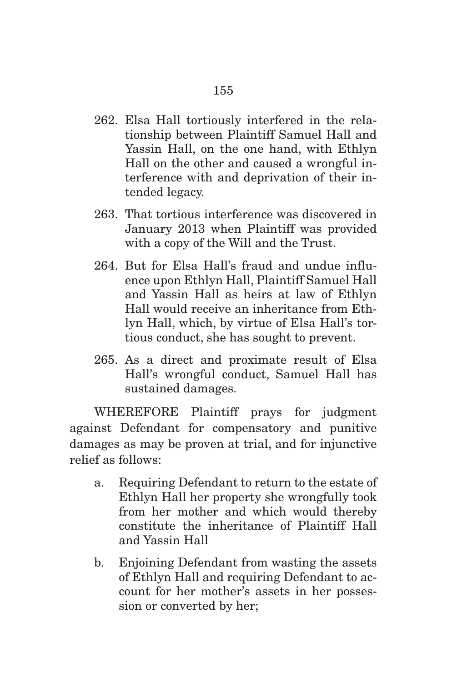- 262. Elsa Hall tortiously interfered in the relationship between Plaintiff Samuel Hall and Yassin Hall, on the one hand, with Ethlyn Hall on the other and caused a wrongful interference with and deprivation of their intended legacy.
- 263. That tortious interference was discovered in January 2013 when Plaintiff was provided with a copy of the Will and the Trust.
- 264. But for Elsa Hall's fraud and undue influence upon Ethlyn Hall, Plaintiff Samuel Hall and Yassin Hall as heirs at law of Ethlyn Hall would receive an inheritance from Ethlyn Hall, which, by virtue of Elsa Hall's tortious conduct, she has sought to prevent.
- 265. As a direct and proximate result of Elsa Hall's wrongful conduct, Samuel Hall has sustained damages.

 WHEREFORE Plaintiff prays for judgment against Defendant for compensatory and punitive damages as may be proven at trial, and for injunctive relief as follows:

- a. Requiring Defendant to return to the estate of Ethlyn Hall her property she wrongfully took from her mother and which would thereby constitute the inheritance of Plaintiff Hall and Yassin Hall
- b. Enjoining Defendant from wasting the assets of Ethlyn Hall and requiring Defendant to account for her mother's assets in her possession or converted by her;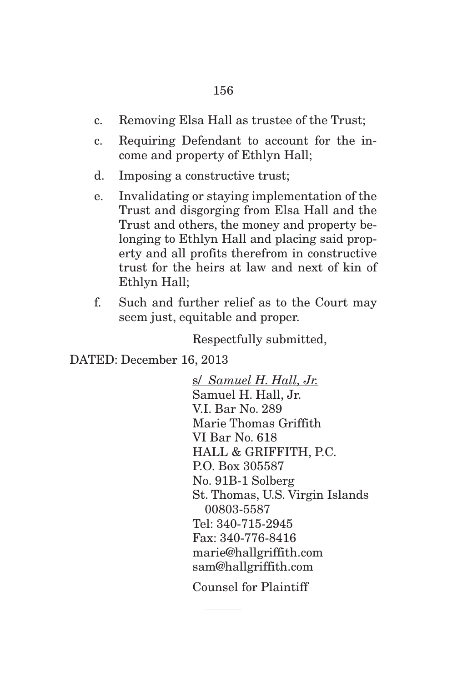- c. Removing Elsa Hall as trustee of the Trust;
- c. Requiring Defendant to account for the income and property of Ethlyn Hall;
- d. Imposing a constructive trust;
- e. Invalidating or staying implementation of the Trust and disgorging from Elsa Hall and the Trust and others, the money and property belonging to Ethlyn Hall and placing said property and all profits therefrom in constructive trust for the heirs at law and next of kin of Ethlyn Hall;
- f. Such and further relief as to the Court may seem just, equitable and proper.

Respectfully submitted,

DATED: December 16, 2013

s/ *Samuel H. Hall, Jr.* Samuel H. Hall, Jr. V.I. Bar No. 289 Marie Thomas Griffith VI Bar No. 618 HALL & GRIFFITH, P.C. P.O. Box 305587 No. 91B-1 Solberg St. Thomas, U.S. Virgin Islands 00803-5587 Tel: 340-715-2945 Fax: 340-776-8416 marie@hallgriffith.com sam@hallgriffith.com

Counsel for Plaintiff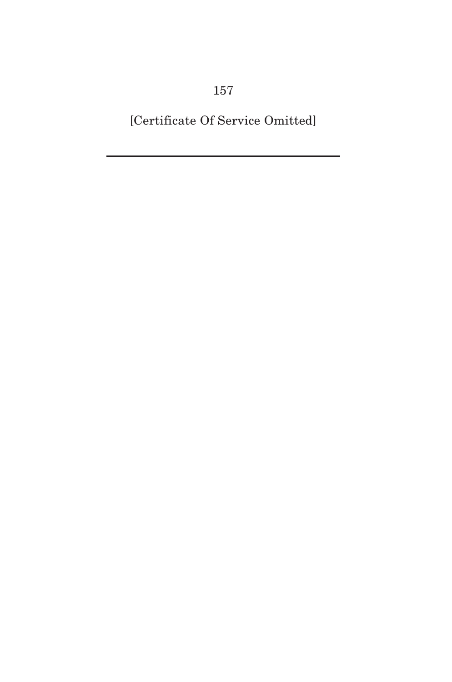[Certificate Of Service Omitted]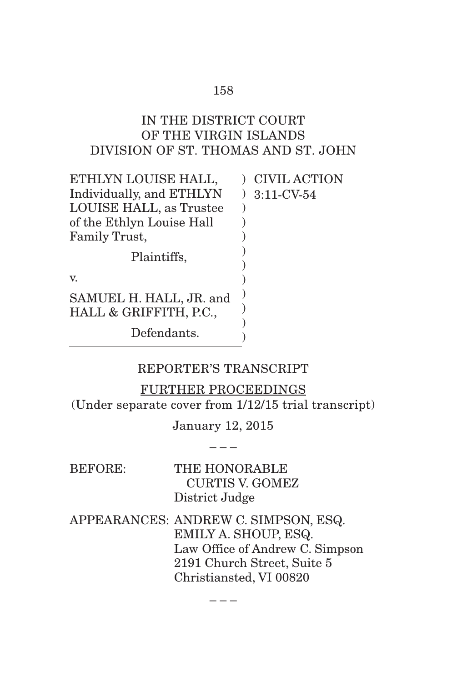# IN THE DISTRICT COURT OF THE VIRGIN ISLANDS DIVISION OF ST. THOMAS AND ST. JOHN

| ETHLYN LOUISE HALL,                               | <b>CIVIL ACTION</b> |
|---------------------------------------------------|---------------------|
| Individually, and ETHLYN                          | $3:11$ -CV-54       |
| LOUISE HALL, as Trustee                           |                     |
| of the Ethlyn Louise Hall                         |                     |
| Family Trust,                                     |                     |
| Plaintiffs,                                       |                     |
| V.                                                |                     |
| SAMUEL H. HALL, JR. and<br>HALL & GRIFFITH, P.C., |                     |
| Defendants.                                       |                     |

# REPORTER'S TRANSCRIPT

FURTHER PROCEEDINGS (Under separate cover from 1/12/15 trial transcript)

> January 12, 2015 – – –

BEFORE: THE HONORABLE CURTIS V. GOMEZ District Judge APPEARANCES: ANDREW C. SIMPSON, ESQ. EMILY A. SHOUP, ESQ. Law Office of Andrew C. Simpson 2191 Church Street, Suite 5 Christiansted, VI 00820

– – –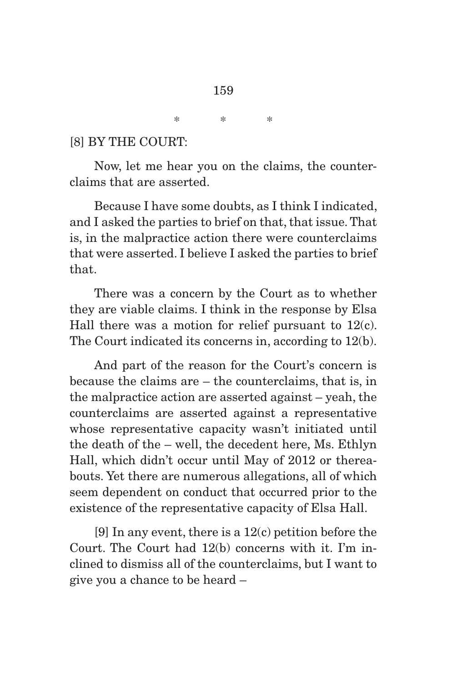\* \* \*

#### [8] BY THE COURT:

 Now, let me hear you on the claims, the counterclaims that are asserted.

 Because I have some doubts, as I think I indicated, and I asked the parties to brief on that, that issue. That is, in the malpractice action there were counterclaims that were asserted. I believe I asked the parties to brief that.

 There was a concern by the Court as to whether they are viable claims. I think in the response by Elsa Hall there was a motion for relief pursuant to  $12(c)$ . The Court indicated its concerns in, according to 12(b).

 And part of the reason for the Court's concern is because the claims are – the counterclaims, that is, in the malpractice action are asserted against – yeah, the counterclaims are asserted against a representative whose representative capacity wasn't initiated until the death of the – well, the decedent here, Ms. Ethlyn Hall, which didn't occur until May of 2012 or thereabouts. Yet there are numerous allegations, all of which seem dependent on conduct that occurred prior to the existence of the representative capacity of Elsa Hall.

 [9] In any event, there is a 12(c) petition before the Court. The Court had 12(b) concerns with it. I'm inclined to dismiss all of the counterclaims, but I want to give you a chance to be heard –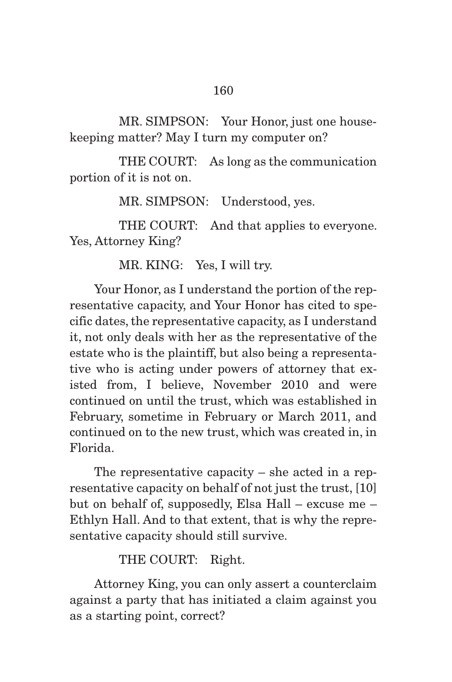MR. SIMPSON: Your Honor, just one housekeeping matter? May I turn my computer on?

 THE COURT: As long as the communication portion of it is not on.

MR. SIMPSON: Understood, yes.

THE COURT: And that applies to everyone. Yes, Attorney King?

MR. KING: Yes, I will try.

 Your Honor, as I understand the portion of the representative capacity, and Your Honor has cited to specific dates, the representative capacity, as I understand it, not only deals with her as the representative of the estate who is the plaintiff, but also being a representative who is acting under powers of attorney that existed from, I believe, November 2010 and were continued on until the trust, which was established in February, sometime in February or March 2011, and continued on to the new trust, which was created in, in Florida.

 The representative capacity – she acted in a representative capacity on behalf of not just the trust, [10] but on behalf of, supposedly, Elsa Hall – excuse me – Ethlyn Hall. And to that extent, that is why the representative capacity should still survive.

THE COURT: Right.

 Attorney King, you can only assert a counterclaim against a party that has initiated a claim against you as a starting point, correct?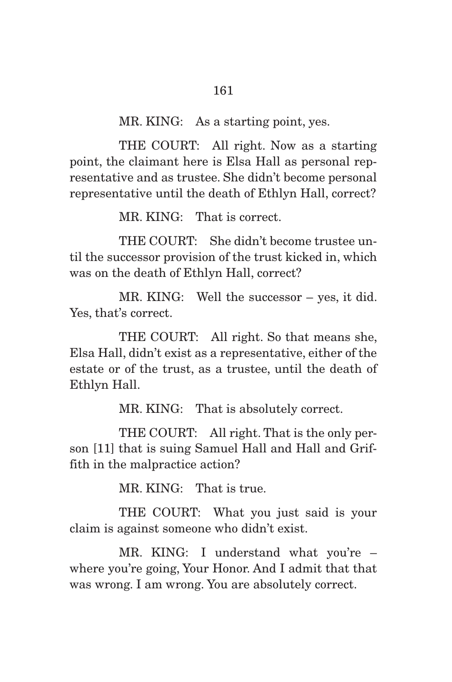MR. KING: As a starting point, yes.

 THE COURT: All right. Now as a starting point, the claimant here is Elsa Hall as personal representative and as trustee. She didn't become personal representative until the death of Ethlyn Hall, correct?

MR. KING: That is correct.

 THE COURT: She didn't become trustee until the successor provision of the trust kicked in, which was on the death of Ethlyn Hall, correct?

 MR. KING: Well the successor – yes, it did. Yes, that's correct.

 THE COURT: All right. So that means she, Elsa Hall, didn't exist as a representative, either of the estate or of the trust, as a trustee, until the death of Ethlyn Hall.

MR. KING: That is absolutely correct.

 THE COURT: All right. That is the only person [11] that is suing Samuel Hall and Hall and Griffith in the malpractice action?

MR. KING: That is true.

 THE COURT: What you just said is your claim is against someone who didn't exist.

 MR. KING: I understand what you're – where you're going, Your Honor. And I admit that that was wrong. I am wrong. You are absolutely correct.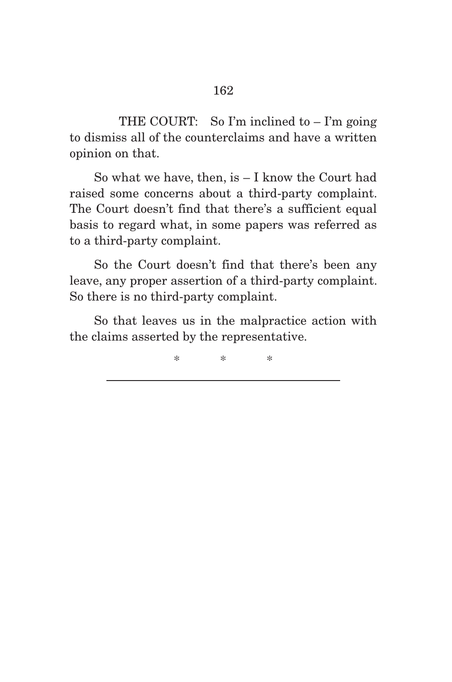THE COURT: So I'm inclined to  $-$  I'm going to dismiss all of the counterclaims and have a written opinion on that.

 So what we have, then, is – I know the Court had raised some concerns about a third-party complaint. The Court doesn't find that there's a sufficient equal basis to regard what, in some papers was referred as to a third-party complaint.

 So the Court doesn't find that there's been any leave, any proper assertion of a third-party complaint. So there is no third-party complaint.

 So that leaves us in the malpractice action with the claims asserted by the representative.

\* \* \*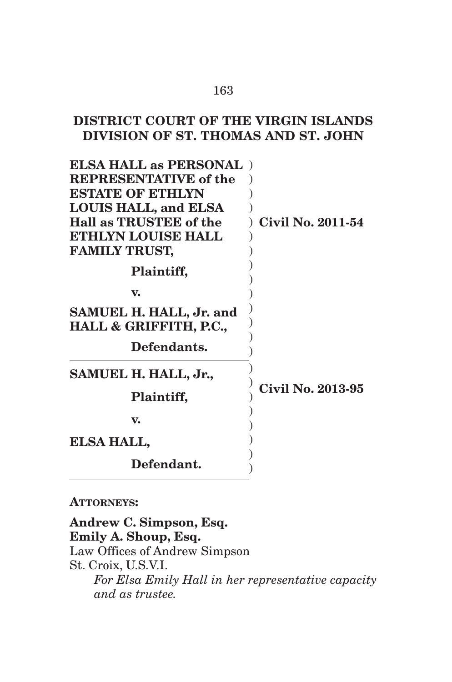# **DISTRICT COURT OF THE VIRGIN ISLANDS DIVISION OF ST. THOMAS AND ST. JOHN**

| <b>ELSA HALL as PERSONAL</b><br><b>REPRESENTATIVE of the</b><br><b>ESTATE OF ETHLYN</b><br><b>LOUIS HALL, and ELSA</b><br>Hall as TRUSTEE of the<br><b>ETHLYN LOUISE HALL</b><br><b>FAMILY TRUST,</b><br>Plaintiff,<br>$\mathbf{v}$ | <b>Civil No. 2011-54</b> |
|-------------------------------------------------------------------------------------------------------------------------------------------------------------------------------------------------------------------------------------|--------------------------|
|                                                                                                                                                                                                                                     |                          |
| SAMUEL H. HALL, Jr. and<br>HALL & GRIFFITH, P.C.,                                                                                                                                                                                   |                          |
| Defendants.                                                                                                                                                                                                                         |                          |
| SAMUEL H. HALL, Jr.,                                                                                                                                                                                                                |                          |
| Plaintiff,                                                                                                                                                                                                                          | <b>Civil No. 2013-95</b> |
| V.                                                                                                                                                                                                                                  |                          |
| <b>ELSA HALL,</b>                                                                                                                                                                                                                   |                          |
| Defendant.                                                                                                                                                                                                                          |                          |

#### **ATTORNEYS:**

**Andrew C. Simpson, Esq. Emily A. Shoup, Esq.**  Law Offices of Andrew Simpson St. Croix, U.S.V.I. *For Elsa Emily Hall in her representative capacity and as trustee.* 

#### 163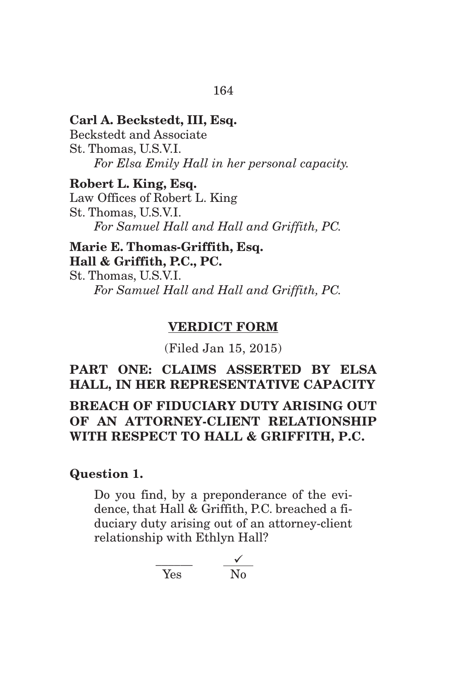# **Carl A. Beckstedt, III, Esq.**  Beckstedt and Associate

St. Thomas, U.S.V.I. *For Elsa Emily Hall in her personal capacity.* 

#### **Robert L. King, Esq.**

Law Offices of Robert L. King St. Thomas, U.S.V.I. *For Samuel Hall and Hall and Griffith, PC.* 

# **Marie E. Thomas-Griffith, Esq. Hall & Griffith, P.C., PC.**

St. Thomas, U.S.V.I. *For Samuel Hall and Hall and Griffith, PC.* 

# **VERDICT FORM**

(Filed Jan 15, 2015)

# **PART ONE: CLAIMS ASSERTED BY ELSA HALL, IN HER REPRESENTATIVE CAPACITY BREACH OF FIDUCIARY DUTY ARISING OUT OF AN ATTORNEY-CLIENT RELATIONSHIP WITH RESPECT TO HALL & GRIFFITH, P.C.**

# **Question 1.**

Do you find, by a preponderance of the evidence, that Hall & Griffith, P.C. breached a fiduciary duty arising out of an attorney-client relationship with Ethlyn Hall?

$$
\frac{\checkmark}{\text{Yes}} \qquad \frac{\checkmark}{\text{No}}
$$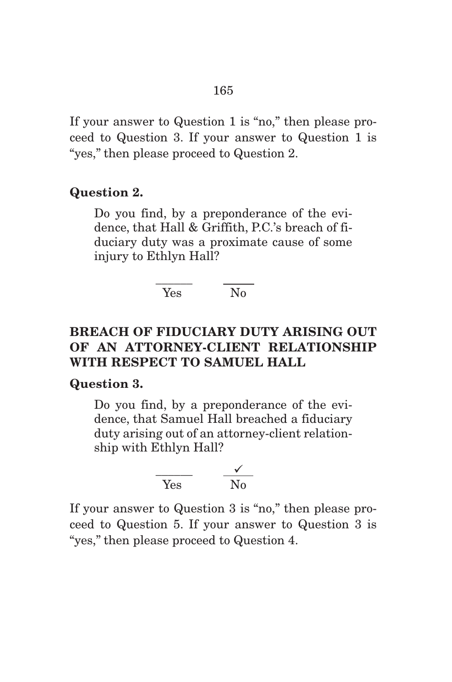If your answer to Question 1 is "no," then please proceed to Question 3. If your answer to Question 1 is "yes," then please proceed to Question 2.

#### **Question 2.**

Do you find, by a preponderance of the evidence, that Hall & Griffith, P.C.'s breach of fiduciary duty was a proximate cause of some injury to Ethlyn Hall?

#### \_\_\_\_\_\_ \_\_\_\_\_ Yes No

# **BREACH OF FIDUCIARY DUTY ARISING OUT OF AN ATTORNEY-CLIENT RELATIONSHIP WITH RESPECT TO SAMUEL HALL**

#### **Question 3.**

Do you find, by a preponderance of the evidence, that Samuel Hall breached a fiduciary duty arising out of an attorney-client relationship with Ethlyn Hall?

$$
\frac{\checkmark}{\text{Yes}} \qquad \frac{\checkmark}{\text{No}}
$$

If your answer to Question 3 is "no," then please proceed to Question 5. If your answer to Question 3 is "yes," then please proceed to Question 4.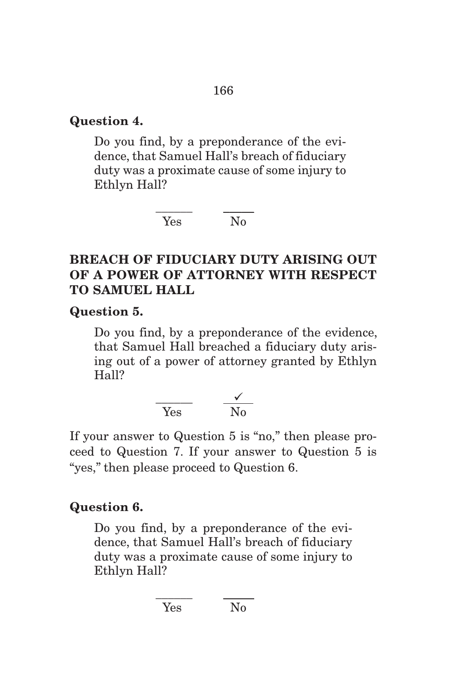# **Question 4.**

Do you find, by a preponderance of the evidence, that Samuel Hall's breach of fiduciary duty was a proximate cause of some injury to Ethlyn Hall?

> \_\_\_\_\_\_ \_\_\_\_\_ Yes No

# **BREACH OF FIDUCIARY DUTY ARISING OUT OF A POWER OF ATTORNEY WITH RESPECT TO SAMUEL HALL**

**Question 5.** 

Do you find, by a preponderance of the evidence, that Samuel Hall breached a fiduciary duty arising out of a power of attorney granted by Ethlyn Hall?

$$
\frac{\checkmark}{\text{Yes}} \qquad \frac{\checkmark}{\text{No}}
$$

If your answer to Question 5 is "no," then please proceed to Question 7. If your answer to Question 5 is "yes," then please proceed to Question 6.

# **Question 6.**

Do you find, by a preponderance of the evidence, that Samuel Hall's breach of fiduciary duty was a proximate cause of some injury to Ethlyn Hall?

$$
\frac{1}{\text{Yes}} \qquad \frac{1}{\text{No}}
$$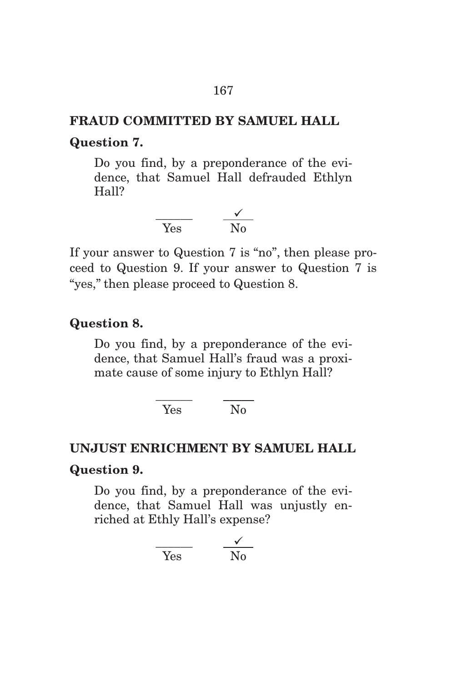# **FRAUD COMMITTED BY SAMUEL HALL Question 7.**

Do you find, by a preponderance of the evidence, that Samuel Hall defrauded Ethlyn Hall?



If your answer to Question 7 is "no", then please proceed to Question 9. If your answer to Question 7 is "yes," then please proceed to Question 8.

# **Question 8.**

Do you find, by a preponderance of the evidence, that Samuel Hall's fraud was a proximate cause of some injury to Ethlyn Hall?

> \_\_\_\_\_\_ \_\_\_\_\_ Yes No

# **UNJUST ENRICHMENT BY SAMUEL HALL Question 9.**

Do you find, by a preponderance of the evidence, that Samuel Hall was unjustly enriched at Ethly Hall's expense?

$$
\frac{\checkmark}{\text{Yes}} \qquad \frac{\checkmark}{\text{No}}
$$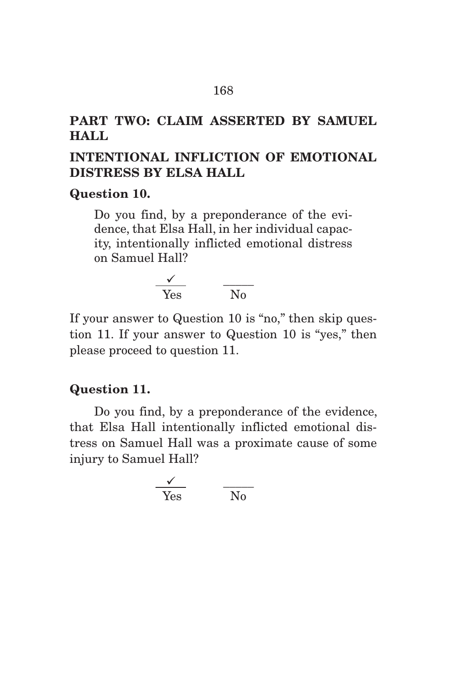# **PART TWO: CLAIM ASSERTED BY SAMUEL HALL**

# **INTENTIONAL INFLICTION OF EMOTIONAL DISTRESS BY ELSA HALL**

#### **Question 10.**

Do you find, by a preponderance of the evidence, that Elsa Hall, in her individual capacity, intentionally inflicted emotional distress on Samuel Hall?

$$
\frac{\sqrt{1}}{\text{Yes}} \qquad \frac{\sqrt{1}}{\text{No}}
$$

If your answer to Question 10 is "no," then skip question 11. If your answer to Question 10 is "yes," then please proceed to question 11.

#### **Question 11.**

Do you find, by a preponderance of the evidence, that Elsa Hall intentionally inflicted emotional distress on Samuel Hall was a proximate cause of some injury to Samuel Hall?

$$
\frac{\sqrt{1}}{\text{Yes}} \qquad \frac{\sqrt{1}}{\text{No}}
$$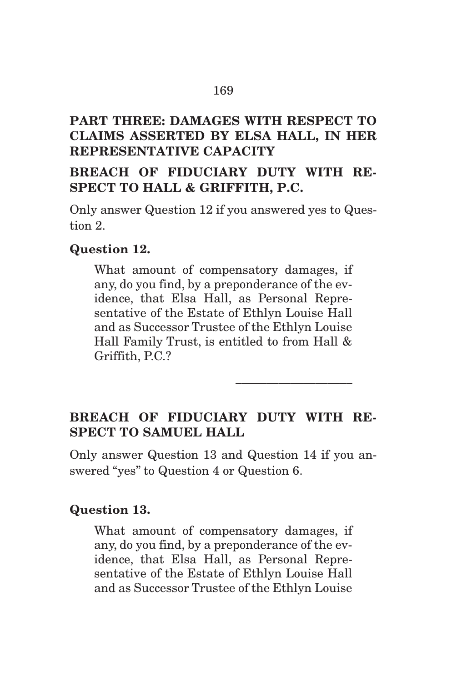# **PART THREE: DAMAGES WITH RESPECT TO CLAIMS ASSERTED BY ELSA HALL, IN HER REPRESENTATIVE CAPACITY**

# **BREACH OF FIDUCIARY DUTY WITH RE-SPECT TO HALL & GRIFFITH, P.C.**

Only answer Question 12 if you answered yes to Question 2.

# **Question 12.**

What amount of compensatory damages, if any, do you find, by a preponderance of the evidence, that Elsa Hall, as Personal Representative of the Estate of Ethlyn Louise Hall and as Successor Trustee of the Ethlyn Louise Hall Family Trust, is entitled to from Hall & Griffith, P.C.?

# **BREACH OF FIDUCIARY DUTY WITH RE-SPECT TO SAMUEL HALL**

\_\_\_\_\_\_\_\_\_\_\_\_\_\_\_\_\_\_\_

Only answer Question 13 and Question 14 if you answered "yes" to Question 4 or Question 6.

# **Question 13.**

What amount of compensatory damages, if any, do you find, by a preponderance of the evidence, that Elsa Hall, as Personal Representative of the Estate of Ethlyn Louise Hall and as Successor Trustee of the Ethlyn Louise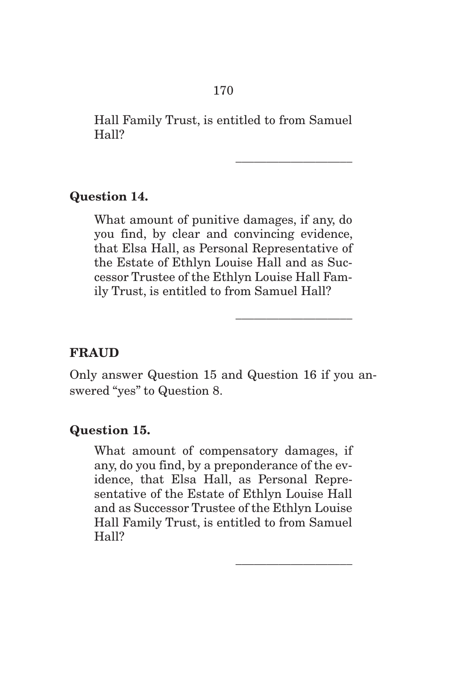Hall Family Trust, is entitled to from Samuel Hall?

\_\_\_\_\_\_\_\_\_\_\_\_\_\_\_\_\_\_\_

\_\_\_\_\_\_\_\_\_\_\_\_\_\_\_\_\_\_\_

\_\_\_\_\_\_\_\_\_\_\_\_\_\_\_\_\_\_\_

#### **Question 14.**

What amount of punitive damages, if any, do you find, by clear and convincing evidence, that Elsa Hall, as Personal Representative of the Estate of Ethlyn Louise Hall and as Successor Trustee of the Ethlyn Louise Hall Family Trust, is entitled to from Samuel Hall?

# **FRAUD**

Only answer Question 15 and Question 16 if you answered "yes" to Question 8.

#### **Question 15.**

What amount of compensatory damages, if any, do you find, by a preponderance of the evidence, that Elsa Hall, as Personal Representative of the Estate of Ethlyn Louise Hall and as Successor Trustee of the Ethlyn Louise Hall Family Trust, is entitled to from Samuel Hall?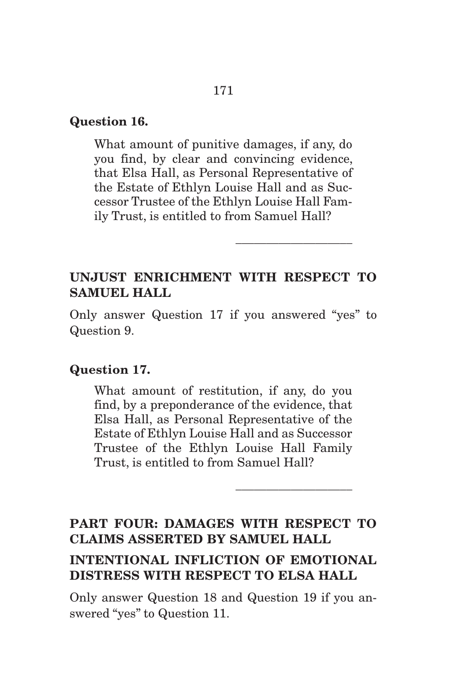#### **Question 16.**

What amount of punitive damages, if any, do you find, by clear and convincing evidence, that Elsa Hall, as Personal Representative of the Estate of Ethlyn Louise Hall and as Successor Trustee of the Ethlyn Louise Hall Family Trust, is entitled to from Samuel Hall?

# **UNJUST ENRICHMENT WITH RESPECT TO SAMUEL HALL**

\_\_\_\_\_\_\_\_\_\_\_\_\_\_\_\_\_\_\_

\_\_\_\_\_\_\_\_\_\_\_\_\_\_\_\_\_\_\_

Only answer Question 17 if you answered "yes" to Question 9.

#### **Question 17.**

What amount of restitution, if any, do you find, by a preponderance of the evidence, that Elsa Hall, as Personal Representative of the Estate of Ethlyn Louise Hall and as Successor Trustee of the Ethlyn Louise Hall Family Trust, is entitled to from Samuel Hall?

# **PART FOUR: DAMAGES WITH RESPECT TO CLAIMS ASSERTED BY SAMUEL HALL**

# **INTENTIONAL INFLICTION OF EMOTIONAL DISTRESS WITH RESPECT TO ELSA HALL**

Only answer Question 18 and Question 19 if you answered "yes" to Question 11.